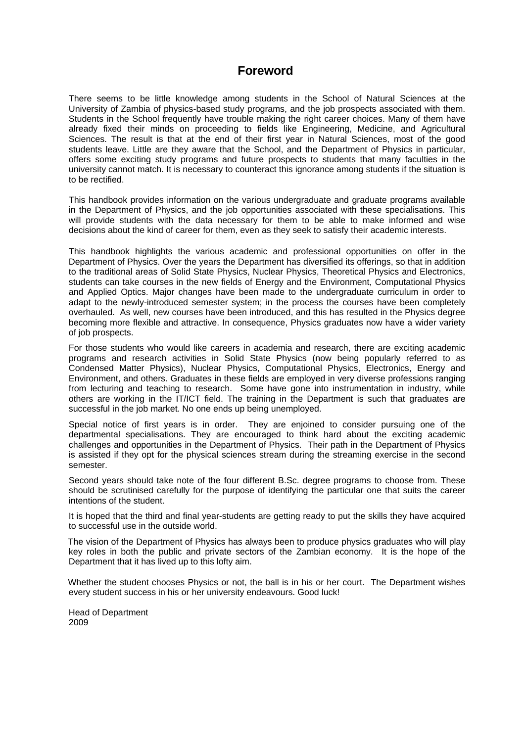# **Foreword**

There seems to be little knowledge among students in the School of Natural Sciences at the University of Zambia of physics-based study programs, and the job prospects associated with them. Students in the School frequently have trouble making the right career choices. Many of them have already fixed their minds on proceeding to fields like Engineering, Medicine, and Agricultural Sciences. The result is that at the end of their first year in Natural Sciences, most of the good students leave. Little are they aware that the School, and the Department of Physics in particular, offers some exciting study programs and future prospects to students that many faculties in the university cannot match. It is necessary to counteract this ignorance among students if the situation is to be rectified.

This handbook provides information on the various undergraduate and graduate programs available in the Department of Physics, and the job opportunities associated with these specialisations. This will provide students with the data necessary for them to be able to make informed and wise decisions about the kind of career for them, even as they seek to satisfy their academic interests.

This handbook highlights the various academic and professional opportunities on offer in the Department of Physics. Over the years the Department has diversified its offerings, so that in addition to the traditional areas of Solid State Physics, Nuclear Physics, Theoretical Physics and Electronics, students can take courses in the new fields of Energy and the Environment, Computational Physics and Applied Optics. Major changes have been made to the undergraduate curriculum in order to adapt to the newly-introduced semester system; in the process the courses have been completely overhauled. As well, new courses have been introduced, and this has resulted in the Physics degree becoming more flexible and attractive. In consequence, Physics graduates now have a wider variety of job prospects.

For those students who would like careers in academia and research, there are exciting academic programs and research activities in Solid State Physics (now being popularly referred to as Condensed Matter Physics), Nuclear Physics, Computational Physics, Electronics, Energy and Environment, and others. Graduates in these fields are employed in very diverse professions ranging from lecturing and teaching to research. Some have gone into instrumentation in industry, while others are working in the IT/ICT field. The training in the Department is such that graduates are successful in the job market. No one ends up being unemployed.

Special notice of first years is in order. They are enjoined to consider pursuing one of the departmental specialisations. They are encouraged to think hard about the exciting academic challenges and opportunities in the Department of Physics. Their path in the Department of Physics is assisted if they opt for the physical sciences stream during the streaming exercise in the second semester.

Second years should take note of the four different B.Sc. degree programs to choose from. These should be scrutinised carefully for the purpose of identifying the particular one that suits the career intentions of the student.

It is hoped that the third and final year-students are getting ready to put the skills they have acquired to successful use in the outside world.

 The vision of the Department of Physics has always been to produce physics graduates who will play key roles in both the public and private sectors of the Zambian economy. It is the hope of the Department that it has lived up to this lofty aim.

 Whether the student chooses Physics or not, the ball is in his or her court. The Department wishes every student success in his or her university endeavours. Good luck!

Head of Department 2009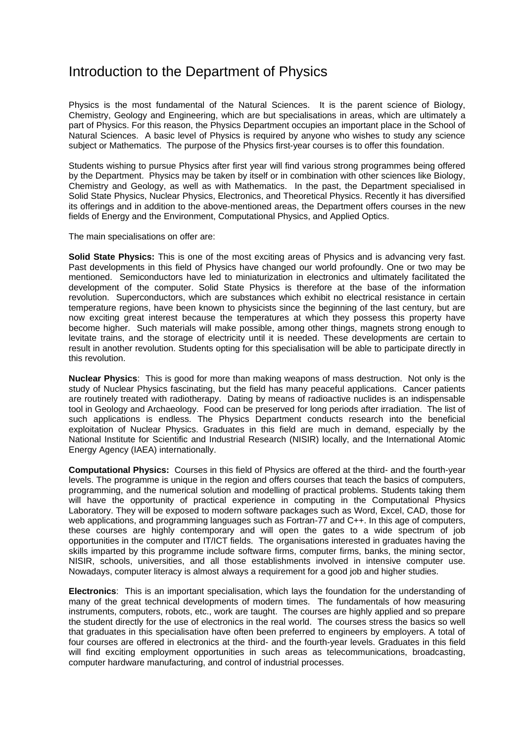# Introduction to the Department of Physics

Physics is the most fundamental of the Natural Sciences. It is the parent science of Biology, Chemistry, Geology and Engineering, which are but specialisations in areas, which are ultimately a part of Physics. For this reason, the Physics Department occupies an important place in the School of Natural Sciences. A basic level of Physics is required by anyone who wishes to study any science subject or Mathematics. The purpose of the Physics first-year courses is to offer this foundation.

Students wishing to pursue Physics after first year will find various strong programmes being offered by the Department. Physics may be taken by itself or in combination with other sciences like Biology, Chemistry and Geology, as well as with Mathematics. In the past, the Department specialised in Solid State Physics, Nuclear Physics, Electronics, and Theoretical Physics. Recently it has diversified its offerings and in addition to the above-mentioned areas, the Department offers courses in the new fields of Energy and the Environment, Computational Physics, and Applied Optics.

The main specialisations on offer are:

**Solid State Physics:** This is one of the most exciting areas of Physics and is advancing very fast. Past developments in this field of Physics have changed our world profoundly. One or two may be mentioned. Semiconductors have led to miniaturization in electronics and ultimately facilitated the development of the computer. Solid State Physics is therefore at the base of the information revolution. Superconductors, which are substances which exhibit no electrical resistance in certain temperature regions, have been known to physicists since the beginning of the last century, but are now exciting great interest because the temperatures at which they possess this property have become higher. Such materials will make possible, among other things, magnets strong enough to levitate trains, and the storage of electricity until it is needed. These developments are certain to result in another revolution. Students opting for this specialisation will be able to participate directly in this revolution.

**Nuclear Physics**: This is good for more than making weapons of mass destruction. Not only is the study of Nuclear Physics fascinating, but the field has many peaceful applications. Cancer patients are routinely treated with radiotherapy. Dating by means of radioactive nuclides is an indispensable tool in Geology and Archaeology. Food can be preserved for long periods after irradiation. The list of such applications is endless. The Physics Department conducts research into the beneficial exploitation of Nuclear Physics. Graduates in this field are much in demand, especially by the National Institute for Scientific and Industrial Research (NISIR) locally, and the International Atomic Energy Agency (IAEA) internationally.

**Computational Physics:** Courses in this field of Physics are offered at the third- and the fourth-year levels. The programme is unique in the region and offers courses that teach the basics of computers, programming, and the numerical solution and modelling of practical problems. Students taking them will have the opportunity of practical experience in computing in the Computational Physics Laboratory. They will be exposed to modern software packages such as Word, Excel, CAD, those for web applications, and programming languages such as Fortran-77 and C++. In this age of computers, these courses are highly contemporary and will open the gates to a wide spectrum of job opportunities in the computer and IT/ICT fields. The organisations interested in graduates having the skills imparted by this programme include software firms, computer firms, banks, the mining sector, NISIR, schools, universities, and all those establishments involved in intensive computer use. Nowadays, computer literacy is almost always a requirement for a good job and higher studies.

**Electronics**: This is an important specialisation, which lays the foundation for the understanding of many of the great technical developments of modern times. The fundamentals of how measuring instruments, computers, robots, etc., work are taught. The courses are highly applied and so prepare the student directly for the use of electronics in the real world. The courses stress the basics so well that graduates in this specialisation have often been preferred to engineers by employers. A total of four courses are offered in electronics at the third- and the fourth-year levels. Graduates in this field will find exciting employment opportunities in such areas as telecommunications, broadcasting, computer hardware manufacturing, and control of industrial processes.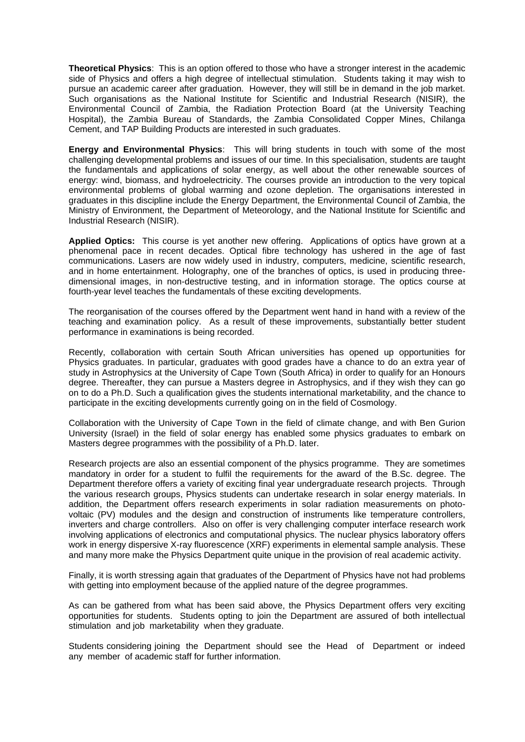**Theoretical Physics**: This is an option offered to those who have a stronger interest in the academic side of Physics and offers a high degree of intellectual stimulation. Students taking it may wish to pursue an academic career after graduation. However, they will still be in demand in the job market. Such organisations as the National Institute for Scientific and Industrial Research (NISIR), the Environmental Council of Zambia, the Radiation Protection Board (at the University Teaching Hospital), the Zambia Bureau of Standards, the Zambia Consolidated Copper Mines, Chilanga Cement, and TAP Building Products are interested in such graduates.

**Energy and Environmental Physics**: This will bring students in touch with some of the most challenging developmental problems and issues of our time. In this specialisation, students are taught the fundamentals and applications of solar energy, as well about the other renewable sources of energy: wind, biomass, and hydroelectricity. The courses provide an introduction to the very topical environmental problems of global warming and ozone depletion. The organisations interested in graduates in this discipline include the Energy Department, the Environmental Council of Zambia, the Ministry of Environment, the Department of Meteorology, and the National Institute for Scientific and Industrial Research (NISIR).

**Applied Optics:** This course is yet another new offering. Applications of optics have grown at a phenomenal pace in recent decades. Optical fibre technology has ushered in the age of fast communications. Lasers are now widely used in industry, computers, medicine, scientific research, and in home entertainment. Holography, one of the branches of optics, is used in producing threedimensional images, in non-destructive testing, and in information storage. The optics course at fourth-year level teaches the fundamentals of these exciting developments.

The reorganisation of the courses offered by the Department went hand in hand with a review of the teaching and examination policy. As a result of these improvements, substantially better student performance in examinations is being recorded.

Recently, collaboration with certain South African universities has opened up opportunities for Physics graduates. In particular, graduates with good grades have a chance to do an extra year of study in Astrophysics at the University of Cape Town (South Africa) in order to qualify for an Honours degree. Thereafter, they can pursue a Masters degree in Astrophysics, and if they wish they can go on to do a Ph.D. Such a qualification gives the students international marketability, and the chance to participate in the exciting developments currently going on in the field of Cosmology.

Collaboration with the University of Cape Town in the field of climate change, and with Ben Gurion University (Israel) in the field of solar energy has enabled some physics graduates to embark on Masters degree programmes with the possibility of a Ph.D. later.

Research projects are also an essential component of the physics programme. They are sometimes mandatory in order for a student to fulfil the requirements for the award of the B.Sc. degree. The Department therefore offers a variety of exciting final year undergraduate research projects. Through the various research groups, Physics students can undertake research in solar energy materials. In addition, the Department offers research experiments in solar radiation measurements on photovoltaic (PV) modules and the design and construction of instruments like temperature controllers, inverters and charge controllers. Also on offer is very challenging computer interface research work involving applications of electronics and computational physics. The nuclear physics laboratory offers work in energy dispersive X-ray fluorescence (XRF) experiments in elemental sample analysis. These and many more make the Physics Department quite unique in the provision of real academic activity.

Finally, it is worth stressing again that graduates of the Department of Physics have not had problems with getting into employment because of the applied nature of the degree programmes.

As can be gathered from what has been said above, the Physics Department offers very exciting opportunities for students. Students opting to join the Department are assured of both intellectual stimulation and job marketability when they graduate.

Students considering joining the Department should see the Head of Department or indeed any member of academic staff for further information.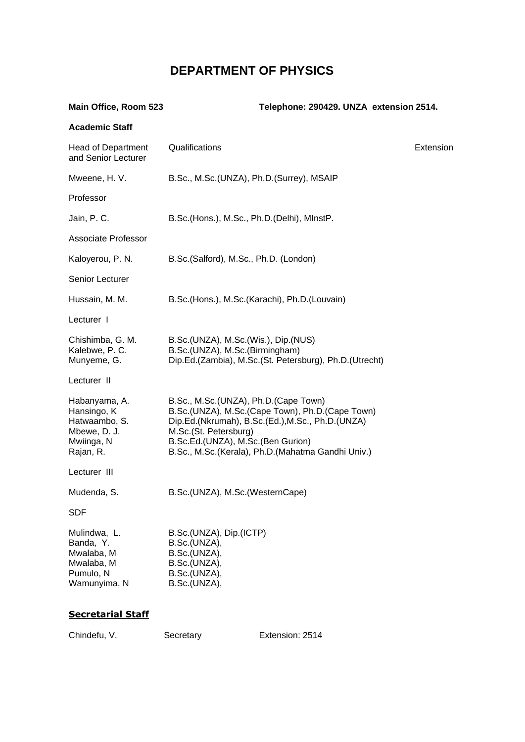# **DEPARTMENT OF PHYSICS**

| Main Office, Room 523                                                                    | Telephone: 290429. UNZA extension 2514.                                                                                                                                                                                                                        |           |
|------------------------------------------------------------------------------------------|----------------------------------------------------------------------------------------------------------------------------------------------------------------------------------------------------------------------------------------------------------------|-----------|
| <b>Academic Staff</b>                                                                    |                                                                                                                                                                                                                                                                |           |
| <b>Head of Department</b><br>and Senior Lecturer                                         | Qualifications                                                                                                                                                                                                                                                 | Extension |
| Mweene, H. V.                                                                            | B.Sc., M.Sc.(UNZA), Ph.D.(Surrey), MSAIP                                                                                                                                                                                                                       |           |
| Professor                                                                                |                                                                                                                                                                                                                                                                |           |
| Jain, P. C.                                                                              | B.Sc.(Hons.), M.Sc., Ph.D.(Delhi), MInstP.                                                                                                                                                                                                                     |           |
| Associate Professor                                                                      |                                                                                                                                                                                                                                                                |           |
| Kaloyerou, P. N.                                                                         | B.Sc.(Salford), M.Sc., Ph.D. (London)                                                                                                                                                                                                                          |           |
| Senior Lecturer                                                                          |                                                                                                                                                                                                                                                                |           |
| Hussain, M. M.                                                                           | B.Sc.(Hons.), M.Sc.(Karachi), Ph.D.(Louvain)                                                                                                                                                                                                                   |           |
| Lecturer I                                                                               |                                                                                                                                                                                                                                                                |           |
| Chishimba, G. M.<br>Kalebwe, P. C.<br>Munyeme, G.                                        | B.Sc.(UNZA), M.Sc.(Wis.), Dip.(NUS)<br>B.Sc.(UNZA), M.Sc.(Birmingham)<br>Dip.Ed.(Zambia), M.Sc.(St. Petersburg), Ph.D.(Utrecht)                                                                                                                                |           |
| Lecturer II                                                                              |                                                                                                                                                                                                                                                                |           |
| Habanyama, A.<br>Hansingo, K<br>Hatwaambo, S.<br>Mbewe, D. J.<br>Mwiinga, N<br>Rajan, R. | B.Sc., M.Sc.(UNZA), Ph.D.(Cape Town)<br>B.Sc.(UNZA), M.Sc.(Cape Town), Ph.D.(Cape Town)<br>Dip.Ed.(Nkrumah), B.Sc.(Ed.), M.Sc., Ph.D.(UNZA)<br>M.Sc.(St. Petersburg)<br>B.Sc.Ed.(UNZA), M.Sc.(Ben Gurion)<br>B.Sc., M.Sc.(Kerala), Ph.D.(Mahatma Gandhi Univ.) |           |
| Lecturer III                                                                             |                                                                                                                                                                                                                                                                |           |
| Mudenda, S.                                                                              | B.Sc.(UNZA), M.Sc.(WesternCape)                                                                                                                                                                                                                                |           |
| <b>SDF</b>                                                                               |                                                                                                                                                                                                                                                                |           |
| Mulindwa, L.<br>Banda, Y.<br>Mwalaba, M<br>Mwalaba, M<br>Pumulo, N<br>Wamunyima, N       | B.Sc.(UNZA), Dip.(ICTP)<br>B.Sc.(UNZA),<br>B.Sc.(UNZA),<br>B.Sc.(UNZA),<br>B.Sc.(UNZA),<br>B.Sc.(UNZA),                                                                                                                                                        |           |
| Cacratorial Ctaff                                                                        |                                                                                                                                                                                                                                                                |           |

# **Secretarial Staff**

Chindefu, V. Secretary Extension: 2514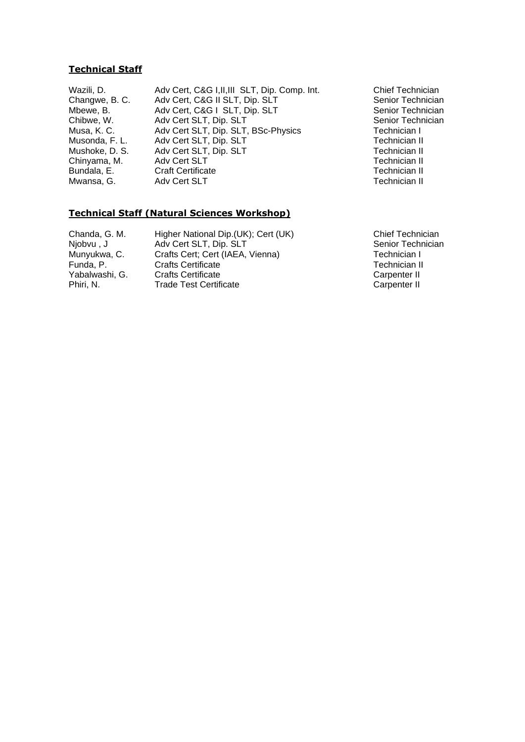# **Technical Staff**

Wazili, D. Adv Cert, C&G I, II, III SLT, Dip. Comp. Int. Chief Technician<br>Changwe, B. C. Adv Cert, C&G II SLT, Dip. SLT Senior Technician Changwe, B. C. Adv Cert, C&G II SLT, Dip. SLT<br>Mbewe, B. Adv Cert, C&G I SLT, Dip. SLT Mbewe, B. Adv Cert, C&G I SLT, Dip. SLT Senior Technician<br>
Chibwe, W. Adv Cert SLT, Dip. SLT Senior Technician Chibwe, W. Adv Cert SLT, Dip. SLT<br>
Musa, K. C. Adv Cert SLT, Dip. SLT, BSc-Physics Technician I Musa, K. C. Adv Cert SLT, Dip. SLT, BSc-Physics Technician I<br>Musonda, F. L. Adv Cert SLT, Dip. SLT Musonda, F. L. Adv Cert SLT, Dip. SLT Technician II Adv Cert SLT, Dip. SLT Chinyama, M. Adv Cert SLT Technician II Bundala, E. Craft Certificate **Craft Certificate** Context Craft Certificate Context Craft Certificate Context Cra<br>
Mwansa G. C. Adv Cert SLT Adv Cert SLT

# **Technical Staff (Natural Sciences Workshop)**

Chanda, G. M. Higher National Dip.(UK); Cert (UK) Chief Technician Njobvu , J Adv Cert SLT, Dip. SLT Senior Technician Munyukwa, C. Crafts Cert; Cert (IAEA, Vienna) Technician I Funda, P. Crafts Certificate<br>
Yabalwashi. G. Crafts Certificate Carpenter II Crafts Certificate Carpenter II Phiri, N. Carpenter II Carpenter II Carpenter II Carpenter II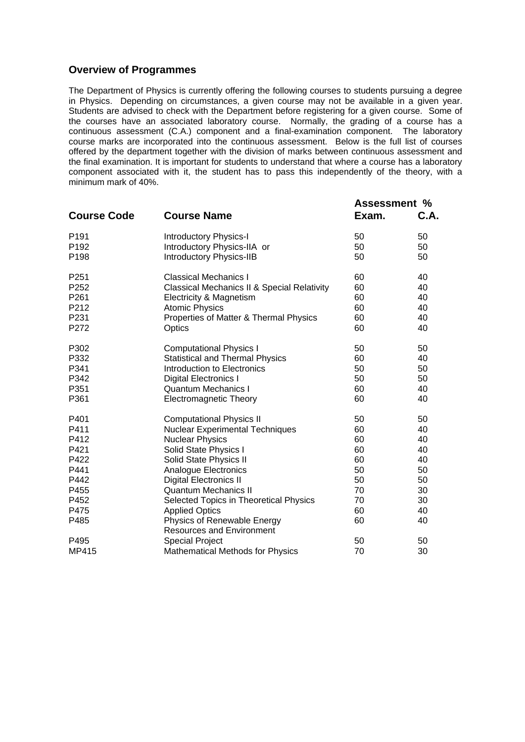# **Overview of Programmes**

The Department of Physics is currently offering the following courses to students pursuing a degree in Physics. Depending on circumstances, a given course may not be available in a given year. Students are advised to check with the Department before registering for a given course. Some of the courses have an associated laboratory course. Normally, the grading of a course has a continuous assessment (C.A.) component and a final-examination component. The laboratory course marks are incorporated into the continuous assessment. Below is the full list of courses offered by the department together with the division of marks between continuous assessment and the final examination. It is important for students to understand that where a course has a laboratory component associated with it, the student has to pass this independently of the theory, with a minimum mark of 40%.

| <b>Course Code</b> | <b>Course Name</b>                                     | <b>Assessment %</b><br>Exam. | C.A. |
|--------------------|--------------------------------------------------------|------------------------------|------|
| P <sub>191</sub>   | <b>Introductory Physics-I</b>                          | 50                           | 50   |
| P192               | Introductory Physics-IIA or                            | 50                           | 50   |
| P198               | <b>Introductory Physics-IIB</b>                        | 50                           | 50   |
|                    |                                                        |                              |      |
| P251               | <b>Classical Mechanics I</b>                           | 60                           | 40   |
| P252               | <b>Classical Mechanics II &amp; Special Relativity</b> | 60                           | 40   |
| P261               | Electricity & Magnetism                                | 60                           | 40   |
| P212               | <b>Atomic Physics</b>                                  | 60                           | 40   |
| P231               | Properties of Matter & Thermal Physics                 | 60                           | 40   |
| P272               | Optics                                                 | 60                           | 40   |
|                    |                                                        |                              |      |
| P302               | <b>Computational Physics I</b>                         | 50                           | 50   |
| P332               | <b>Statistical and Thermal Physics</b>                 | 60                           | 40   |
| P341               | Introduction to Electronics                            | 50                           | 50   |
| P342               | <b>Digital Electronics I</b>                           | 50                           | 50   |
| P351               | <b>Quantum Mechanics I</b>                             | 60                           | 40   |
| P361               | <b>Electromagnetic Theory</b>                          | 60                           | 40   |
| P401               | <b>Computational Physics II</b>                        | 50                           | 50   |
| P411               | <b>Nuclear Experimental Techniques</b>                 | 60                           | 40   |
| P412               | <b>Nuclear Physics</b>                                 | 60                           | 40   |
| P421               | Solid State Physics I                                  | 60                           | 40   |
| P422               | Solid State Physics II                                 | 60                           | 40   |
| P441               | Analogue Electronics                                   | 50                           | 50   |
| P442               | <b>Digital Electronics II</b>                          | 50                           | 50   |
| P455               | <b>Quantum Mechanics II</b>                            | 70                           | 30   |
| P452               | Selected Topics in Theoretical Physics                 | 70                           | 30   |
| P475               | <b>Applied Optics</b>                                  | 60                           | 40   |
| P485               | Physics of Renewable Energy                            | 60                           | 40   |
|                    | <b>Resources and Environment</b>                       |                              |      |
| P495               | <b>Special Project</b>                                 | 50                           | 50   |
| MP415              | <b>Mathematical Methods for Physics</b>                | 70                           | 30   |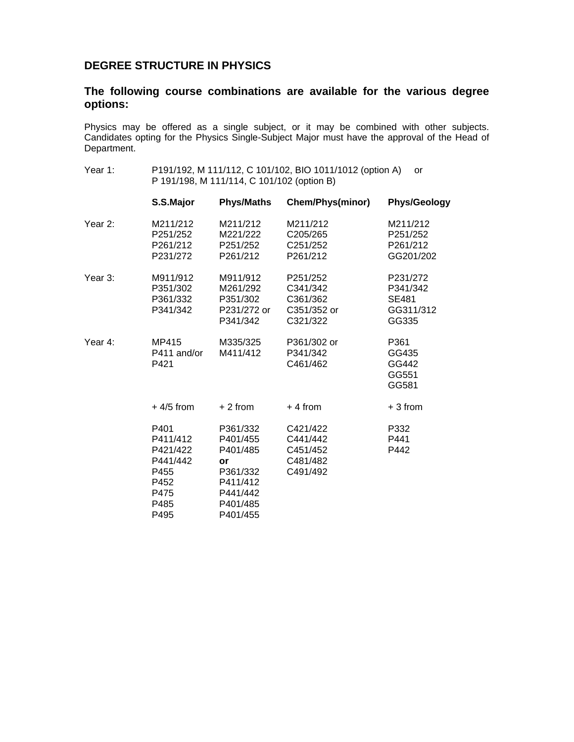# **DEGREE STRUCTURE IN PHYSICS**

# **The following course combinations are available for the various degree options:**

Physics may be offered as a single subject, or it may be combined with other subjects. Candidates opting for the Physics Single-Subject Major must have the approval of the Head of Department.

Year 1: P191/192, M 111/112, C 101/102, BIO 1011/1012 (option A) or P 191/198, M 111/114, C 101/102 (option B)

|           | S.S.Major                                                                        | <b>Phys/Maths</b>                                                                                  | <b>Chem/Phys(minor)</b>                                     | <b>Phys/Geology</b>                                        |
|-----------|----------------------------------------------------------------------------------|----------------------------------------------------------------------------------------------------|-------------------------------------------------------------|------------------------------------------------------------|
| Year $2:$ | M211/212<br>P251/252<br>P261/212<br>P231/272                                     | M211/212<br>M221/222<br>P251/252<br>P261/212                                                       | M211/212<br>C205/265<br>C <sub>251</sub> /252<br>P261/212   | M211/212<br>P251/252<br>P261/212<br>GG201/202              |
| Year 3:   | M911/912<br>P351/302<br>P361/332<br>P341/342                                     | M911/912<br>M261/292<br>P351/302<br>P231/272 or<br>P341/342                                        | P251/252<br>C341/342<br>C361/362<br>C351/352 or<br>C321/322 | P231/272<br>P341/342<br><b>SE481</b><br>GG311/312<br>GG335 |
| Year 4:   | MP415<br>P411 and/or<br>P421                                                     | M335/325<br>M411/412                                                                               | P361/302 or<br>P341/342<br>C461/462                         | P361<br>GG435<br>GG442<br>GG551<br>GG581                   |
|           | $+4/5$ from                                                                      | $+2$ from                                                                                          | $+4$ from                                                   | $+3$ from                                                  |
|           | P401<br>P411/412<br>P421/422<br>P441/442<br>P455<br>P452<br>P475<br>P485<br>P495 | P361/332<br>P401/455<br>P401/485<br>or<br>P361/332<br>P411/412<br>P441/442<br>P401/485<br>P401/455 | C421/422<br>C441/442<br>C451/452<br>C481/482<br>C491/492    | P332<br>P441<br>P442                                       |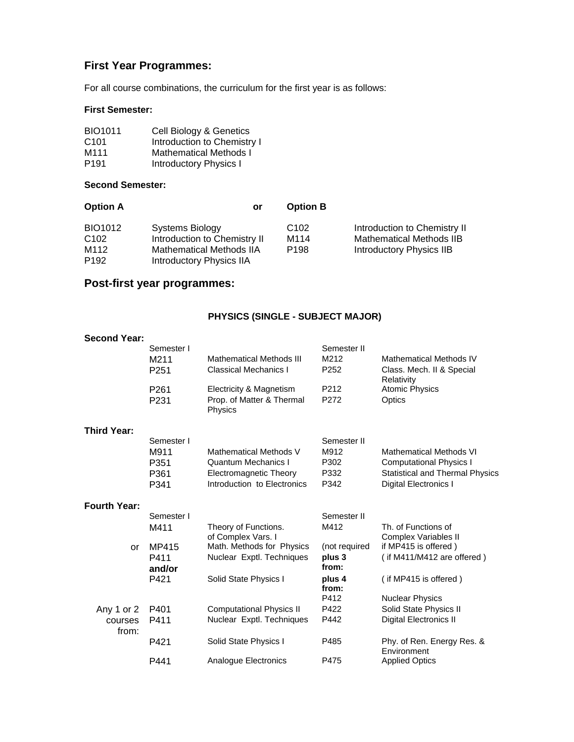# **First Year Programmes:**

For all course combinations, the curriculum for the first year is as follows:

# **First Semester:**

| <b>BIO1011</b>   | Cell Biology & Genetics       |
|------------------|-------------------------------|
| C <sub>101</sub> | Introduction to Chemistry I   |
| M <sub>111</sub> | <b>Mathematical Methods I</b> |
| P <sub>191</sub> | <b>Introductory Physics I</b> |

# **Second Semester:**

| <b>Option A</b>                                         | or                                                                                                                    | <b>Option B</b>                              |                                                                                             |
|---------------------------------------------------------|-----------------------------------------------------------------------------------------------------------------------|----------------------------------------------|---------------------------------------------------------------------------------------------|
| BIO1012<br>C <sub>102</sub><br>M112<br>P <sub>192</sub> | Systems Biology<br>Introduction to Chemistry II<br><b>Mathematical Methods IIA</b><br><b>Introductory Physics IIA</b> | C <sub>102</sub><br>M114<br>P <sub>198</sub> | Introduction to Chemistry II<br><b>Mathematical Methods IIB</b><br>Introductory Physics IIB |
|                                                         |                                                                                                                       |                                              |                                                                                             |

# **Post-first year programmes:**

# **PHYSICS (SINGLE - SUBJECT MAJOR)**

| <b>Second Year:</b> |                          |                                                                 |                           |                                             |
|---------------------|--------------------------|-----------------------------------------------------------------|---------------------------|---------------------------------------------|
|                     | Semester I               |                                                                 | Semester II               |                                             |
|                     | M211                     | <b>Mathematical Methods III</b>                                 | M212                      | <b>Mathematical Methods IV</b>              |
|                     | P <sub>251</sub>         | Classical Mechanics I                                           | P <sub>252</sub>          | Class. Mech. II & Special<br>Relativity     |
|                     | P <sub>261</sub><br>P231 | Electricity & Magnetism<br>Prop. of Matter & Thermal<br>Physics | P <sub>2</sub> 12<br>P272 | <b>Atomic Physics</b><br>Optics             |
| <b>Third Year:</b>  |                          |                                                                 |                           |                                             |
|                     | Semester I               |                                                                 | Semester II               |                                             |
|                     | M911                     | Mathematical Methods V                                          | M912                      | <b>Mathematical Methods VI</b>              |
|                     | P351                     | Quantum Mechanics I                                             | P302                      | <b>Computational Physics I</b>              |
|                     | P361                     | <b>Electromagnetic Theory</b>                                   | P332                      | <b>Statistical and Thermal Physics</b>      |
|                     | P341                     | Introduction to Electronics                                     | P342                      | Digital Electronics I                       |
| <b>Fourth Year:</b> |                          |                                                                 |                           |                                             |
|                     | Semester I               |                                                                 | Semester II               |                                             |
|                     | M411                     | Theory of Functions.<br>of Complex Vars. I                      | M412                      | Th, of Functions of<br>Complex Variables II |
| <b>or</b>           | MP415                    | Math. Methods for Physics                                       | (not required             | if MP415 is offered)                        |
|                     | P411<br>and/or           | Nuclear Exptl. Techniques                                       | plus 3<br>from:           | (if $M411/M412$ are offered)                |
|                     | P421                     | Solid State Physics I                                           | plus 4<br>from:           | (if MP415 is offered)                       |
|                     |                          |                                                                 | P412                      | <b>Nuclear Physics</b>                      |
| Any 1 or 2          | P401                     | <b>Computational Physics II</b>                                 | P422                      | Solid State Physics II                      |
| courses<br>from:    | P411                     | Nuclear Exptl. Techniques                                       | P442                      | Digital Electronics II                      |
|                     | P421                     | Solid State Physics I                                           | P485                      | Phy. of Ren. Energy Res. &<br>Environment   |
|                     | P441                     | Analogue Electronics                                            | P475                      | <b>Applied Optics</b>                       |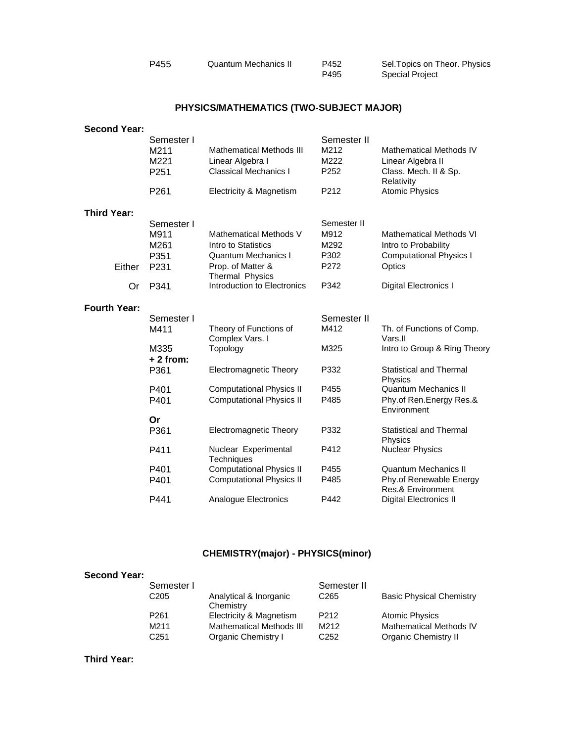| P455 | Quantum Mechanics II | P452 | Sel. Topics on Theor. Physics |
|------|----------------------|------|-------------------------------|
|      |                      | P495 | <b>Special Project</b>        |

# **PHYSICS/MATHEMATICS (TWO-SUBJECT MAJOR)**

| <b>Second Year:</b> |                                    |                                                                                     |                                                 |                                                                              |
|---------------------|------------------------------------|-------------------------------------------------------------------------------------|-------------------------------------------------|------------------------------------------------------------------------------|
|                     | Semester I<br>M211<br>M221<br>P251 | <b>Mathematical Methods III</b><br>Linear Algebra I<br><b>Classical Mechanics I</b> | Semester II<br>M212<br>M222<br>P <sub>252</sub> | <b>Mathematical Methods IV</b><br>Linear Algebra II<br>Class. Mech. II & Sp. |
|                     | P <sub>261</sub>                   | Electricity & Magnetism                                                             | P212                                            | Relativity<br><b>Atomic Physics</b>                                          |
| <b>Third Year:</b>  |                                    |                                                                                     |                                                 |                                                                              |
|                     | Semester I<br>M911<br>M261         | Mathematical Methods V<br>Intro to Statistics                                       | Semester II<br>M912<br>M292                     | <b>Mathematical Methods VI</b><br>Intro to Probability                       |
| Either              | P351<br>P231                       | <b>Quantum Mechanics I</b><br>Prop. of Matter &<br>Thermal Physics                  | P302<br>P272                                    | <b>Computational Physics I</b><br>Optics                                     |
| Or                  | P341                               | Introduction to Electronics                                                         | P342                                            | Digital Electronics I                                                        |
| <b>Fourth Year:</b> |                                    |                                                                                     |                                                 |                                                                              |
|                     | Semester I                         |                                                                                     | Semester II                                     |                                                                              |
|                     | M411                               | Theory of Functions of<br>Complex Vars. I                                           | M412                                            | Th. of Functions of Comp.<br>Vars.II                                         |
|                     | M335<br>$+2$ from:                 | Topology                                                                            | M325                                            | Intro to Group & Ring Theory                                                 |
|                     | P361                               | Electromagnetic Theory                                                              | P332                                            | Statistical and Thermal<br>Physics                                           |
|                     | P401                               | <b>Computational Physics II</b>                                                     | P455                                            | Quantum Mechanics II                                                         |
|                     | P401                               | <b>Computational Physics II</b>                                                     | P485                                            | Phy.of Ren.Energy Res.&<br>Environment                                       |
|                     | Or                                 |                                                                                     |                                                 |                                                                              |
|                     | P361                               | <b>Electromagnetic Theory</b>                                                       | P332                                            | <b>Statistical and Thermal</b><br>Physics                                    |
|                     | P411                               | Nuclear Experimental<br><b>Techniques</b>                                           | P412                                            | <b>Nuclear Physics</b>                                                       |
|                     | P401                               | <b>Computational Physics II</b>                                                     | P455                                            | <b>Quantum Mechanics II</b>                                                  |
|                     | P401                               | <b>Computational Physics II</b>                                                     | P485                                            | Phy.of Renewable Energy<br>Res.& Environment                                 |
|                     | P441                               | Analogue Electronics                                                                | P442                                            | Digital Electronics II                                                       |
|                     |                                    |                                                                                     |                                                 |                                                                              |

# **CHEMISTRY(major) - PHYSICS(minor)**

| <b>Second Year:</b> |                  |                                     |                  |                                 |
|---------------------|------------------|-------------------------------------|------------------|---------------------------------|
|                     | Semester I       |                                     | Semester II      |                                 |
|                     | C <sub>205</sub> | Analytical & Inorganic<br>Chemistry | C <sub>265</sub> | <b>Basic Physical Chemistry</b> |
|                     | P <sub>261</sub> | Electricity & Magnetism             | P <sub>212</sub> | <b>Atomic Physics</b>           |
|                     | M211             | <b>Mathematical Methods III</b>     | M212             | <b>Mathematical Methods IV</b>  |
|                     | C251             | Organic Chemistry I                 | C <sub>252</sub> | Organic Chemistry II            |

# **Third Year:**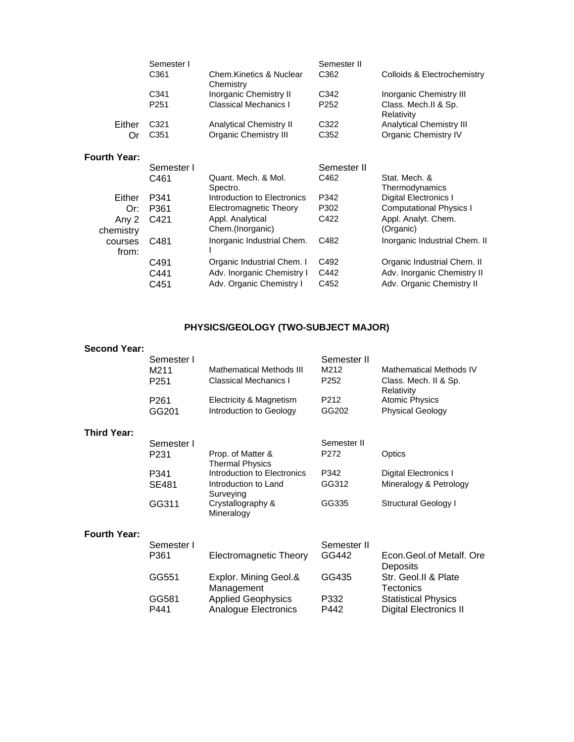|                     | Semester I       |                                      | Semester II      |                                    |
|---------------------|------------------|--------------------------------------|------------------|------------------------------------|
|                     | C <sub>361</sub> | Chem Kinetics & Nuclear<br>Chemistry | C <sub>362</sub> | Colloids & Electrochemistry        |
|                     | C341             | <b>Inorganic Chemistry II</b>        | C342             | Inorganic Chemistry III            |
|                     | P <sub>251</sub> | <b>Classical Mechanics I</b>         | P <sub>252</sub> | Class. Mech.II & Sp.<br>Relativity |
| Either              | C <sub>321</sub> | <b>Analytical Chemistry II</b>       | C322             | <b>Analytical Chemistry III</b>    |
| Or                  | C <sub>351</sub> | <b>Organic Chemistry III</b>         | C <sub>352</sub> | Organic Chemistry IV               |
| <b>Fourth Year:</b> |                  |                                      |                  |                                    |
|                     | Semester I       |                                      | Semester II      |                                    |
|                     | C461             | Quant. Mech. & Mol.<br>Spectro.      | C462             | Stat. Mech. &<br>Thermodynamics    |
| Either              | P341             | Introduction to Electronics          | P342             | Digital Electronics I              |
| Or:                 | P361             | Electromagnetic Theory               | P302             | Computational Physics I            |
| Any 2<br>chemistry  | C421             | Appl. Analytical<br>Chem.(Inorganic) | C422             | Appl. Analyt. Chem.<br>(Organic)   |
| courses<br>from:    | C481             | Inorganic Industrial Chem.           | C482             | Inorganic Industrial Chem. II      |
|                     | C491             | Organic Industrial Chem. I           | C492             | Organic Industrial Chem. II        |
|                     | C441             | Adv. Inorganic Chemistry I           | C442             | Adv. Inorganic Chemistry II        |
|                     | C451             | Adv. Organic Chemistry I             | C452             | Adv. Organic Chemistry II          |

# **PHYSICS/GEOLOGY (TWO-SUBJECT MAJOR)**

| <b>Second Year:</b> |                  |                                             |                   |                                      |
|---------------------|------------------|---------------------------------------------|-------------------|--------------------------------------|
|                     | Semester I       |                                             | Semester II       |                                      |
|                     | M211             | <b>Mathematical Methods III</b>             | M212              | Mathematical Methods IV              |
|                     | P <sub>251</sub> | <b>Classical Mechanics I</b>                | P <sub>252</sub>  | Class. Mech. II & Sp.<br>Relativity  |
|                     | P <sub>261</sub> | Electricity & Magnetism                     | P <sub>2</sub> 12 | Atomic Physics                       |
|                     | GG201            | Introduction to Geology                     | GG202             | <b>Physical Geology</b>              |
| <b>Third Year:</b>  |                  |                                             |                   |                                      |
|                     | Semester I       |                                             | Semester II       |                                      |
|                     | P231             | Prop. of Matter &<br><b>Thermal Physics</b> | P <sub>272</sub>  | Optics                               |
|                     | P341             | Introduction to Electronics                 | P342              | Digital Electronics I                |
|                     | <b>SE481</b>     | Introduction to Land<br>Surveying           | GG312             | Mineralogy & Petrology               |
|                     | GG311            | Crystallography &<br>Mineralogy             | GG335             | <b>Structural Geology I</b>          |
| <b>Fourth Year:</b> |                  |                                             |                   |                                      |
|                     | Semester I       |                                             | Semester II       |                                      |
|                     | P361             | Electromagnetic Theory                      | GG442             | Econ Geol of Metalf. Ore<br>Deposits |
|                     | GG551            | Explor. Mining Geol.&<br>Management         | GG435             | Str. Geol.II & Plate<br>Tectonics    |
|                     | GG581            | <b>Applied Geophysics</b>                   | P332              | <b>Statistical Physics</b>           |
|                     | P441             | Analogue Electronics                        | P442              | <b>Digital Electronics II</b>        |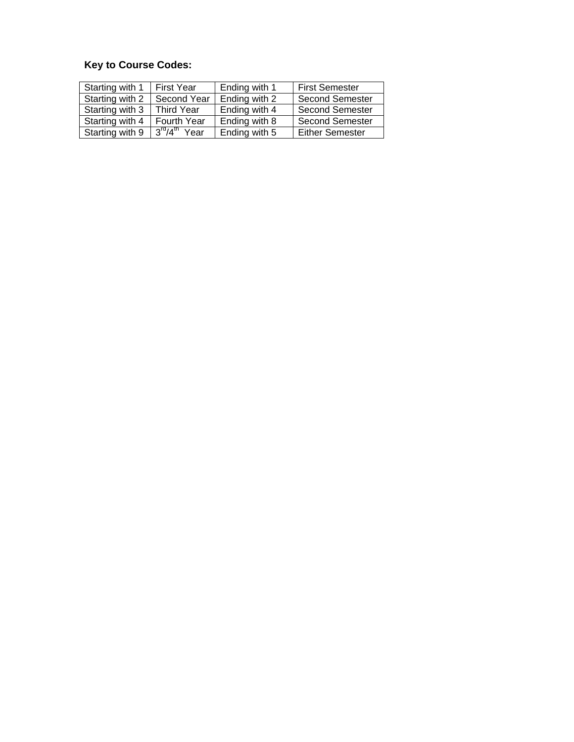# **Key to Course Codes:**

| Starting with 1 | First Year        | Ending with 1 | <b>First Semester</b>  |
|-----------------|-------------------|---------------|------------------------|
| Starting with 2 | Second Year       | Ending with 2 | <b>Second Semester</b> |
| Starting with 3 | <b>Third Year</b> | Ending with 4 | <b>Second Semester</b> |
| Starting with 4 | Fourth Year       | Ending with 8 | <b>Second Semester</b> |
| Starting with 9 | $3rd/4th$ Year    | Ending with 5 | <b>Either Semester</b> |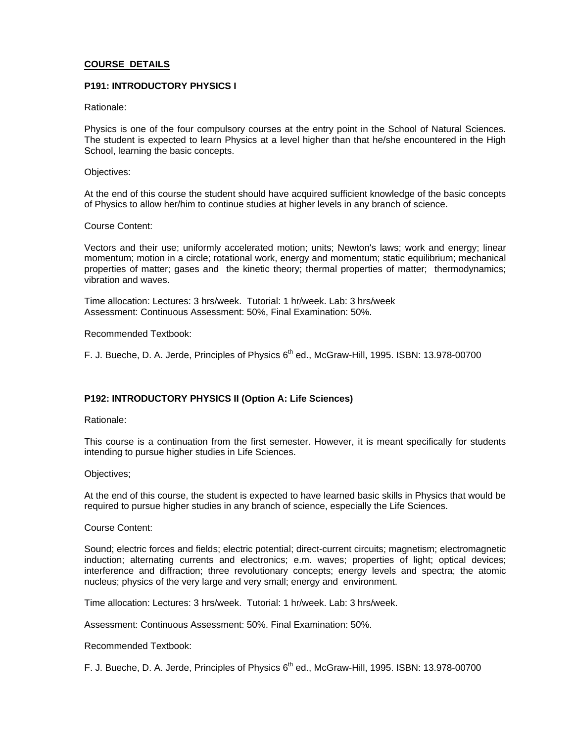# **COURSE DETAILS**

# **P191: INTRODUCTORY PHYSICS I**

# Rationale:

Physics is one of the four compulsory courses at the entry point in the School of Natural Sciences. The student is expected to learn Physics at a level higher than that he/she encountered in the High School, learning the basic concepts.

#### Objectives:

At the end of this course the student should have acquired sufficient knowledge of the basic concepts of Physics to allow her/him to continue studies at higher levels in any branch of science.

#### Course Content:

Vectors and their use; uniformly accelerated motion; units; Newton's laws; work and energy; linear momentum; motion in a circle; rotational work, energy and momentum; static equilibrium; mechanical properties of matter; gases and the kinetic theory; thermal properties of matter; thermodynamics; vibration and waves.

Time allocation: Lectures: 3 hrs/week. Tutorial: 1 hr/week. Lab: 3 hrs/week Assessment: Continuous Assessment: 50%, Final Examination: 50%.

#### Recommended Textbook:

F. J. Bueche, D. A. Jerde, Principles of Physics  $6<sup>th</sup>$  ed., McGraw-Hill, 1995. ISBN: 13.978-00700

# **P192: INTRODUCTORY PHYSICS II (Option A: Life Sciences)**

Rationale:

This course is a continuation from the first semester. However, it is meant specifically for students intending to pursue higher studies in Life Sciences.

#### Objectives;

At the end of this course, the student is expected to have learned basic skills in Physics that would be required to pursue higher studies in any branch of science, especially the Life Sciences.

#### Course Content:

Sound; electric forces and fields; electric potential; direct-current circuits; magnetism; electromagnetic induction; alternating currents and electronics; e.m. waves; properties of light; optical devices; interference and diffraction; three revolutionary concepts; energy levels and spectra; the atomic nucleus; physics of the very large and very small; energy and environment.

Time allocation: Lectures: 3 hrs/week. Tutorial: 1 hr/week. Lab: 3 hrs/week.

Assessment: Continuous Assessment: 50%. Final Examination: 50%.

Recommended Textbook:

F. J. Bueche, D. A. Jerde, Principles of Physics 6<sup>th</sup> ed., McGraw-Hill, 1995. ISBN: 13.978-00700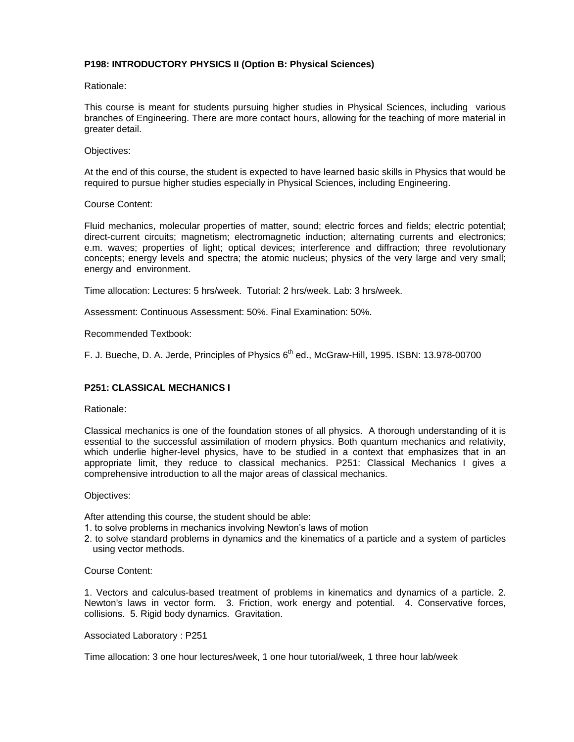# **P198: INTRODUCTORY PHYSICS II (Option B: Physical Sciences)**

Rationale:

This course is meant for students pursuing higher studies in Physical Sciences, including various branches of Engineering. There are more contact hours, allowing for the teaching of more material in greater detail.

#### Objectives:

At the end of this course, the student is expected to have learned basic skills in Physics that would be required to pursue higher studies especially in Physical Sciences, including Engineering.

#### Course Content:

Fluid mechanics, molecular properties of matter, sound; electric forces and fields; electric potential; direct-current circuits; magnetism; electromagnetic induction; alternating currents and electronics; e.m. waves; properties of light; optical devices; interference and diffraction; three revolutionary concepts; energy levels and spectra; the atomic nucleus; physics of the very large and very small; energy and environment.

Time allocation: Lectures: 5 hrs/week. Tutorial: 2 hrs/week. Lab: 3 hrs/week.

Assessment: Continuous Assessment: 50%. Final Examination: 50%.

#### Recommended Textbook:

F. J. Bueche, D. A. Jerde, Principles of Physics  $6<sup>th</sup>$  ed., McGraw-Hill, 1995. ISBN: 13.978-00700

# **P251: CLASSICAL MECHANICS I**

Rationale:

Classical mechanics is one of the foundation stones of all physics. A thorough understanding of it is essential to the successful assimilation of modern physics. Both quantum mechanics and relativity, which underlie higher-level physics, have to be studied in a context that emphasizes that in an appropriate limit, they reduce to classical mechanics. P251: Classical Mechanics I gives a comprehensive introduction to all the major areas of classical mechanics.

#### Objectives:

After attending this course, the student should be able:

- 1. to solve problems in mechanics involving Newton's laws of motion
- 2. to solve standard problems in dynamics and the kinematics of a particle and a system of particles using vector methods.

#### Course Content:

1. Vectors and calculus-based treatment of problems in kinematics and dynamics of a particle. 2. Newton's laws in vector form. 3. Friction, work energy and potential. 4. Conservative forces, collisions. 5. Rigid body dynamics. Gravitation.

#### Associated Laboratory : P251

Time allocation: 3 one hour lectures/week, 1 one hour tutorial/week, 1 three hour lab/week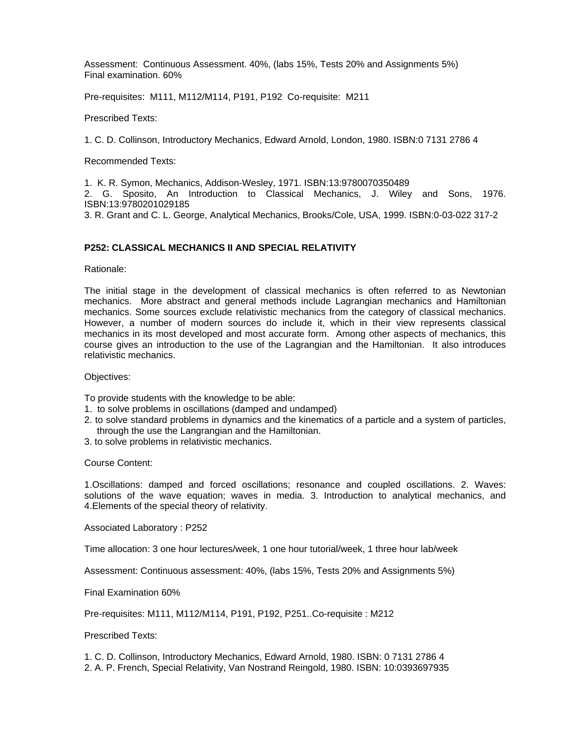Assessment: Continuous Assessment. 40%, (labs 15%, Tests 20% and Assignments 5%) Final examination. 60%

Pre-requisites: M111, M112/M114, P191, P192 Co-requisite: M211

Prescribed Texts:

1. C. D. Collinson, Introductory Mechanics, Edward Arnold, London, 1980. ISBN:0 7131 2786 4

Recommended Texts:

1. K. R. Symon, Mechanics, Addison-Wesley, 1971. ISBN:13:9780070350489

2. G. Sposito, An Introduction to Classical Mechanics, J. Wiley and Sons, 1976. ISBN:13:9780201029185

3. R. Grant and C. L. George, Analytical Mechanics, Brooks/Cole, USA, 1999. ISBN:0-03-022 317-2

# **P252: CLASSICAL MECHANICS II AND SPECIAL RELATIVITY**

Rationale:

The initial stage in the development of classical mechanics is often referred to as Newtonian mechanics. More abstract and general methods include Lagrangian mechanics and Hamiltonian mechanics. Some sources exclude relativistic mechanics from the category of classical mechanics. However, a number of modern sources do include it, which in their view represents classical mechanics in its most developed and most accurate form. Among other aspects of mechanics, this course gives an introduction to the use of the Lagrangian and the Hamiltonian. It also introduces relativistic mechanics.

Objectives:

To provide students with the knowledge to be able:

- 1. to solve problems in oscillations (damped and undamped)
- 2. to solve standard problems in dynamics and the kinematics of a particle and a system of particles, through the use the Langrangian and the Hamiltonian.
- 3. to solve problems in relativistic mechanics.

Course Content:

1.Oscillations: damped and forced oscillations; resonance and coupled oscillations. 2. Waves: solutions of the wave equation; waves in media. 3. Introduction to analytical mechanics, and 4.Elements of the special theory of relativity.

Associated Laboratory : P252

Time allocation: 3 one hour lectures/week, 1 one hour tutorial/week, 1 three hour lab/week

Assessment: Continuous assessment: 40%, (labs 15%, Tests 20% and Assignments 5%)

Final Examination 60%

Pre-requisites: M111, M112/M114, P191, P192, P251..Co-requisite : M212

Prescribed Texts:

1. C. D. Collinson, Introductory Mechanics, Edward Arnold, 1980. ISBN: 0 7131 2786 4

2. A. P. French, Special Relativity, Van Nostrand Reingold, 1980. ISBN: 10:0393697935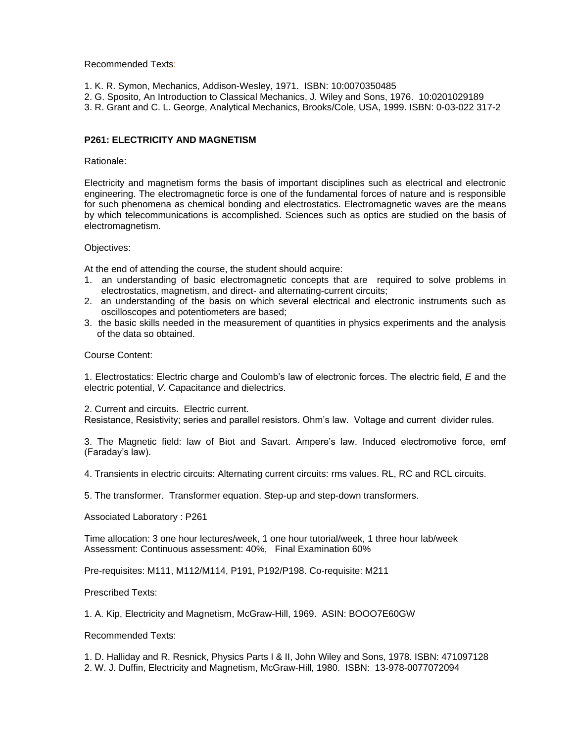Recommended Texts:

- 1. K. R. Symon, Mechanics, Addison-Wesley, 1971. ISBN: 10:0070350485
- 2. G. Sposito, An Introduction to Classical Mechanics, J. Wiley and Sons, 1976. 10:0201029189
- 3. R. Grant and C. L. George, Analytical Mechanics, Brooks/Cole, USA, 1999. ISBN: 0-03-022 317-2

# **P261: ELECTRICITY AND MAGNETISM**

#### Rationale:

Electricity and magnetism forms the basis of important disciplines such as electrical and electronic engineering. The electromagnetic force is one of the fundamental forces of nature and is responsible for such phenomena as chemical bonding and electrostatics. Electromagnetic waves are the means by which telecommunications is accomplished. Sciences such as optics are studied on the basis of electromagnetism.

Objectives:

At the end of attending the course, the student should acquire:

- 1. an understanding of basic electromagnetic concepts that are required to solve problems in electrostatics, magnetism, and direct- and alternating-current circuits;
- 2. an understanding of the basis on which several electrical and electronic instruments such as oscilloscopes and potentiometers are based;
- 3. the basic skills needed in the measurement of quantities in physics experiments and the analysis of the data so obtained.

## Course Content:

1. Electrostatics: Electric charge and Coulomb's law of electronic forces. The electric field, *E* and the electric potential, *V*. Capacitance and dielectrics.

2. Current and circuits. Electric current.

Resistance, Resistivity; series and parallel resistors. Ohm's law. Voltage and current divider rules.

3. The Magnetic field: law of Biot and Savart. Ampere's law. Induced electromotive force, emf (Faraday's law).

4. Transients in electric circuits: Alternating current circuits: rms values. RL, RC and RCL circuits.

5. The transformer. Transformer equation. Step-up and step-down transformers.

Associated Laboratory : P261

Time allocation: 3 one hour lectures/week, 1 one hour tutorial/week, 1 three hour lab/week Assessment: Continuous assessment: 40%, Final Examination 60%

Pre-requisites: M111, M112/M114, P191, P192/P198. Co-requisite: M211

Prescribed Texts:

1. A. Kip, Electricity and Magnetism, McGraw-Hill, 1969. ASIN: BOOO7E60GW

Recommended Texts:

1. D. Halliday and R. Resnick, Physics Parts I & II, John Wiley and Sons, 1978. ISBN: 471097128 2. W. J. Duffin, Electricity and Magnetism, McGraw-Hill, 1980. ISBN: 13-978-0077072094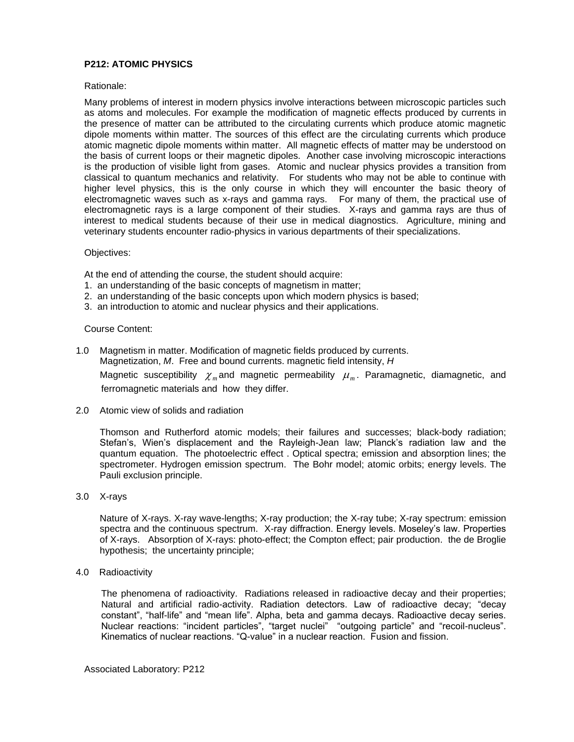# **P212: ATOMIC PHYSICS**

## Rationale:

Many problems of interest in modern physics involve interactions between microscopic particles such as atoms and molecules. For example the modification of magnetic effects produced by currents in the presence of matter can be attributed to the circulating currents which produce atomic magnetic dipole moments within matter. The sources of this effect are the circulating currents which produce atomic magnetic dipole moments within matter. All magnetic effects of matter may be understood on the basis of current loops or their magnetic dipoles. Another case involving microscopic interactions is the production of visible light from gases. Atomic and nuclear physics provides a transition from classical to quantum mechanics and relativity. For students who may not be able to continue with higher level physics, this is the only course in which they will encounter the basic theory of electromagnetic waves such as x-rays and gamma rays. For many of them, the practical use of electromagnetic rays is a large component of their studies. X-rays and gamma rays are thus of interest to medical students because of their use in medical diagnostics. Agriculture, mining and veterinary students encounter radio-physics in various departments of their specializations.

#### Objectives:

At the end of attending the course, the student should acquire:

- 1. an understanding of the basic concepts of magnetism in matter;
- 2. an understanding of the basic concepts upon which modern physics is based;
- 3. an introduction to atomic and nuclear physics and their applications.

#### Course Content:

- 1.0 Magnetism in matter. Modification of magnetic fields produced by currents. Magnetization, *M*. Free and bound currents. magnetic field intensity, *H* Magnetic susceptibility  $\chi_m$  and magnetic permeability  $\mu_m$ . Paramagnetic, diamagnetic, and ferromagnetic materials and how they differ.
- 2.0 Atomic view of solids and radiation

Thomson and Rutherford atomic models; their failures and successes; black-body radiation; Stefan's, Wien's displacement and the Rayleigh-Jean law; Planck's radiation law and the quantum equation. The photoelectric effect . Optical spectra; emission and absorption lines; the spectrometer. Hydrogen emission spectrum. The Bohr model; atomic orbits; energy levels. The Pauli exclusion principle.

3.0 X-rays

Nature of X-rays. X-ray wave-lengths; X-ray production; the X-ray tube; X-ray spectrum: emission spectra and the continuous spectrum. X-ray diffraction. Energy levels. Moseley's law. Properties of X-rays. Absorption of X-rays: photo-effect; the Compton effect; pair production. the de Broglie hypothesis; the uncertainty principle;

4.0 Radioactivity

The phenomena of radioactivity. Radiations released in radioactive decay and their properties; Natural and artificial radio-activity. Radiation detectors. Law of radioactive decay; "decay constant", "half-life" and "mean life". Alpha, beta and gamma decays. Radioactive decay series. Nuclear reactions: "incident particles", "target nuclei" "outgoing particle" and "recoil-nucleus". Kinematics of nuclear reactions. "Q-value" in a nuclear reaction. Fusion and fission.

Associated Laboratory: P212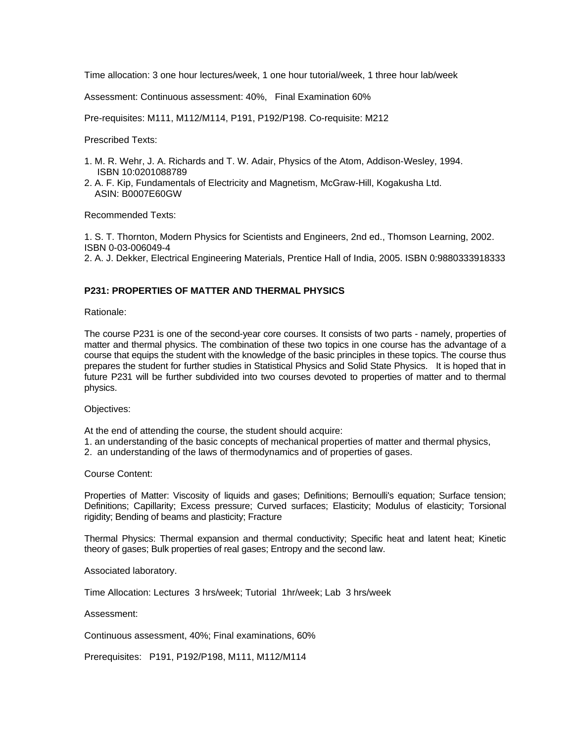Time allocation: 3 one hour lectures/week, 1 one hour tutorial/week, 1 three hour lab/week

Assessment: Continuous assessment: 40%, Final Examination 60%

Pre-requisites: M111, M112/M114, P191, P192/P198. Co-requisite: M212

Prescribed Texts:

- 1. M. R. Wehr, J. A. Richards and T. W. Adair, Physics of the Atom, Addison-Wesley, 1994. ISBN 10:0201088789
- 2. A. F. Kip, Fundamentals of Electricity and Magnetism, McGraw-Hill, Kogakusha Ltd. ASIN: B0007E60GW

Recommended Texts:

1. S. T. Thornton, Modern Physics for Scientists and Engineers, 2nd ed., Thomson Learning, 2002. ISBN 0-03-006049-4 2. A. J. Dekker, Electrical Engineering Materials, Prentice Hall of India, 2005. ISBN 0:9880333918333

# **P231: PROPERTIES OF MATTER AND THERMAL PHYSICS**

Rationale:

The course P231 is one of the second-year core courses. It consists of two parts - namely, properties of matter and thermal physics. The combination of these two topics in one course has the advantage of a course that equips the student with the knowledge of the basic principles in these topics. The course thus prepares the student for further studies in Statistical Physics and Solid State Physics. It is hoped that in future P231 will be further subdivided into two courses devoted to properties of matter and to thermal physics.

Objectives:

At the end of attending the course, the student should acquire:

- 1. an understanding of the basic concepts of mechanical properties of matter and thermal physics,
- 2. an understanding of the laws of thermodynamics and of properties of gases.

Course Content:

Properties of Matter: Viscosity of liquids and gases; Definitions; Bernoulli's equation; Surface tension; Definitions; Capillarity; Excess pressure; Curved surfaces; Elasticity; Modulus of elasticity; Torsional rigidity; Bending of beams and plasticity; Fracture

Thermal Physics: Thermal expansion and thermal conductivity; Specific heat and latent heat; Kinetic theory of gases; Bulk properties of real gases; Entropy and the second law.

Associated laboratory.

Time Allocation: Lectures 3 hrs/week; Tutorial 1hr/week; Lab 3 hrs/week

Assessment:

Continuous assessment, 40%; Final examinations, 60%

Prerequisites: P191, P192/P198, M111, M112/M114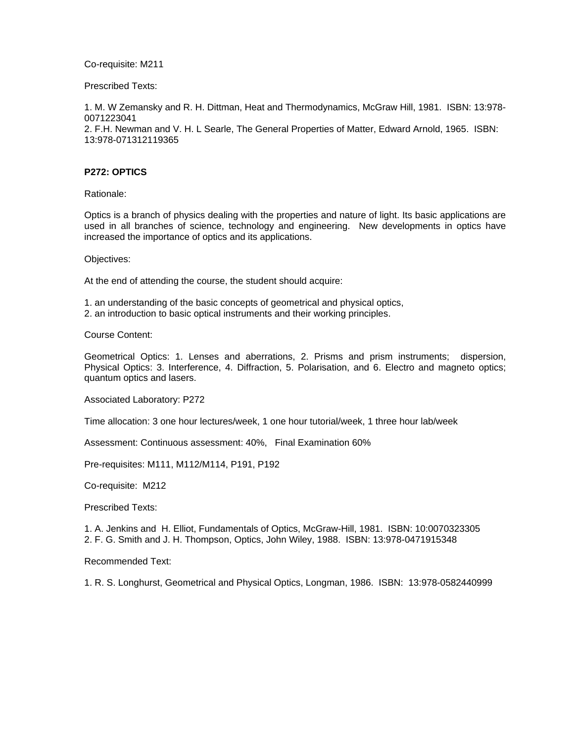Co-requisite: M211

Prescribed Texts:

1. M. W Zemansky and R. H. Dittman, Heat and Thermodynamics, McGraw Hill, 1981. ISBN: 13:978- 0071223041

2. F.H. Newman and V. H. L Searle, The General Properties of Matter, Edward Arnold, 1965. ISBN: 13:978-071312119365

# **P272: OPTICS**

Rationale:

Optics is a branch of physics dealing with the properties and nature of light. Its basic applications are used in all branches of science, technology and engineering. New developments in optics have increased the importance of optics and its applications.

Objectives:

At the end of attending the course, the student should acquire:

- 1. an understanding of the basic concepts of geometrical and physical optics,
- 2. an introduction to basic optical instruments and their working principles.

Course Content:

Geometrical Optics: 1. Lenses and aberrations, 2. Prisms and prism instruments; dispersion, Physical Optics: 3. Interference, 4. Diffraction, 5. Polarisation, and 6. Electro and magneto optics; quantum optics and lasers.

Associated Laboratory: P272

Time allocation: 3 one hour lectures/week, 1 one hour tutorial/week, 1 three hour lab/week

Assessment: Continuous assessment: 40%, Final Examination 60%

Pre-requisites: M111, M112/M114, P191, P192

Co-requisite: M212

Prescribed Texts:

1. A. Jenkins and H. Elliot, Fundamentals of Optics, McGraw-Hill, 1981. ISBN: 10:0070323305 2. F. G. Smith and J. H. Thompson, Optics, John Wiley, 1988. ISBN: 13:978-0471915348

Recommended Text:

1. R. S. Longhurst, Geometrical and Physical Optics, Longman, 1986. ISBN: 13:978-0582440999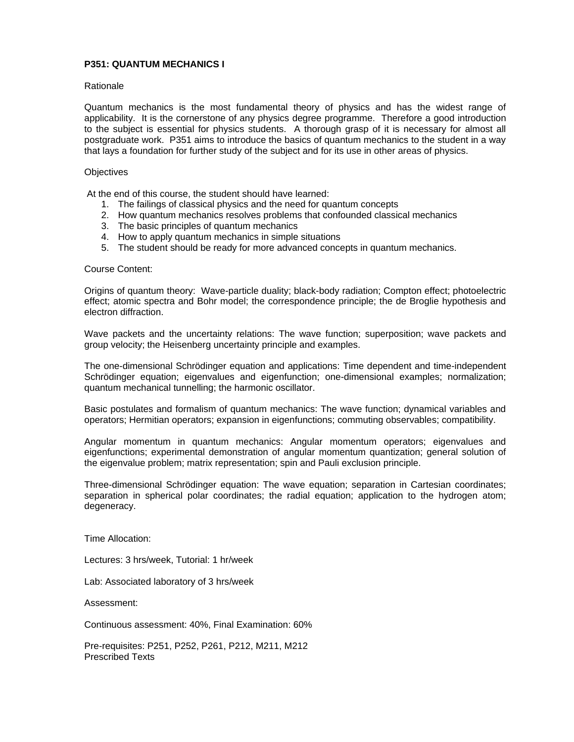# **P351: QUANTUM MECHANICS I**

#### Rationale

Quantum mechanics is the most fundamental theory of physics and has the widest range of applicability. It is the cornerstone of any physics degree programme. Therefore a good introduction to the subject is essential for physics students. A thorough grasp of it is necessary for almost all postgraduate work. P351 aims to introduce the basics of quantum mechanics to the student in a way that lays a foundation for further study of the subject and for its use in other areas of physics.

#### **Objectives**

At the end of this course, the student should have learned:

- 1. The failings of classical physics and the need for quantum concepts
- 2. How quantum mechanics resolves problems that confounded classical mechanics
- 3. The basic principles of quantum mechanics
- 4. How to apply quantum mechanics in simple situations
- 5. The student should be ready for more advanced concepts in quantum mechanics.

#### Course Content:

Origins of quantum theory: Wave-particle duality; black-body radiation; Compton effect; photoelectric effect; atomic spectra and Bohr model; the correspondence principle; the de Broglie hypothesis and electron diffraction.

Wave packets and the uncertainty relations: The wave function; superposition; wave packets and group velocity; the Heisenberg uncertainty principle and examples.

The one-dimensional Schrödinger equation and applications: Time dependent and time-independent Schrödinger equation; eigenvalues and eigenfunction; one-dimensional examples; normalization; quantum mechanical tunnelling; the harmonic oscillator.

Basic postulates and formalism of quantum mechanics: The wave function; dynamical variables and operators; Hermitian operators; expansion in eigenfunctions; commuting observables; compatibility.

Angular momentum in quantum mechanics: Angular momentum operators; eigenvalues and eigenfunctions; experimental demonstration of angular momentum quantization; general solution of the eigenvalue problem; matrix representation; spin and Pauli exclusion principle.

Three-dimensional Schrödinger equation: The wave equation; separation in Cartesian coordinates; separation in spherical polar coordinates; the radial equation; application to the hydrogen atom; degeneracy.

Time Allocation:

Lectures: 3 hrs/week, Tutorial: 1 hr/week

Lab: Associated laboratory of 3 hrs/week

Assessment:

Continuous assessment: 40%, Final Examination: 60%

Pre-requisites: P251, P252, P261, P212, M211, M212 Prescribed Texts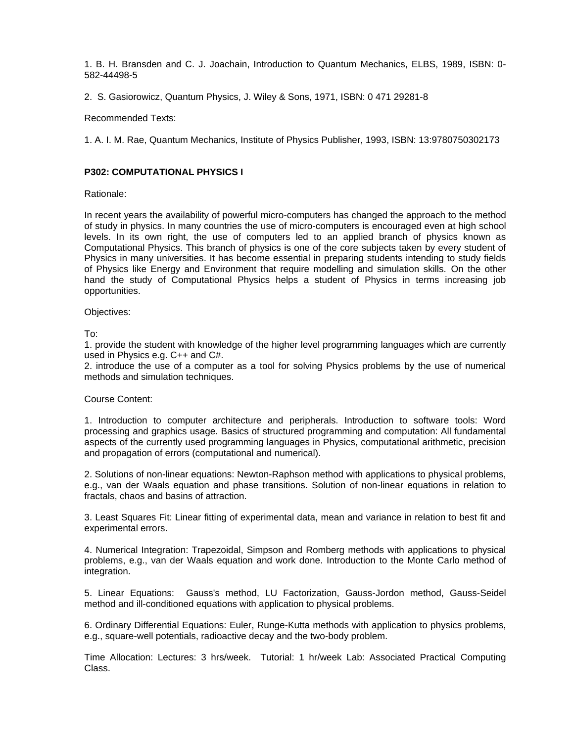1. B. H. Bransden and C. J. Joachain, Introduction to Quantum Mechanics, ELBS, 1989, ISBN: 0- 582-44498-5

2. S. Gasiorowicz, Quantum Physics, J. Wiley & Sons, 1971, ISBN: 0 471 29281-8

Recommended Texts:

1. A. I. M. Rae, Quantum Mechanics, Institute of Physics Publisher, 1993, ISBN: 13:9780750302173

# **P302: COMPUTATIONAL PHYSICS I**

Rationale:

In recent years the availability of powerful micro-computers has changed the approach to the method of study in physics. In many countries the use of micro-computers is encouraged even at high school levels. In its own right, the use of computers led to an applied branch of physics known as Computational Physics. This branch of physics is one of the core subjects taken by every student of Physics in many universities. It has become essential in preparing students intending to study fields of Physics like Energy and Environment that require modelling and simulation skills. On the other hand the study of Computational Physics helps a student of Physics in terms increasing job opportunities.

Objectives:

To:

1. provide the student with knowledge of the higher level programming languages which are currently used in Physics e.g. C++ and C#.

2. introduce the use of a computer as a tool for solving Physics problems by the use of numerical methods and simulation techniques.

# Course Content:

1. Introduction to computer architecture and peripherals. Introduction to software tools: Word processing and graphics usage. Basics of structured programming and computation: All fundamental aspects of the currently used programming languages in Physics, computational arithmetic, precision and propagation of errors (computational and numerical).

2. Solutions of non-linear equations: Newton-Raphson method with applications to physical problems, e.g., van der Waals equation and phase transitions. Solution of non-linear equations in relation to fractals, chaos and basins of attraction.

3. Least Squares Fit: Linear fitting of experimental data, mean and variance in relation to best fit and experimental errors.

4. Numerical Integration: Trapezoidal, Simpson and Romberg methods with applications to physical problems, e.g., van der Waals equation and work done. Introduction to the Monte Carlo method of integration.

5. Linear Equations: Gauss's method, LU Factorization, Gauss-Jordon method, Gauss-Seidel method and ill-conditioned equations with application to physical problems.

6. Ordinary Differential Equations: Euler, Runge-Kutta methods with application to physics problems, e.g., square-well potentials, radioactive decay and the two-body problem.

Time Allocation: Lectures: 3 hrs/week. Tutorial: 1 hr/week Lab: Associated Practical Computing Class.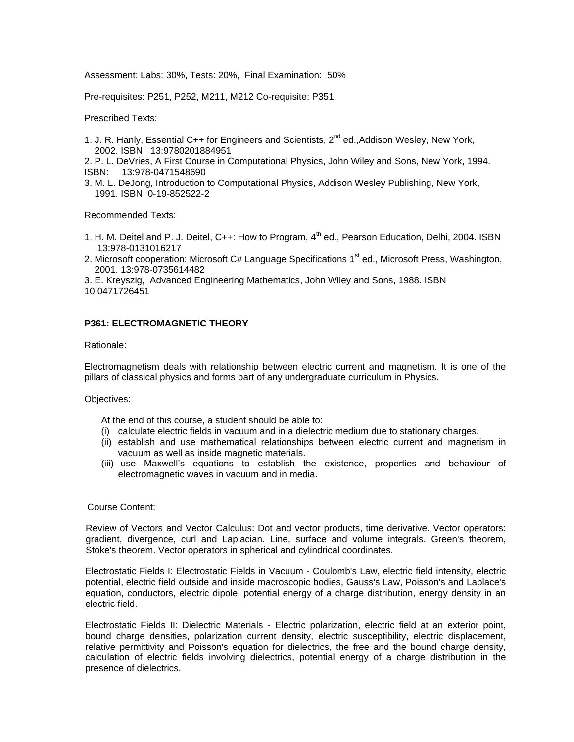Assessment: Labs: 30%, Tests: 20%, Final Examination: 50%

Pre-requisites: P251, P252, M211, M212 Co-requisite: P351

Prescribed Texts:

1. J. R. Hanly, Essential C++ for Engineers and Scientists,  $2^{nd}$  ed., Addison Wesley, New York, 2002. ISBN: 13:9780201884951

2. P. L. DeVries, A First Course in Computational Physics, John Wiley and Sons, New York, 1994. ISBN: 13:978-0471548690

3. M. L. DeJong, Introduction to Computational Physics, Addison Wesley Publishing, New York, 1991. ISBN: 0-19-852522-2

Recommended Texts:

- 1. H. M. Deitel and P. J. Deitel, C++: How to Program, 4<sup>th</sup> ed., Pearson Education, Delhi, 2004. ISBN 13:978-0131016217
- 2. Microsoft cooperation: Microsoft C# Language Specifications  $1<sup>st</sup>$  ed., Microsoft Press, Washington, 2001. 13:978-0735614482

3. E. Kreyszig, Advanced Engineering Mathematics, John Wiley and Sons, 1988. ISBN 10:0471726451

# **P361: ELECTROMAGNETIC THEORY**

Rationale:

Electromagnetism deals with relationship between electric current and magnetism. It is one of the pillars of classical physics and forms part of any undergraduate curriculum in Physics.

Objectives:

At the end of this course, a student should be able to:

- (i) calculate electric fields in vacuum and in a dielectric medium due to stationary charges.
- (ii) establish and use mathematical relationships between electric current and magnetism in vacuum as well as inside magnetic materials.
- (iii) use Maxwell's equations to establish the existence, properties and behaviour of electromagnetic waves in vacuum and in media.

#### Course Content:

Review of Vectors and Vector Calculus: Dot and vector products, time derivative. Vector operators: gradient, divergence, curl and Laplacian. Line, surface and volume integrals. Green's theorem, Stoke's theorem. Vector operators in spherical and cylindrical coordinates.

Electrostatic Fields I: Electrostatic Fields in Vacuum - Coulomb's Law, electric field intensity, electric potential, electric field outside and inside macroscopic bodies, Gauss's Law, Poisson's and Laplace's equation, conductors, electric dipole, potential energy of a charge distribution, energy density in an electric field.

Electrostatic Fields II: Dielectric Materials - Electric polarization, electric field at an exterior point, bound charge densities, polarization current density, electric susceptibility, electric displacement, relative permittivity and Poisson's equation for dielectrics, the free and the bound charge density, calculation of electric fields involving dielectrics, potential energy of a charge distribution in the presence of dielectrics.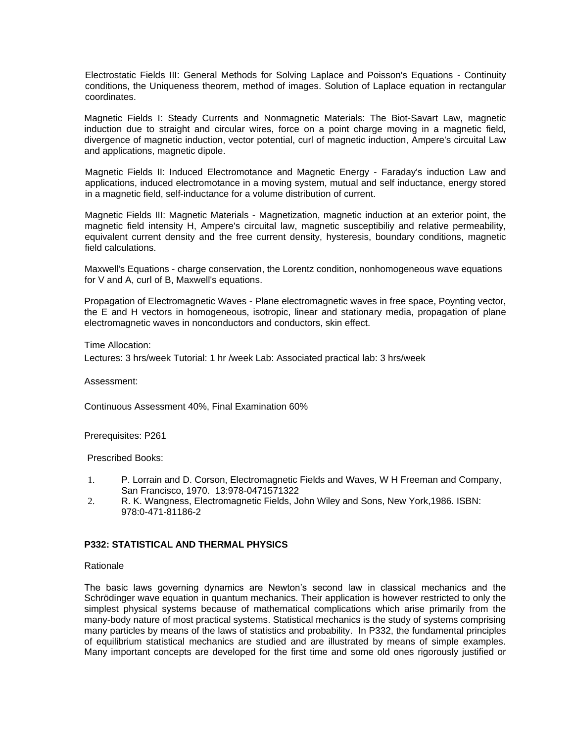Electrostatic Fields III: General Methods for Solving Laplace and Poisson's Equations - Continuity conditions, the Uniqueness theorem, method of images. Solution of Laplace equation in rectangular coordinates.

Magnetic Fields I: Steady Currents and Nonmagnetic Materials: The Biot-Savart Law, magnetic induction due to straight and circular wires, force on a point charge moving in a magnetic field, divergence of magnetic induction, vector potential, curl of magnetic induction, Ampere's circuital Law and applications, magnetic dipole.

Magnetic Fields II: Induced Electromotance and Magnetic Energy - Faraday's induction Law and applications, induced electromotance in a moving system, mutual and self inductance, energy stored in a magnetic field, self-inductance for a volume distribution of current.

Magnetic Fields III: Magnetic Materials - Magnetization, magnetic induction at an exterior point, the magnetic field intensity H, Ampere's circuital law, magnetic susceptibiliy and relative permeability, equivalent current density and the free current density, hysteresis, boundary conditions, magnetic field calculations.

Maxwell's Equations - charge conservation, the Lorentz condition, nonhomogeneous wave equations for V and A, curl of B, Maxwell's equations.

Propagation of Electromagnetic Waves - Plane electromagnetic waves in free space, Poynting vector, the E and H vectors in homogeneous, isotropic, linear and stationary media, propagation of plane electromagnetic waves in nonconductors and conductors, skin effect.

# Time Allocation:

Lectures: 3 hrs/week Tutorial: 1 hr /week Lab: Associated practical lab: 3 hrs/week

#### Assessment:

Continuous Assessment 40%, Final Examination 60%

Prerequisites: P261

Prescribed Books:

- 1. P. Lorrain and D. Corson, Electromagnetic Fields and Waves, W H Freeman and Company, San Francisco, 1970. 13:978-0471571322
- 2. R. K. Wangness, Electromagnetic Fields, John Wiley and Sons, New York,1986. ISBN: 978:0-471-81186-2

#### **P332: STATISTICAL AND THERMAL PHYSICS**

#### Rationale

The basic laws governing dynamics are Newton's second law in classical mechanics and the Schrödinger wave equation in quantum mechanics. Their application is however restricted to only the simplest physical systems because of mathematical complications which arise primarily from the many-body nature of most practical systems. Statistical mechanics is the study of systems comprising many particles by means of the laws of statistics and probability. In P332, the fundamental principles of equilibrium statistical mechanics are studied and are illustrated by means of simple examples. Many important concepts are developed for the first time and some old ones rigorously justified or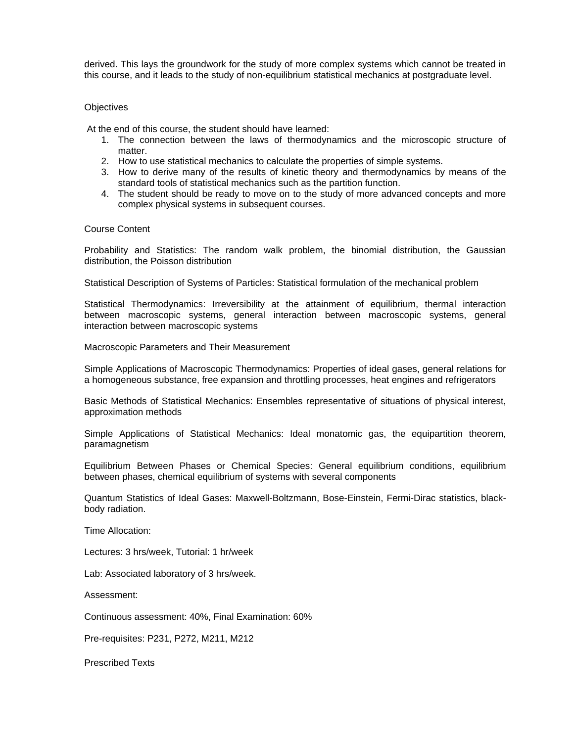derived. This lays the groundwork for the study of more complex systems which cannot be treated in this course, and it leads to the study of non-equilibrium statistical mechanics at postgraduate level.

## **Objectives**

At the end of this course, the student should have learned:

- 1. The connection between the laws of thermodynamics and the microscopic structure of matter.
- 2. How to use statistical mechanics to calculate the properties of simple systems.
- 3. How to derive many of the results of kinetic theory and thermodynamics by means of the standard tools of statistical mechanics such as the partition function.
- 4. The student should be ready to move on to the study of more advanced concepts and more complex physical systems in subsequent courses.

#### Course Content

Probability and Statistics: The random walk problem, the binomial distribution, the Gaussian distribution, the Poisson distribution

Statistical Description of Systems of Particles: Statistical formulation of the mechanical problem

Statistical Thermodynamics: Irreversibility at the attainment of equilibrium, thermal interaction between macroscopic systems, general interaction between macroscopic systems, general interaction between macroscopic systems

Macroscopic Parameters and Their Measurement

Simple Applications of Macroscopic Thermodynamics: Properties of ideal gases, general relations for a homogeneous substance, free expansion and throttling processes, heat engines and refrigerators

Basic Methods of Statistical Mechanics: Ensembles representative of situations of physical interest, approximation methods

Simple Applications of Statistical Mechanics: Ideal monatomic gas, the equipartition theorem, paramagnetism

Equilibrium Between Phases or Chemical Species: General equilibrium conditions, equilibrium between phases, chemical equilibrium of systems with several components

Quantum Statistics of Ideal Gases: Maxwell-Boltzmann, Bose-Einstein, Fermi-Dirac statistics, blackbody radiation.

Time Allocation:

Lectures: 3 hrs/week, Tutorial: 1 hr/week

Lab: Associated laboratory of 3 hrs/week.

Assessment:

Continuous assessment: 40%, Final Examination: 60%

Pre-requisites: P231, P272, M211, M212

Prescribed Texts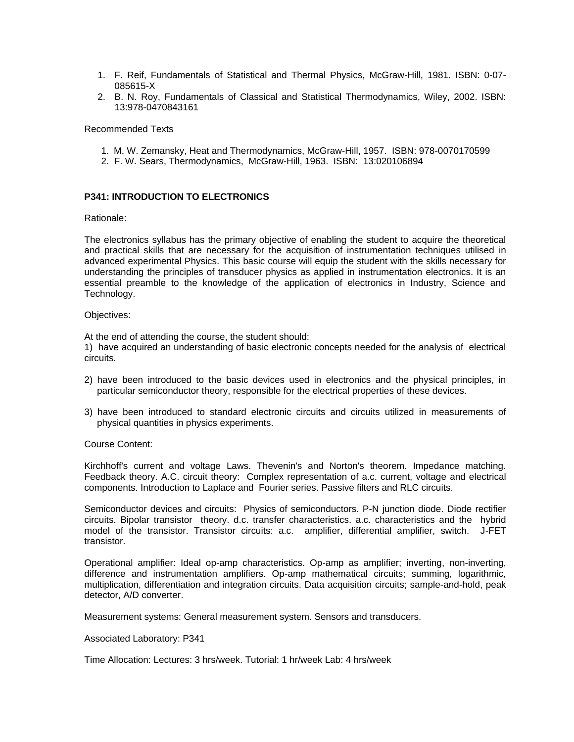- 1. F. Reif, Fundamentals of Statistical and Thermal Physics, McGraw-Hill, 1981. ISBN: 0-07- 085615-X
- 2. B. N. Roy, Fundamentals of Classical and Statistical Thermodynamics, Wiley, 2002. ISBN: 13:978-0470843161

Recommended Texts

- 1. M. W. Zemansky, Heat and Thermodynamics, McGraw-Hill, 1957. ISBN: 978-0070170599
- 2. F. W. Sears, Thermodynamics, McGraw-Hill, 1963. ISBN: 13:020106894

# **P341: INTRODUCTION TO ELECTRONICS**

Rationale:

The electronics syllabus has the primary objective of enabling the student to acquire the theoretical and practical skills that are necessary for the acquisition of instrumentation techniques utilised in advanced experimental Physics. This basic course will equip the student with the skills necessary for understanding the principles of transducer physics as applied in instrumentation electronics. It is an essential preamble to the knowledge of the application of electronics in Industry, Science and Technology.

#### Objectives:

At the end of attending the course, the student should:

1) have acquired an understanding of basic electronic concepts needed for the analysis of electrical circuits.

- 2) have been introduced to the basic devices used in electronics and the physical principles, in particular semiconductor theory, responsible for the electrical properties of these devices.
- 3) have been introduced to standard electronic circuits and circuits utilized in measurements of physical quantities in physics experiments.

Course Content:

Kirchhoff's current and voltage Laws. Thevenin's and Norton's theorem. Impedance matching. Feedback theory. A.C. circuit theory: Complex representation of a.c. current, voltage and electrical components. Introduction to Laplace and Fourier series. Passive filters and RLC circuits.

Semiconductor devices and circuits: Physics of semiconductors. P-N junction diode. Diode rectifier circuits. Bipolar transistor theory. d.c. transfer characteristics. a.c. characteristics and the hybrid model of the transistor. Transistor circuits: a.c. amplifier, differential amplifier, switch. J-FET transistor.

Operational amplifier: Ideal op-amp characteristics. Op-amp as amplifier; inverting, non-inverting, difference and instrumentation amplifiers. Op-amp mathematical circuits; summing, logarithmic, multiplication, differentiation and integration circuits. Data acquisition circuits; sample-and-hold, peak detector, A/D converter.

Measurement systems: General measurement system. Sensors and transducers.

#### Associated Laboratory: P341

Time Allocation: Lectures: 3 hrs/week. Tutorial: 1 hr/week Lab: 4 hrs/week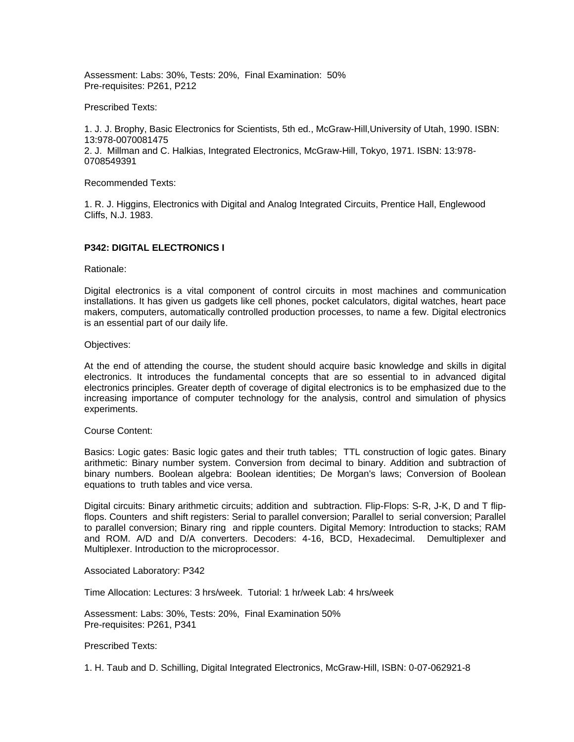Assessment: Labs: 30%, Tests: 20%, Final Examination: 50% Pre-requisites: P261, P212

#### Prescribed Texts:

1. J. J. Brophy, Basic Electronics for Scientists, 5th ed., McGraw-Hill,University of Utah, 1990. ISBN: 13:978-0070081475 2. J. Millman and C. Halkias, Integrated Electronics, McGraw-Hill, Tokyo, 1971. ISBN: 13:978- 0708549391

Recommended Texts:

1. R. J. Higgins, Electronics with Digital and Analog Integrated Circuits, Prentice Hall, Englewood Cliffs, N.J. 1983.

#### **P342: DIGITAL ELECTRONICS I**

Rationale:

Digital electronics is a vital component of control circuits in most machines and communication installations. It has given us gadgets like cell phones, pocket calculators, digital watches, heart pace makers, computers, automatically controlled production processes, to name a few. Digital electronics is an essential part of our daily life.

Objectives:

At the end of attending the course, the student should acquire basic knowledge and skills in digital electronics. It introduces the fundamental concepts that are so essential to in advanced digital electronics principles. Greater depth of coverage of digital electronics is to be emphasized due to the increasing importance of computer technology for the analysis, control and simulation of physics experiments.

#### Course Content:

Basics: Logic gates: Basic logic gates and their truth tables; TTL construction of logic gates. Binary arithmetic: Binary number system. Conversion from decimal to binary. Addition and subtraction of binary numbers. Boolean algebra: Boolean identities; De Morgan's laws; Conversion of Boolean equations to truth tables and vice versa.

Digital circuits: Binary arithmetic circuits; addition and subtraction. Flip-Flops: S-R, J-K, D and T flipflops. Counters and shift registers: Serial to parallel conversion; Parallel to serial conversion; Parallel to parallel conversion; Binary ring and ripple counters. Digital Memory: Introduction to stacks; RAM and ROM. A/D and D/A converters. Decoders: 4-16, BCD, Hexadecimal. Demultiplexer and Multiplexer. Introduction to the microprocessor.

Associated Laboratory: P342

Time Allocation: Lectures: 3 hrs/week. Tutorial: 1 hr/week Lab: 4 hrs/week

Assessment: Labs: 30%, Tests: 20%, Final Examination 50% Pre-requisites: P261, P341

Prescribed Texts:

1. H. Taub and D. Schilling, Digital Integrated Electronics, McGraw-Hill, ISBN: 0-07-062921-8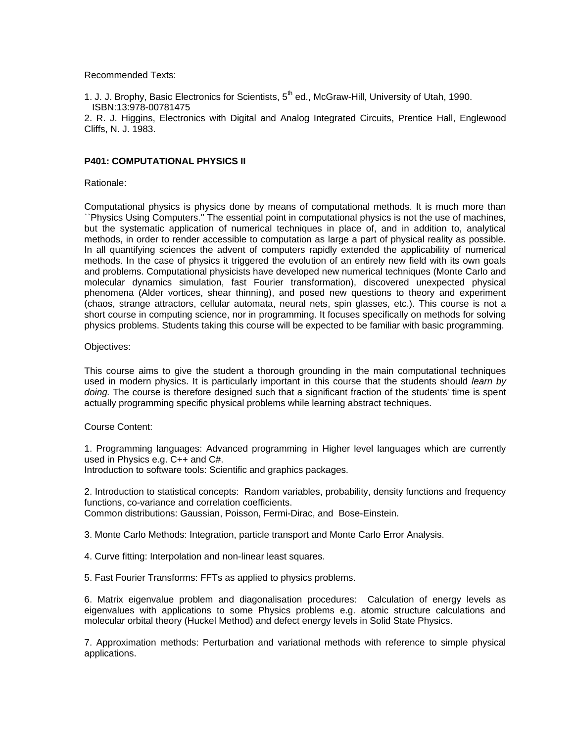Recommended Texts:

1. J. J. Brophy, Basic Electronics for Scientists, 5<sup>th</sup> ed., McGraw-Hill, University of Utah, 1990. ISBN:13:978-00781475

2. R. J. Higgins, Electronics with Digital and Analog Integrated Circuits, Prentice Hall, Englewood Cliffs, N. J. 1983.

## **P401: COMPUTATIONAL PHYSICS II**

Rationale:

Computational physics is physics done by means of computational methods. It is much more than ``Physics Using Computers.'' The essential point in computational physics is not the use of machines, but the systematic application of numerical techniques in place of, and in addition to, analytical methods, in order to render accessible to computation as large a part of physical reality as possible. In all quantifying sciences the advent of computers rapidly extended the applicability of numerical methods. In the case of physics it triggered the evolution of an entirely new field with its own goals and problems. Computational physicists have developed new numerical techniques (Monte Carlo and molecular dynamics simulation, fast Fourier transformation), discovered unexpected physical phenomena (Alder vortices, shear thinning), and posed new questions to theory and experiment (chaos, strange attractors, cellular automata, neural nets, spin glasses, etc.). This course is not a short course in computing science, nor in programming. It focuses specifically on methods for solving physics problems. Students taking this course will be expected to be familiar with basic programming.

#### Objectives:

This course aims to give the student a thorough grounding in the main computational techniques used in modern physics. It is particularly important in this course that the students should *learn by doing.* The course is therefore designed such that a significant fraction of the students' time is spent actually programming specific physical problems while learning abstract techniques.

#### Course Content:

1. Programming languages: Advanced programming in Higher level languages which are currently used in Physics e.g. C++ and C#.

Introduction to software tools: Scientific and graphics packages.

2. Introduction to statistical concepts: Random variables, probability, density functions and frequency functions, co-variance and correlation coefficients. Common distributions: Gaussian, Poisson, Fermi-Dirac, and Bose-Einstein.

3. Monte Carlo Methods: Integration, particle transport and Monte Carlo Error Analysis.

4. Curve fitting: Interpolation and non-linear least squares.

5. Fast Fourier Transforms: FFTs as applied to physics problems.

6. Matrix eigenvalue problem and diagonalisation procedures: Calculation of energy levels as eigenvalues with applications to some Physics problems e.g. atomic structure calculations and molecular orbital theory (Huckel Method) and defect energy levels in Solid State Physics.

7. Approximation methods: Perturbation and variational methods with reference to simple physical applications.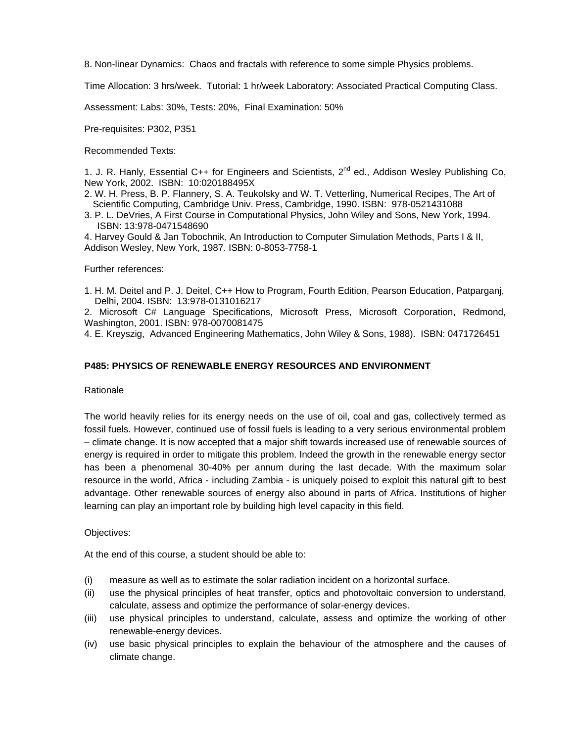8. Non-linear Dynamics: Chaos and fractals with reference to some simple Physics problems.

Time Allocation: 3 hrs/week. Tutorial: 1 hr/week Laboratory: Associated Practical Computing Class.

Assessment: Labs: 30%, Tests: 20%, Final Examination: 50%

Pre-requisites: P302, P351

Recommended Texts:

1. J. R. Hanly, Essential C++ for Engineers and Scientists, 2<sup>nd</sup> ed., Addison Wesley Publishing Co, New York, 2002. ISBN: 10:020188495X

2. W. H. Press, B. P. Flannery, S. A. Teukolsky and W. T. Vetterling, Numerical Recipes, The Art of Scientific Computing, Cambridge Univ. Press, Cambridge, 1990. ISBN: 978-0521431088

3. P. L. DeVries, A First Course in Computational Physics, John Wiley and Sons, New York, 1994. ISBN: 13:978-0471548690

4. Harvey Gould & Jan Tobochnik, An Introduction to Computer Simulation Methods, Parts I & II, Addison Wesley, New York, 1987. ISBN: 0-8053-7758-1

# Further references:

1. H. M. Deitel and P. J. Deitel, C++ How to Program, Fourth Edition, Pearson Education, Patparganj, Delhi, 2004. ISBN: 13:978-0131016217

2. Microsoft C# Language Specifications, Microsoft Press, Microsoft Corporation, Redmond, Washington, 2001. ISBN: 978-0070081475

4. E. Kreyszig, Advanced Engineering Mathematics, John Wiley & Sons, 1988). ISBN: 0471726451

# **P485: PHYSICS OF RENEWABLE ENERGY RESOURCES AND ENVIRONMENT**

#### **Rationale**

The world heavily relies for its energy needs on the use of oil, coal and gas, collectively termed as fossil fuels. However, continued use of fossil fuels is leading to a very serious environmental problem – climate change. It is now accepted that a major shift towards increased use of renewable sources of energy is required in order to mitigate this problem. Indeed the growth in the renewable energy sector has been a phenomenal 30-40% per annum during the last decade. With the maximum solar resource in the world, Africa - including Zambia - is uniquely poised to exploit this natural gift to best advantage. Other renewable sources of energy also abound in parts of Africa. Institutions of higher learning can play an important role by building high level capacity in this field.

# Objectives:

At the end of this course, a student should be able to:

- (i) measure as well as to estimate the solar radiation incident on a horizontal surface.
- (ii) use the physical principles of heat transfer, optics and photovoltaic conversion to understand, calculate, assess and optimize the performance of solar-energy devices.
- (iii) use physical principles to understand, calculate, assess and optimize the working of other renewable-energy devices.
- (iv) use basic physical principles to explain the behaviour of the atmosphere and the causes of climate change.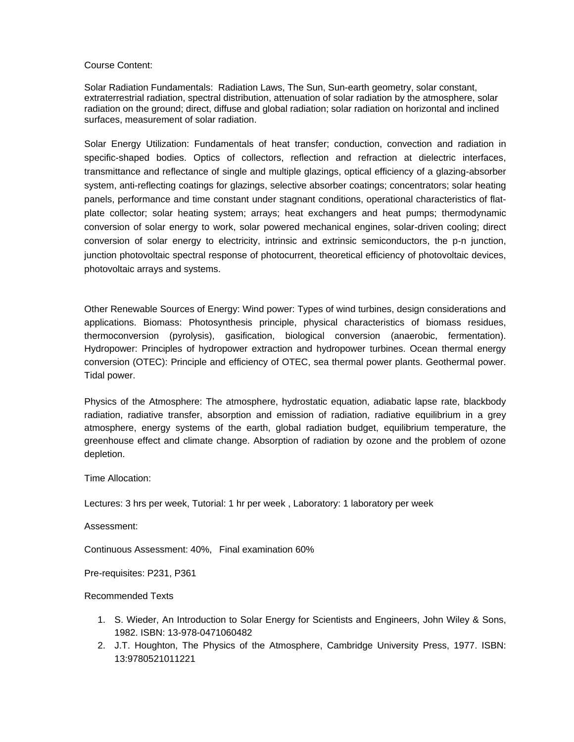#### Course Content:

Solar Radiation Fundamentals: Radiation Laws, The Sun, Sun-earth geometry, solar constant, extraterrestrial radiation, spectral distribution, attenuation of solar radiation by the atmosphere, solar radiation on the ground; direct, diffuse and global radiation; solar radiation on horizontal and inclined surfaces, measurement of solar radiation.

Solar Energy Utilization: Fundamentals of heat transfer; conduction, convection and radiation in specific-shaped bodies. Optics of collectors, reflection and refraction at dielectric interfaces, transmittance and reflectance of single and multiple glazings, optical efficiency of a glazing-absorber system, anti-reflecting coatings for glazings, selective absorber coatings; concentrators; solar heating panels, performance and time constant under stagnant conditions, operational characteristics of flatplate collector; solar heating system; arrays; heat exchangers and heat pumps; thermodynamic conversion of solar energy to work, solar powered mechanical engines, solar-driven cooling; direct conversion of solar energy to electricity, intrinsic and extrinsic semiconductors, the p-n junction, junction photovoltaic spectral response of photocurrent, theoretical efficiency of photovoltaic devices, photovoltaic arrays and systems.

Other Renewable Sources of Energy: Wind power: Types of wind turbines, design considerations and applications. Biomass: Photosynthesis principle, physical characteristics of biomass residues, thermoconversion (pyrolysis), gasification, biological conversion (anaerobic, fermentation). Hydropower: Principles of hydropower extraction and hydropower turbines. Ocean thermal energy conversion (OTEC): Principle and efficiency of OTEC, sea thermal power plants. Geothermal power. Tidal power.

Physics of the Atmosphere: The atmosphere, hydrostatic equation, adiabatic lapse rate, blackbody radiation, radiative transfer, absorption and emission of radiation, radiative equilibrium in a grey atmosphere, energy systems of the earth, global radiation budget, equilibrium temperature, the greenhouse effect and climate change. Absorption of radiation by ozone and the problem of ozone depletion.

Time Allocation:

Lectures: 3 hrs per week, Tutorial: 1 hr per week , Laboratory: 1 laboratory per week

Assessment:

Continuous Assessment: 40%, Final examination 60%

Pre-requisites: P231, P361

Recommended Texts

- 1. S. Wieder, An Introduction to Solar Energy for Scientists and Engineers, John Wiley & Sons, 1982. ISBN: 13-978-0471060482
- 2. J.T. Houghton, The Physics of the Atmosphere, Cambridge University Press, 1977. ISBN: 13:9780521011221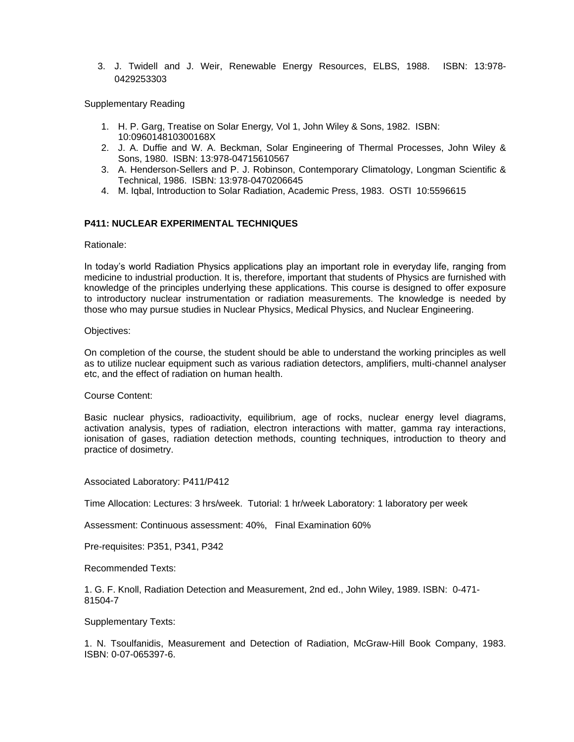3. J. Twidell and J. Weir, Renewable Energy Resources, ELBS, 1988. ISBN: 13:978- 0429253303

Supplementary Reading

- 1. H. P. Garg, Treatise on Solar Energy*,* Vol 1, John Wiley & Sons, 1982. ISBN: 10:096014810300168X
- 2. J. A. Duffie and W. A. Beckman, Solar Engineering of Thermal Processes, John Wiley & Sons, 1980. ISBN: 13:978-04715610567
- 3. A. Henderson-Sellers and P. J. Robinson, Contemporary Climatology, Longman Scientific & Technical, 1986. ISBN: 13:978-0470206645
- 4. M. Iqbal, Introduction to Solar Radiation, Academic Press, 1983. OSTI 10:5596615

# **P411: NUCLEAR EXPERIMENTAL TECHNIQUES**

Rationale:

In today's world Radiation Physics applications play an important role in everyday life, ranging from medicine to industrial production. It is, therefore, important that students of Physics are furnished with knowledge of the principles underlying these applications. This course is designed to offer exposure to introductory nuclear instrumentation or radiation measurements. The knowledge is needed by those who may pursue studies in Nuclear Physics, Medical Physics, and Nuclear Engineering.

#### Objectives:

On completion of the course, the student should be able to understand the working principles as well as to utilize nuclear equipment such as various radiation detectors, amplifiers, multi-channel analyser etc, and the effect of radiation on human health.

#### Course Content:

Basic nuclear physics, radioactivity, equilibrium, age of rocks, nuclear energy level diagrams, activation analysis, types of radiation, electron interactions with matter, gamma ray interactions, ionisation of gases, radiation detection methods, counting techniques, introduction to theory and practice of dosimetry.

Associated Laboratory: P411/P412

Time Allocation: Lectures: 3 hrs/week. Tutorial: 1 hr/week Laboratory: 1 laboratory per week

Assessment: Continuous assessment: 40%, Final Examination 60%

Pre-requisites: P351, P341, P342

Recommended Texts:

1. G. F. Knoll, Radiation Detection and Measurement, 2nd ed., John Wiley, 1989. ISBN: 0-471- 81504-7

Supplementary Texts:

1. N. Tsoulfanidis, Measurement and Detection of Radiation, McGraw-Hill Book Company, 1983. ISBN: 0-07-065397-6.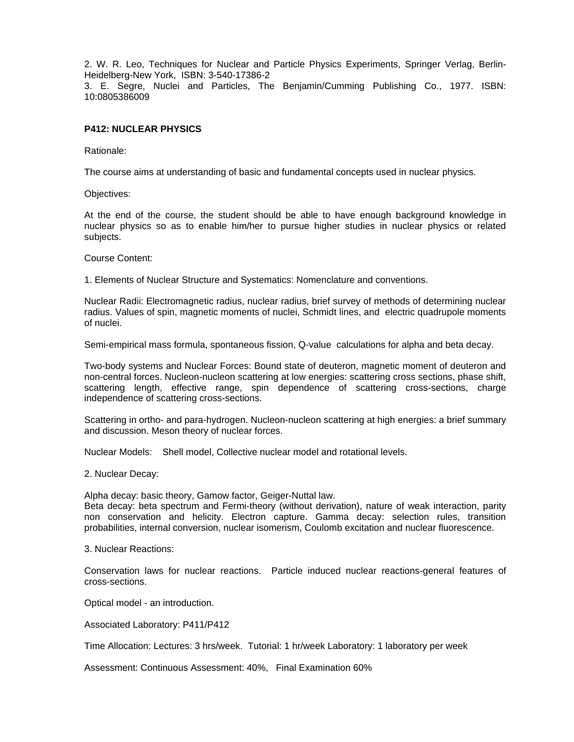2. W. R. Leo, Techniques for Nuclear and Particle Physics Experiments, Springer Verlag, Berlin-Heidelberg-New York, ISBN: 3-540-17386-2

3. E. Segre, Nuclei and Particles, The Benjamin/Cumming Publishing Co., 1977. ISBN: 10:0805386009

# **P412: NUCLEAR PHYSICS**

Rationale:

The course aims at understanding of basic and fundamental concepts used in nuclear physics.

Objectives:

At the end of the course, the student should be able to have enough background knowledge in nuclear physics so as to enable him/her to pursue higher studies in nuclear physics or related subjects.

Course Content:

1. Elements of Nuclear Structure and Systematics: Nomenclature and conventions.

Nuclear Radii: Electromagnetic radius, nuclear radius, brief survey of methods of determining nuclear radius. Values of spin, magnetic moments of nuclei, Schmidt lines, and electric quadrupole moments of nuclei.

Semi-empirical mass formula, spontaneous fission, Q-value calculations for alpha and beta decay.

Two-body systems and Nuclear Forces: Bound state of deuteron, magnetic moment of deuteron and non-central forces. Nucleon-nucleon scattering at low energies: scattering cross sections, phase shift, scattering length, effective range, spin dependence of scattering cross-sections, charge independence of scattering cross-sections.

Scattering in ortho- and para-hydrogen. Nucleon-nucleon scattering at high energies: a brief summary and discussion. Meson theory of nuclear forces.

Nuclear Models: Shell model, Collective nuclear model and rotational levels.

2. Nuclear Decay:

Alpha decay: basic theory, Gamow factor, Geiger-Nuttal law. Beta decay: beta spectrum and Fermi-theory (without derivation), nature of weak interaction, parity non conservation and helicity. Electron capture. Gamma decay: selection rules, transition probabilities, internal conversion, nuclear isomerism, Coulomb excitation and nuclear fluorescence.

3. Nuclear Reactions:

Conservation laws for nuclear reactions. Particle induced nuclear reactions-general features of cross-sections.

Optical model - an introduction.

Associated Laboratory: P411/P412

Time Allocation: Lectures: 3 hrs/week. Tutorial: 1 hr/week Laboratory: 1 laboratory per week

Assessment: Continuous Assessment: 40%, Final Examination 60%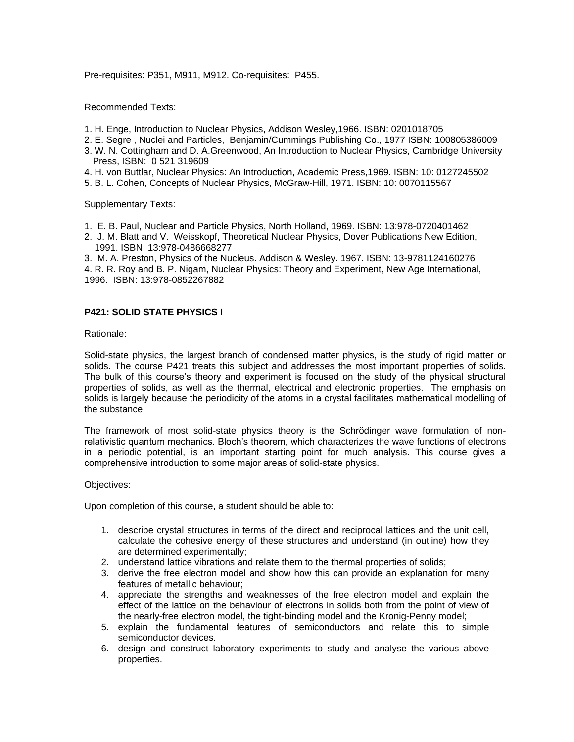Pre-requisites: P351, M911, M912. Co-requisites: P455.

Recommended Texts:

- 1. H. Enge, Introduction to Nuclear Physics, Addison Wesley,1966. ISBN: 0201018705
- 2. E. Segre , Nuclei and Particles, Benjamin/Cummings Publishing Co., 1977 ISBN: 100805386009
- 3. W. N. Cottingham and D. A.Greenwood, An Introduction to Nuclear Physics, Cambridge University Press, ISBN: 0 521 319609
- 4. H. von Buttlar, Nuclear Physics: An Introduction, Academic Press,1969. ISBN: 10: 0127245502
- 5. B. L. Cohen, Concepts of Nuclear Physics, McGraw-Hill, 1971. ISBN: 10: 0070115567

Supplementary Texts:

- 1. E. B. Paul, Nuclear and Particle Physics, North Holland, 1969. ISBN: 13:978-0720401462
- 2. J. M. Blatt and V. Weisskopf, Theoretical Nuclear Physics, Dover Publications New Edition, 1991. ISBN: 13:978-0486668277

3. M. A. Preston, Physics of the Nucleus. Addison & Wesley. 1967. ISBN: 13-9781124160276 4. R. R. Roy and B. P. Nigam, Nuclear Physics: Theory and Experiment, New Age International, 1996. ISBN: 13:978-0852267882

# **P421: SOLID STATE PHYSICS I**

Rationale:

Solid-state physics, the largest branch of condensed matter physics, is the study of rigid matter or solids. The course P421 treats this subject and addresses the most important properties of solids. The bulk of this course's theory and experiment is focused on the study of the physical structural properties of solids, as well as the thermal, electrical and electronic properties. The emphasis on solids is largely because the periodicity of the atoms in a crystal facilitates mathematical modelling of the substance

The framework of most solid-state physics theory is the Schrödinger wave formulation of nonrelativistic quantum mechanics. Bloch's theorem, which characterizes the wave functions of electrons in a periodic potential, is an important starting point for much analysis. This course gives a comprehensive introduction to some major areas of solid-state physics.

#### Objectives:

Upon completion of this course, a student should be able to:

- 1. describe crystal structures in terms of the direct and reciprocal lattices and the unit cell, calculate the cohesive energy of these structures and understand (in outline) how they are determined experimentally;
- 2. understand lattice vibrations and relate them to the thermal properties of solids;
- 3. derive the free electron model and show how this can provide an explanation for many features of metallic behaviour;
- 4. appreciate the strengths and weaknesses of the free electron model and explain the effect of the lattice on the behaviour of electrons in solids both from the point of view of the nearly-free electron model, the tight-binding model and the Kronig-Penny model;
- 5. explain the fundamental features of semiconductors and relate this to simple semiconductor devices.
- 6. design and construct laboratory experiments to study and analyse the various above properties.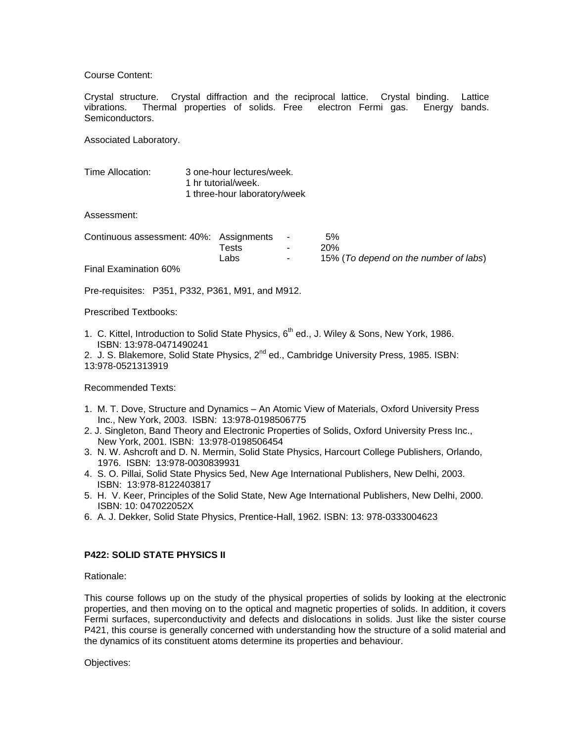Course Content:

Crystal structure. Crystal diffraction and the reciprocal lattice. Crystal binding. Lattice vibrations. Thermal properties of solids. Free electron Fermi gas. Energy bands. Semiconductors.

Associated Laboratory.

| Time Allocation: | 3 one-hour lectures/week.    |
|------------------|------------------------------|
|                  | 1 hr tutorial/week.          |
|                  | 1 three-hour laboratory/week |

Assessment:

| Continuous assessment: 40%: Assignments - |       |                    | .5%                                   |
|-------------------------------------------|-------|--------------------|---------------------------------------|
|                                           | Tests | $\sim$ 10 $\sigma$ | 20%                                   |
|                                           | Labs  | $\sim$ 100 $\mu$   | 15% (To depend on the number of labs) |
| <b>Final Examination 60%</b>              |       |                    |                                       |

Pre-requisites: P351, P332, P361, M91, and M912.

Prescribed Textbooks:

1. C. Kittel, Introduction to Solid State Physics,  $6<sup>th</sup>$  ed., J. Wiley & Sons, New York, 1986. ISBN: 13:978-0471490241

2. J. S. Blakemore, Solid State Physics,  $2^{nd}$  ed., Cambridge University Press, 1985. ISBN: 13:978-0521313919

Recommended Texts:

- 1. M. T. Dove, Structure and Dynamics An Atomic View of Materials, Oxford University Press Inc., New York, 2003. ISBN: 13:978-0198506775
- 2. J. Singleton, Band Theory and Electronic Properties of Solids, Oxford University Press Inc., New York, 2001. ISBN: 13:978-0198506454
- 3. N. W. Ashcroft and D. N. Mermin, Solid State Physics, Harcourt College Publishers, Orlando, 1976. ISBN: 13:978-0030839931
- 4. S. O. Pillai, Solid State Physics 5ed, New Age International Publishers, New Delhi, 2003. ISBN: 13:978-8122403817
- 5. H. V. Keer, Principles of the Solid State, New Age International Publishers, New Delhi, 2000. ISBN: 10: 047022052X
- 6. A. J. Dekker, Solid State Physics, Prentice-Hall, 1962. ISBN: 13: 978-0333004623

# **P422: SOLID STATE PHYSICS II**

Rationale:

This course follows up on the study of the physical properties of solids by looking at the electronic properties, and then moving on to the optical and magnetic properties of solids. In addition, it covers Fermi surfaces, superconductivity and defects and dislocations in solids. Just like the sister course P421, this course is generally concerned with understanding how the structure of a solid material and the dynamics of its constituent atoms determine its properties and behaviour.

Objectives: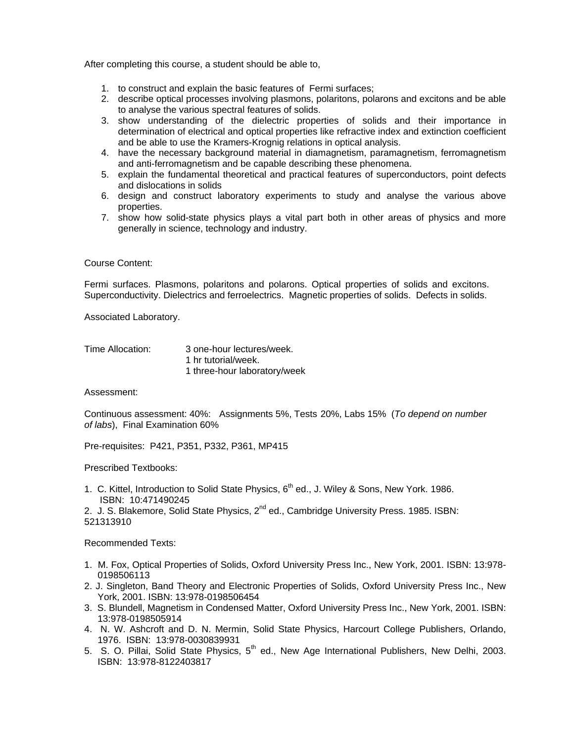After completing this course, a student should be able to,

- 1. to construct and explain the basic features of Fermi surfaces;
- 2. describe optical processes involving plasmons, polaritons, polarons and excitons and be able to analyse the various spectral features of solids.
- 3. show understanding of the dielectric properties of solids and their importance in determination of electrical and optical properties like refractive index and extinction coefficient and be able to use the Kramers-Krognig relations in optical analysis.
- 4. have the necessary background material in diamagnetism, paramagnetism, ferromagnetism and anti-ferromagnetism and be capable describing these phenomena.
- 5. explain the fundamental theoretical and practical features of superconductors, point defects and dislocations in solids
- 6. design and construct laboratory experiments to study and analyse the various above properties.
- 7. show how solid-state physics plays a vital part both in other areas of physics and more generally in science, technology and industry.

## Course Content:

Fermi surfaces. Plasmons, polaritons and polarons. Optical properties of solids and excitons. Superconductivity. Dielectrics and ferroelectrics. Magnetic properties of solids. Defects in solids.

Associated Laboratory.

#### Time Allocation: 3 one-hour lectures/week. 1 hr tutorial/week. 1 three-hour laboratory/week

Assessment:

Continuous assessment: 40%: Assignments 5%, Tests 20%, Labs 15% (*To depend on number of labs*), Final Examination 60%

Pre-requisites: P421, P351, P332, P361, MP415

Prescribed Textbooks:

1. C. Kittel, Introduction to Solid State Physics, 6<sup>th</sup> ed., J. Wiley & Sons, New York. 1986. ISBN: 10:471490245

2. J. S. Blakemore, Solid State Physics, 2<sup>nd</sup> ed., Cambridge University Press. 1985. ISBN: 521313910

Recommended Texts:

- 1. M. Fox, Optical Properties of Solids, Oxford University Press Inc., New York, 2001. ISBN: 13:978- 0198506113
- 2. J. Singleton, Band Theory and Electronic Properties of Solids, Oxford University Press Inc., New York, 2001. ISBN: 13:978-0198506454
- 3. S. Blundell, Magnetism in Condensed Matter, Oxford University Press Inc., New York, 2001. ISBN: 13:978-0198505914
- 4. N. W. Ashcroft and D. N. Mermin, Solid State Physics, Harcourt College Publishers, Orlando, 1976. ISBN: 13:978-0030839931
- 5. S. O. Pillai, Solid State Physics, 5<sup>th</sup> ed., New Age International Publishers, New Delhi, 2003. ISBN: 13:978-8122403817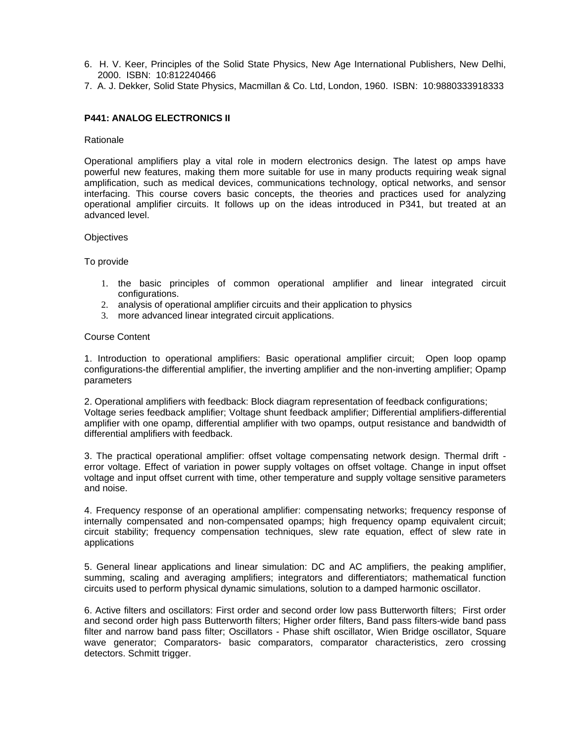- 6. H. V. Keer, Principles of the Solid State Physics, New Age International Publishers, New Delhi, 2000. ISBN: 10:812240466
- 7. A. J. Dekker*,* Solid State Physics, Macmillan & Co. Ltd, London, 1960. ISBN: 10:9880333918333

# **P441: ANALOG ELECTRONICS II**

#### Rationale

Operational amplifiers play a vital role in modern electronics design. The latest op amps have powerful new features, making them more suitable for use in many products requiring weak signal amplification, such as medical devices, communications technology, optical networks, and sensor interfacing. This course covers basic concepts, the theories and practices used for analyzing operational amplifier circuits. It follows up on the ideas introduced in P341, but treated at an advanced level.

#### **Objectives**

#### To provide

- 1. the basic principles of common operational amplifier and linear integrated circuit configurations.
- 2. analysis of operational amplifier circuits and their application to physics
- 3. more advanced linear integrated circuit applications.

#### Course Content

1. Introduction to operational amplifiers: Basic operational amplifier circuit; Open loop opamp configurations-the differential amplifier, the inverting amplifier and the non-inverting amplifier; Opamp parameters

2. Operational amplifiers with feedback: Block diagram representation of feedback configurations; Voltage series feedback amplifier; Voltage shunt feedback amplifier; Differential amplifiers-differential amplifier with one opamp, differential amplifier with two opamps, output resistance and bandwidth of differential amplifiers with feedback.

3. The practical operational amplifier: offset voltage compensating network design. Thermal drift error voltage. Effect of variation in power supply voltages on offset voltage. Change in input offset voltage and input offset current with time, other temperature and supply voltage sensitive parameters and noise.

4. Frequency response of an operational amplifier: compensating networks; frequency response of internally compensated and non-compensated opamps; high frequency opamp equivalent circuit; circuit stability; frequency compensation techniques, slew rate equation, effect of slew rate in applications

5. General linear applications and linear simulation: DC and AC amplifiers, the peaking amplifier, summing, scaling and averaging amplifiers; integrators and differentiators; mathematical function circuits used to perform physical dynamic simulations, solution to a damped harmonic oscillator.

6. Active filters and oscillators: First order and second order low pass Butterworth filters; First order and second order high pass Butterworth filters; Higher order filters, Band pass filters-wide band pass filter and narrow band pass filter; Oscillators - Phase shift oscillator, Wien Bridge oscillator, Square wave generator; Comparators- basic comparators, comparator characteristics, zero crossing detectors. Schmitt trigger.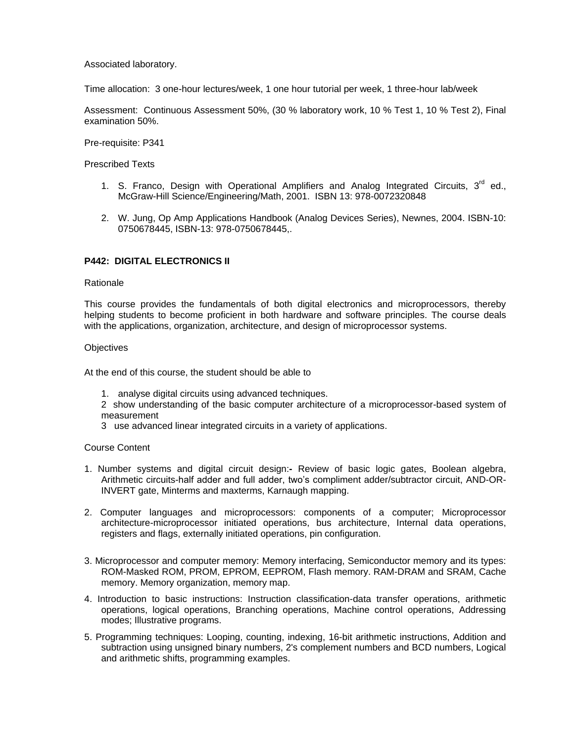Associated laboratory.

Time allocation: 3 one-hour lectures/week, 1 one hour tutorial per week, 1 three-hour lab/week

Assessment: Continuous Assessment 50%, (30 % laboratory work, 10 % Test 1, 10 % Test 2), Final examination 50%.

Pre-requisite: P341

Prescribed Texts

- 1. S. Franco, Design with Operational Amplifiers and Analog Integrated Circuits,  $3<sup>rd</sup>$  ed., McGraw-Hill Science/Engineering/Math, 2001. ISBN 13: 978-0072320848
- 2. W. Jung, Op Amp Applications Handbook (Analog Devices Series), Newnes, 2004. ISBN-10: 0750678445, ISBN-13: 978-0750678445,.

# **P442: DIGITAL ELECTRONICS II**

#### Rationale

This course provides the fundamentals of both digital electronics and microprocessors, thereby helping students to become proficient in both hardware and software principles. The course deals with the applications, organization, architecture, and design of microprocessor systems.

#### **Objectives**

At the end of this course, the student should be able to

- 1. analyse digital circuits using advanced techniques.
- 2 show understanding of the basic computer architecture of a microprocessor-based system of measurement
- 3 use advanced linear integrated circuits in a variety of applications.

# Course Content

- 1. Number systems and digital circuit design:**-** Review of basic logic gates, Boolean algebra, Arithmetic circuits-half adder and full adder, two's compliment adder/subtractor circuit, AND-OR-INVERT gate, Minterms and maxterms, Karnaugh mapping.
- 2. Computer languages and microprocessors: components of a computer; Microprocessor architecture-microprocessor initiated operations, bus architecture, Internal data operations, registers and flags, externally initiated operations, pin configuration.
- 3. Microprocessor and computer memory: Memory interfacing, Semiconductor memory and its types: ROM-Masked ROM, PROM, EPROM, EEPROM, Flash memory. RAM-DRAM and SRAM, Cache memory. Memory organization, memory map.
- 4. Introduction to basic instructions: Instruction classification-data transfer operations, arithmetic operations, logical operations, Branching operations, Machine control operations, Addressing modes; Illustrative programs.
- 5. Programming techniques: Looping, counting, indexing, 16-bit arithmetic instructions, Addition and subtraction using unsigned binary numbers, 2's complement numbers and BCD numbers, Logical and arithmetic shifts, programming examples.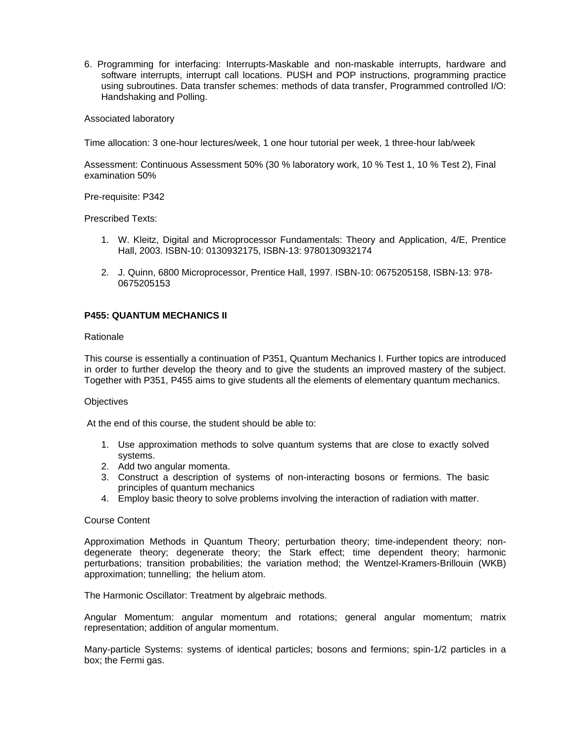6. Programming for interfacing: Interrupts-Maskable and non-maskable interrupts, hardware and software interrupts, interrupt call locations. PUSH and POP instructions, programming practice using subroutines. Data transfer schemes: methods of data transfer, Programmed controlled I/O: Handshaking and Polling.

Associated laboratory

Time allocation: 3 one-hour lectures/week, 1 one hour tutorial per week, 1 three-hour lab/week

Assessment: Continuous Assessment 50% (30 % laboratory work, 10 % Test 1, 10 % Test 2), Final examination 50%

Pre-requisite: P342

Prescribed Texts:

- 1. W. Kleitz, Digital and Microprocessor Fundamentals: Theory and Application, 4/E, Prentice Hall, 2003. ISBN-10: 0130932175, ISBN-13: 9780130932174
- 2. J. Quinn, 6800 Microprocessor, Prentice Hall, 1997. ISBN-10: 0675205158, ISBN-13: 978- 0675205153

# **P455: QUANTUM MECHANICS II**

#### Rationale

This course is essentially a continuation of P351, Quantum Mechanics I. Further topics are introduced in order to further develop the theory and to give the students an improved mastery of the subject. Together with P351, P455 aims to give students all the elements of elementary quantum mechanics.

#### **Objectives**

At the end of this course, the student should be able to:

- 1. Use approximation methods to solve quantum systems that are close to exactly solved systems.
- 2. Add two angular momenta.
- 3. Construct a description of systems of non-interacting bosons or fermions. The basic principles of quantum mechanics
- 4. Employ basic theory to solve problems involving the interaction of radiation with matter.

# Course Content

Approximation Methods in Quantum Theory; perturbation theory; time-independent theory; nondegenerate theory; degenerate theory; the Stark effect; time dependent theory; harmonic perturbations; transition probabilities; the variation method; the Wentzel-Kramers-Brillouin (WKB) approximation; tunnelling; the helium atom.

The Harmonic Oscillator: Treatment by algebraic methods.

Angular Momentum: angular momentum and rotations; general angular momentum; matrix representation; addition of angular momentum.

Many-particle Systems: systems of identical particles; bosons and fermions; spin-1/2 particles in a box; the Fermi gas.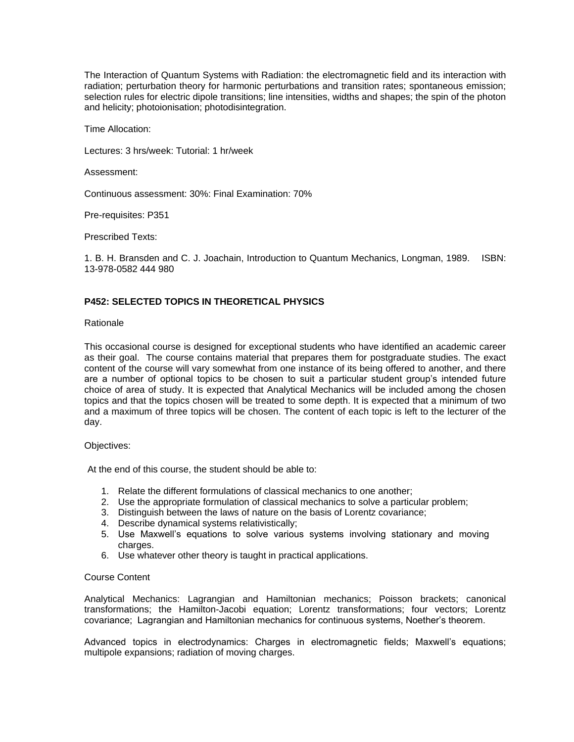The Interaction of Quantum Systems with Radiation: the electromagnetic field and its interaction with radiation; perturbation theory for harmonic perturbations and transition rates; spontaneous emission; selection rules for electric dipole transitions; line intensities, widths and shapes; the spin of the photon and helicity; photoionisation; photodisintegration.

Time Allocation:

Lectures: 3 hrs/week: Tutorial: 1 hr/week

Assessment:

Continuous assessment: 30%: Final Examination: 70%

Pre-requisites: P351

Prescribed Texts:

1. B. H. Bransden and C. J. Joachain, Introduction to Quantum Mechanics, Longman, 1989. ISBN: 13-978-0582 444 980

#### **P452: SELECTED TOPICS IN THEORETICAL PHYSICS**

#### Rationale

This occasional course is designed for exceptional students who have identified an academic career as their goal. The course contains material that prepares them for postgraduate studies. The exact content of the course will vary somewhat from one instance of its being offered to another, and there are a number of optional topics to be chosen to suit a particular student group's intended future choice of area of study. It is expected that Analytical Mechanics will be included among the chosen topics and that the topics chosen will be treated to some depth. It is expected that a minimum of two and a maximum of three topics will be chosen. The content of each topic is left to the lecturer of the day.

#### Objectives:

At the end of this course, the student should be able to:

- 1. Relate the different formulations of classical mechanics to one another;
- 2. Use the appropriate formulation of classical mechanics to solve a particular problem;
- 3. Distinguish between the laws of nature on the basis of Lorentz covariance;
- 4. Describe dynamical systems relativistically;
- 5. Use Maxwell's equations to solve various systems involving stationary and moving charges.
- 6. Use whatever other theory is taught in practical applications.

# Course Content

Analytical Mechanics: Lagrangian and Hamiltonian mechanics; Poisson brackets; canonical transformations; the Hamilton-Jacobi equation; Lorentz transformations; four vectors; Lorentz covariance; Lagrangian and Hamiltonian mechanics for continuous systems, Noether's theorem.

Advanced topics in electrodynamics: Charges in electromagnetic fields; Maxwell's equations; multipole expansions; radiation of moving charges.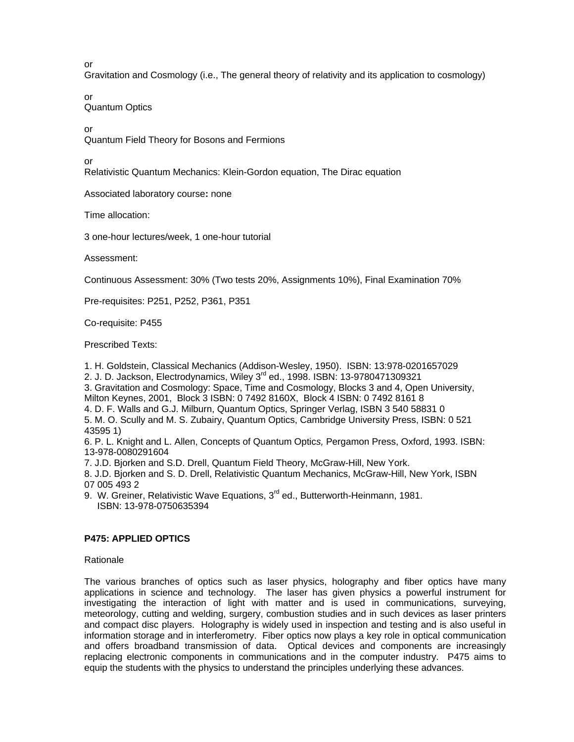or

Gravitation and Cosmology (i.e., The general theory of relativity and its application to cosmology)

or Quantum Optics

or

Quantum Field Theory for Bosons and Fermions

or

Relativistic Quantum Mechanics: Klein-Gordon equation, The Dirac equation

Associated laboratory course**:** none

Time allocation:

3 one-hour lectures/week, 1 one-hour tutorial

Assessment:

Continuous Assessment: 30% (Two tests 20%, Assignments 10%), Final Examination 70%

Pre-requisites: P251, P252, P361, P351

Co-requisite: P455

Prescribed Texts:

1. H. Goldstein, Classical Mechanics (Addison-Wesley, 1950). ISBN: 13:978-0201657029

2. J. D. Jackson, Electrodynamics, Wiley 3<sup>rd</sup> ed., 1998. ISBN: 13-9780471309321

3. Gravitation and Cosmology: Space, Time and Cosmology, Blocks 3 and 4, Open University, Milton Keynes, 2001, Block 3 ISBN: 0 7492 8160X, Block 4 ISBN: 0 7492 8161 8

4. D. F. Walls and G.J. Milburn, Quantum Optics, Springer Verlag, ISBN 3 540 58831 0 5. M. O. Scully and M. S. Zubairy, Quantum Optics, Cambridge University Press, ISBN: 0 521 43595 1)

6. P. L. Knight and L. Allen, Concepts of Quantum Optic*s,* Pergamon Press, Oxford, 1993. ISBN: 13-978-0080291604

7. J.D. Bjorken and S.D. Drell, Quantum Field Theory, McGraw-Hill, New York.

8. J.D. Bjorken and S. D. Drell, Relativistic Quantum Mechanics, McGraw-Hill, New York, ISBN 07 005 493 2

9. W. Greiner, Relativistic Wave Equations, 3<sup>rd</sup> ed., Butterworth-Heinmann, 1981. ISBN: 13-978-0750635394

# **P475: APPLIED OPTICS**

Rationale

The various branches of optics such as laser physics, holography and fiber optics have many applications in science and technology. The laser has given physics a powerful instrument for investigating the interaction of light with matter and is used in communications, surveying, meteorology, cutting and welding, surgery, combustion studies and in such devices as laser printers and compact disc players. Holography is widely used in inspection and testing and is also useful in information storage and in interferometry. Fiber optics now plays a key role in optical communication and offers broadband transmission of data. Optical devices and components are increasingly replacing electronic components in communications and in the computer industry. P475 aims to equip the students with the physics to understand the principles underlying these advances.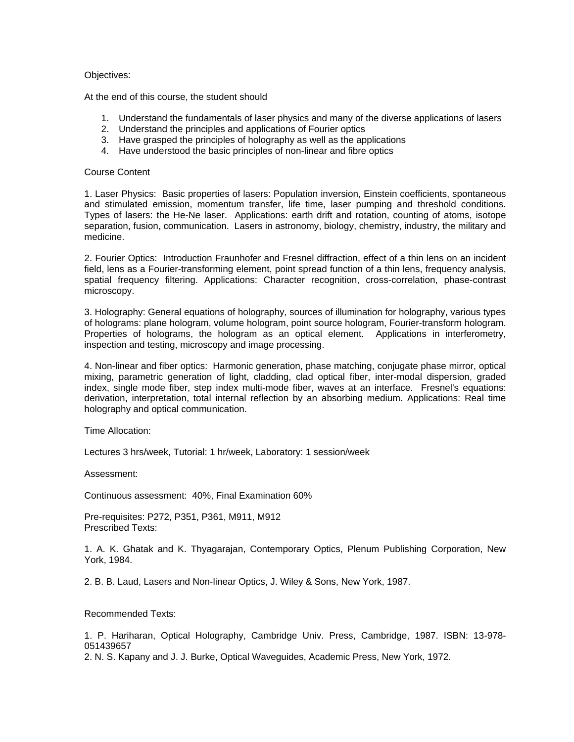## Objectives:

At the end of this course, the student should

- 1. Understand the fundamentals of laser physics and many of the diverse applications of lasers
- 2. Understand the principles and applications of Fourier optics
- 3. Have grasped the principles of holography as well as the applications
- 4. Have understood the basic principles of non-linear and fibre optics

## Course Content

1. Laser Physics: Basic properties of lasers: Population inversion, Einstein coefficients, spontaneous and stimulated emission, momentum transfer, life time, laser pumping and threshold conditions. Types of lasers: the He-Ne laser. Applications: earth drift and rotation, counting of atoms, isotope separation, fusion, communication. Lasers in astronomy, biology, chemistry, industry, the military and medicine.

2. Fourier Optics: Introduction Fraunhofer and Fresnel diffraction, effect of a thin lens on an incident field, lens as a Fourier-transforming element, point spread function of a thin lens, frequency analysis, spatial frequency filtering. Applications: Character recognition, cross-correlation, phase-contrast microscopy.

3. Holography: General equations of holography, sources of illumination for holography, various types of holograms: plane hologram, volume hologram, point source hologram, Fourier-transform hologram. Properties of holograms, the hologram as an optical element. Applications in interferometry, inspection and testing, microscopy and image processing.

4. Non-linear and fiber optics: Harmonic generation, phase matching, conjugate phase mirror, optical mixing, parametric generation of light, cladding, clad optical fiber, inter-modal dispersion, graded index, single mode fiber, step index multi-mode fiber, waves at an interface. Fresnel's equations: derivation, interpretation, total internal reflection by an absorbing medium. Applications: Real time holography and optical communication.

Time Allocation:

Lectures 3 hrs/week, Tutorial: 1 hr/week, Laboratory: 1 session/week

Assessment:

Continuous assessment: 40%, Final Examination 60%

Pre-requisites: P272, P351, P361, M911, M912 Prescribed Texts:

1. A. K. Ghatak and K. Thyagarajan, Contemporary Optics, Plenum Publishing Corporation, New York, 1984.

2. B. B. Laud, Lasers and Non-linear Optics, J. Wiley & Sons, New York, 1987.

Recommended Texts:

1. P. Hariharan, Optical Holography, Cambridge Univ. Press, Cambridge, 1987. ISBN: 13-978- 051439657

2. N. S. Kapany and J. J. Burke, Optical Waveguides, Academic Press, New York, 1972.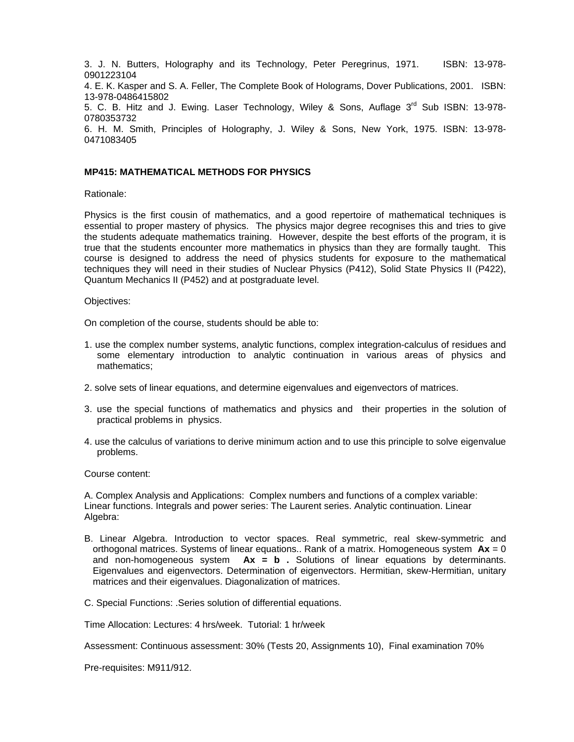3. J. N. Butters, Holography and its Technology, Peter Peregrinus, 1971. ISBN: 13-978- 0901223104

4. E. K. Kasper and S. A. Feller, The Complete Book of Holograms, Dover Publications, 2001. ISBN: 13-978-0486415802

5. C. B. Hitz and J. Ewing. Laser Technology, Wiley & Sons, Auflage 3<sup>rd</sup> Sub ISBN: 13-978-0780353732

6. H. M. Smith, Principles of Holography, J. Wiley & Sons, New York, 1975. ISBN: 13-978- 0471083405

# **MP415: MATHEMATICAL METHODS FOR PHYSICS**

Rationale:

Physics is the first cousin of mathematics, and a good repertoire of mathematical techniques is essential to proper mastery of physics. The physics major degree recognises this and tries to give the students adequate mathematics training. However, despite the best efforts of the program, it is true that the students encounter more mathematics in physics than they are formally taught. This course is designed to address the need of physics students for exposure to the mathematical techniques they will need in their studies of Nuclear Physics (P412), Solid State Physics II (P422), Quantum Mechanics II (P452) and at postgraduate level.

#### Objectives:

On completion of the course, students should be able to:

- 1. use the complex number systems, analytic functions, complex integration-calculus of residues and some elementary introduction to analytic continuation in various areas of physics and mathematics;
- 2. solve sets of linear equations, and determine eigenvalues and eigenvectors of matrices.
- 3. use the special functions of mathematics and physics and their properties in the solution of practical problems in physics.
- 4. use the calculus of variations to derive minimum action and to use this principle to solve eigenvalue problems.

Course content:

A. Complex Analysis and Applications: Complex numbers and functions of a complex variable: Linear functions. Integrals and power series: The Laurent series. Analytic continuation. Linear Algebra:

- B. Linear Algebra. Introduction to vector spaces. Real symmetric, real skew-symmetric and orthogonal matrices. Systems of linear equations.. Rank of a matrix. Homogeneous system **Ax** = 0 and non-homogeneous system **Ax = b .** Solutions of linear equations by determinants. Eigenvalues and eigenvectors. Determination of eigenvectors. Hermitian, skew-Hermitian, unitary matrices and their eigenvalues. Diagonalization of matrices.
- C. Special Functions: .Series solution of differential equations.

Time Allocation: Lectures: 4 hrs/week. Tutorial: 1 hr/week

Assessment: Continuous assessment: 30% (Tests 20, Assignments 10), Final examination 70%

Pre-requisites: M911/912.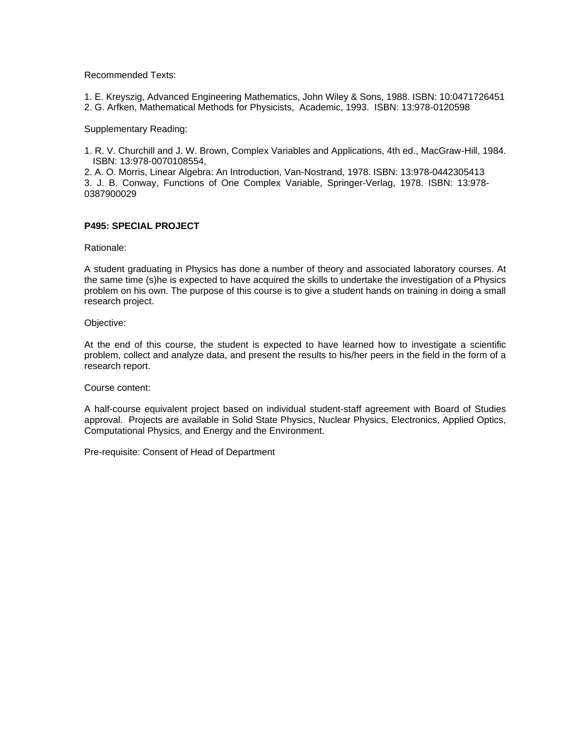Recommended Texts:

1. E. Kreyszig, Advanced Engineering Mathematics, John Wiley & Sons, 1988. ISBN: 10:0471726451 2. G. Arfken, Mathematical Methods for Physicists, Academic, 1993. ISBN: 13:978-0120598

Supplementary Reading:

1. R. V. Churchill and J. W. Brown, Complex Variables and Applications, 4th ed., MacGraw-Hill, 1984. ISBN: 13:978-0070108554,

2. A. O. Morris, Linear Algebra: An Introduction, Van-Nostrand, 1978. ISBN: 13:978-0442305413 3. J. B. Conway, Functions of One Complex Variable, Springer-Verlag, 1978. ISBN: 13:978- 0387900029

# **P495: SPECIAL PROJECT**

Rationale:

A student graduating in Physics has done a number of theory and associated laboratory courses. At the same time (s)he is expected to have acquired the skills to undertake the investigation of a Physics problem on his own. The purpose of this course is to give a student hands on training in doing a small research project.

Objective:

At the end of this course, the student is expected to have learned how to investigate a scientific problem, collect and analyze data, and present the results to his/her peers in the field in the form of a research report.

Course content:

A half-course equivalent project based on individual student-staff agreement with Board of Studies approval. Projects are available in Solid State Physics, Nuclear Physics, Electronics, Applied Optics, Computational Physics, and Energy and the Environment.

Pre-requisite: Consent of Head of Department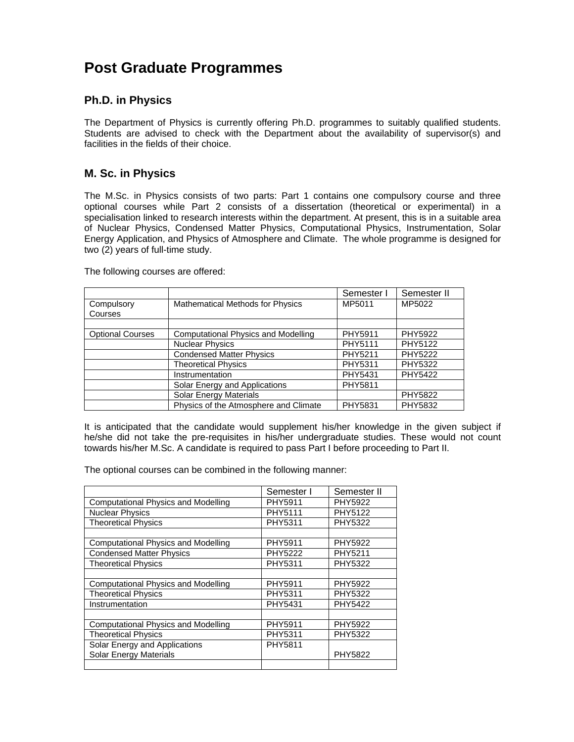# **Post Graduate Programmes**

# **Ph.D. in Physics**

The Department of Physics is currently offering Ph.D. programmes to suitably qualified students. Students are advised to check with the Department about the availability of supervisor(s) and facilities in the fields of their choice.

# **M. Sc. in Physics**

The M.Sc. in Physics consists of two parts: Part 1 contains one compulsory course and three optional courses while Part 2 consists of a dissertation (theoretical or experimental) in a specialisation linked to research interests within the department. At present, this is in a suitable area of Nuclear Physics, Condensed Matter Physics, Computational Physics, Instrumentation, Solar Energy Application, and Physics of Atmosphere and Climate. The whole programme is designed for two (2) years of full-time study.

The following courses are offered:

|                         |                                            | Semester I | Semester II    |
|-------------------------|--------------------------------------------|------------|----------------|
| Compulsory<br>Courses   | <b>Mathematical Methods for Physics</b>    | MP5011     | MP5022         |
|                         |                                            |            |                |
| <b>Optional Courses</b> | <b>Computational Physics and Modelling</b> | PHY5911    | <b>PHY5922</b> |
|                         | <b>Nuclear Physics</b>                     | PHY5111    | PHY5122        |
|                         | <b>Condensed Matter Physics</b>            | PHY5211    | <b>PHY5222</b> |
|                         | <b>Theoretical Physics</b>                 | PHY5311    | PHY5322        |
|                         | Instrumentation                            | PHY5431    | <b>PHY5422</b> |
|                         | Solar Energy and Applications              | PHY5811    |                |
|                         | <b>Solar Energy Materials</b>              |            | <b>PHY5822</b> |
|                         | Physics of the Atmosphere and Climate      | PHY5831    | PHY5832        |

It is anticipated that the candidate would supplement his/her knowledge in the given subject if he/she did not take the pre-requisites in his/her undergraduate studies. These would not count towards his/her M.Sc. A candidate is required to pass Part I before proceeding to Part II.

The optional courses can be combined in the following manner:

|                                            | Semester I     | Semester II |
|--------------------------------------------|----------------|-------------|
| <b>Computational Physics and Modelling</b> | PHY5911        | PHY5922     |
| <b>Nuclear Physics</b>                     | PHY5111        | PHY5122     |
| <b>Theoretical Physics</b>                 | PHY5311        | PHY5322     |
|                                            |                |             |
| <b>Computational Physics and Modelling</b> | PHY5911        | PHY5922     |
| <b>Condensed Matter Physics</b>            | <b>PHY5222</b> | PHY5211     |
| <b>Theoretical Physics</b>                 | PHY5311        | PHY5322     |
|                                            |                |             |
| <b>Computational Physics and Modelling</b> | PHY5911        | PHY5922     |
| <b>Theoretical Physics</b>                 | PHY5311        | PHY5322     |
| Instrumentation                            | PHY5431        | PHY5422     |
|                                            |                |             |
| <b>Computational Physics and Modelling</b> | PHY5911        | PHY5922     |
| <b>Theoretical Physics</b>                 | PHY5311        | PHY5322     |
| Solar Energy and Applications              | PHY5811        |             |
| <b>Solar Energy Materials</b>              |                | PHY5822     |
|                                            |                |             |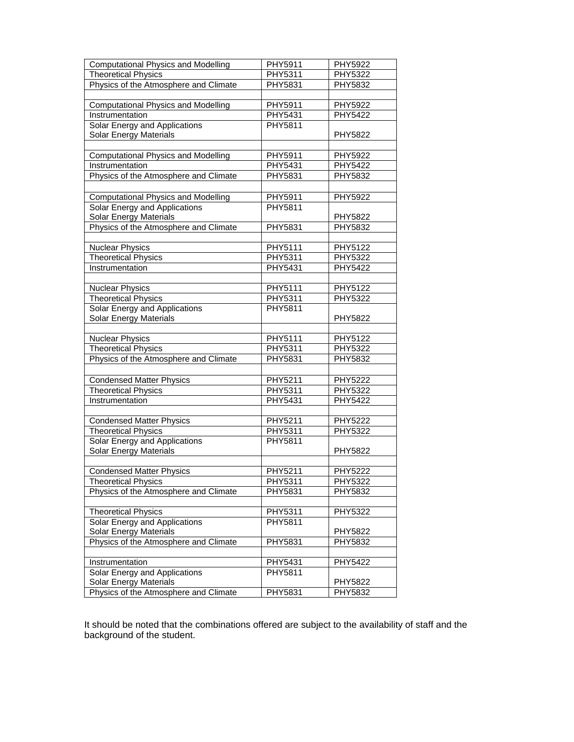| <b>Computational Physics and Modelling</b> | PHY5911        | PHY5922        |
|--------------------------------------------|----------------|----------------|
| <b>Theoretical Physics</b>                 | <b>PHY5311</b> | <b>PHY5322</b> |
| Physics of the Atmosphere and Climate      | <b>PHY5831</b> | <b>PHY5832</b> |
|                                            |                |                |
| <b>Computational Physics and Modelling</b> | PHY5911        | PHY5922        |
| Instrumentation                            | PHY5431        | PHY5422        |
| Solar Energy and Applications              | PHY5811        |                |
| Solar Energy Materials                     |                | PHY5822        |
|                                            |                |                |
| <b>Computational Physics and Modelling</b> | PHY5911        | PHY5922        |
| Instrumentation                            | PHY5431        | PHY5422        |
| Physics of the Atmosphere and Climate      | PHY5831        | PHY5832        |
|                                            |                |                |
| <b>Computational Physics and Modelling</b> | PHY5911        | PHY5922        |
| Solar Energy and Applications              | <b>PHY5811</b> |                |
| Solar Energy Materials                     |                | PHY5822        |
| Physics of the Atmosphere and Climate      | PHY5831        | PHY5832        |
|                                            |                |                |
| <b>Nuclear Physics</b>                     | PHY5111        | PHY5122        |
| <b>Theoretical Physics</b>                 | <b>PHY5311</b> | PHY5322        |
| Instrumentation                            | PHY5431        | PHY5422        |
|                                            |                |                |
| <b>Nuclear Physics</b>                     | PHY5111        | PHY5122        |
| <b>Theoretical Physics</b>                 | <b>PHY5311</b> | <b>PHY5322</b> |
| Solar Energy and Applications              | PHY5811        |                |
| Solar Energy Materials                     |                | PHY5822        |
|                                            |                |                |
| <b>Nuclear Physics</b>                     | PHY5111        | PHY5122        |
| <b>Theoretical Physics</b>                 | <b>PHY5311</b> | PHY5322        |
| Physics of the Atmosphere and Climate      | PHY5831        | PHY5832        |
|                                            |                |                |
| <b>Condensed Matter Physics</b>            | PHY5211        | <b>PHY5222</b> |
| <b>Theoretical Physics</b>                 | PHY5311        | PHY5322        |
| Instrumentation                            | PHY5431        | PHY5422        |
|                                            |                |                |
| <b>Condensed Matter Physics</b>            | PHY5211        | PHY5222        |
| <b>Theoretical Physics</b>                 | PHY5311        | <b>PHY5322</b> |
| Solar Energy and Applications              | PHY5811        |                |
| <b>Solar Energy Materials</b>              |                | PHY5822        |
|                                            |                |                |
| <b>Condensed Matter Physics</b>            | PHY5211        | <b>PHY5222</b> |
| <b>Theoretical Physics</b>                 | <b>PHY5311</b> | <b>PHY5322</b> |
| Physics of the Atmosphere and Climate      | PHY5831        | PHY5832        |
|                                            |                |                |
| <b>Theoretical Physics</b>                 | PHY5311        | PHY5322        |
| Solar Energy and Applications              | PHY5811        |                |
| Solar Energy Materials                     |                | PHY5822        |
| Physics of the Atmosphere and Climate      | PHY5831        | PHY5832        |
|                                            |                |                |
| Instrumentation                            | PHY5431        | PHY5422        |
| Solar Energy and Applications              | <b>PHY5811</b> |                |
| Solar Energy Materials                     |                | PHY5822        |
| Physics of the Atmosphere and Climate      | PHY5831        | PHY5832        |

It should be noted that the combinations offered are subject to the availability of staff and the background of the student.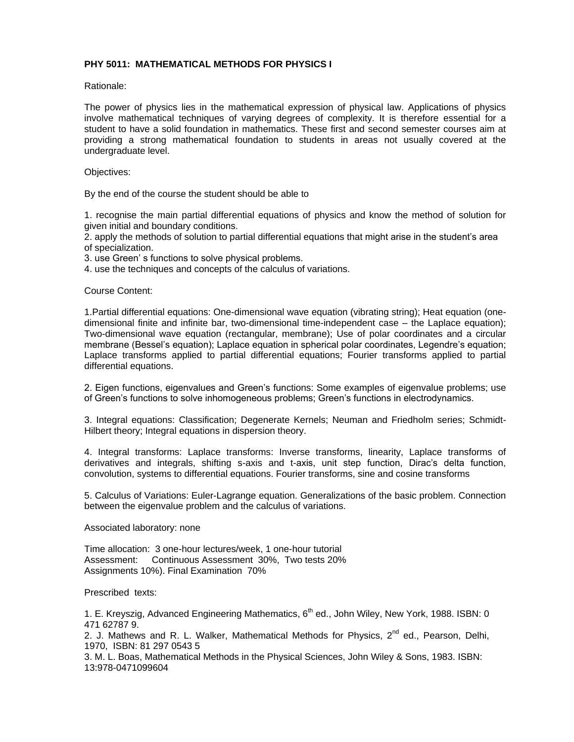# **PHY 5011: MATHEMATICAL METHODS FOR PHYSICS I**

Rationale:

The power of physics lies in the mathematical expression of physical law. Applications of physics involve mathematical techniques of varying degrees of complexity. It is therefore essential for a student to have a solid foundation in mathematics. These first and second semester courses aim at providing a strong mathematical foundation to students in areas not usually covered at the undergraduate level.

## Objectives:

By the end of the course the student should be able to

1. recognise the main partial differential equations of physics and know the method of solution for given initial and boundary conditions.

2. apply the methods of solution to partial differential equations that might arise in the student's area of specialization.

3. use Green' s functions to solve physical problems.

4. use the techniques and concepts of the calculus of variations.

Course Content:

1.Partial differential equations: One-dimensional wave equation (vibrating string); Heat equation (onedimensional finite and infinite bar, two-dimensional time-independent case – the Laplace equation); Two-dimensional wave equation (rectangular, membrane); Use of polar coordinates and a circular membrane (Bessel's equation); Laplace equation in spherical polar coordinates, Legendre's equation; Laplace transforms applied to partial differential equations; Fourier transforms applied to partial differential equations.

2. Eigen functions, eigenvalues and Green's functions: Some examples of eigenvalue problems; use of Green's functions to solve inhomogeneous problems; Green's functions in electrodynamics.

3. Integral equations: Classification; Degenerate Kernels; Neuman and Friedholm series; Schmidt-Hilbert theory; Integral equations in dispersion theory.

4. Integral transforms: Laplace transforms: Inverse transforms, linearity, Laplace transforms of derivatives and integrals, shifting s-axis and t-axis, unit step function, Dirac's delta function, convolution, systems to differential equations. Fourier transforms, sine and cosine transforms

5. Calculus of Variations: Euler-Lagrange equation. Generalizations of the basic problem. Connection between the eigenvalue problem and the calculus of variations.

Associated laboratory: none

Time allocation: 3 one-hour lectures/week, 1 one-hour tutorial Assessment: Continuous Assessment 30%, Two tests 20% Assignments 10%). Final Examination 70%

Prescribed texts:

1. E. Kreyszig, Advanced Engineering Mathematics, 6<sup>th</sup> ed., John Wiley, New York, 1988. ISBN: 0 471 62787 9.

2. J. Mathews and R. L. Walker, Mathematical Methods for Physics,  $2^{nd}$  ed., Pearson, Delhi, 1970, ISBN: 81 297 0543 5

3. M. L. Boas, Mathematical Methods in the Physical Sciences, John Wiley & Sons, 1983. ISBN: 13:978-0471099604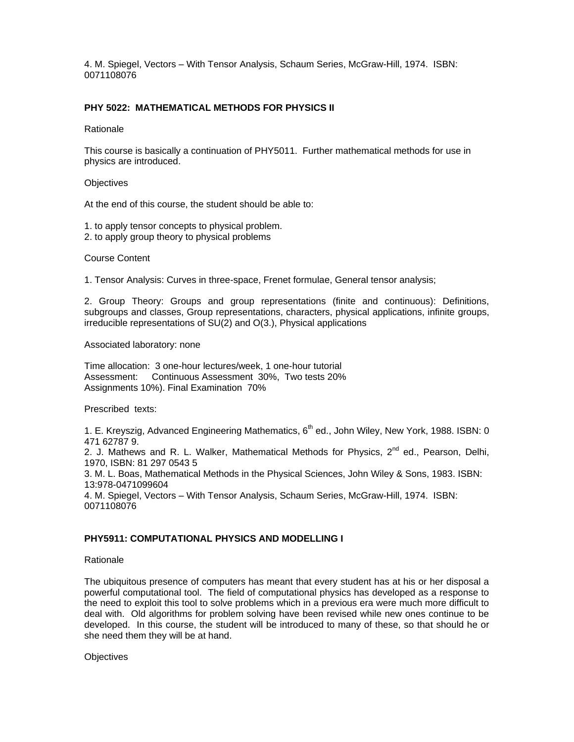4. M. Spiegel, Vectors – With Tensor Analysis, Schaum Series, McGraw-Hill, 1974. ISBN: 0071108076

# **PHY 5022: MATHEMATICAL METHODS FOR PHYSICS II**

#### Rationale

This course is basically a continuation of PHY5011. Further mathematical methods for use in physics are introduced.

#### **Objectives**

At the end of this course, the student should be able to:

- 1. to apply tensor concepts to physical problem.
- 2. to apply group theory to physical problems

# Course Content

1. Tensor Analysis: Curves in three-space, Frenet formulae, General tensor analysis;

2. Group Theory: Groups and group representations (finite and continuous): Definitions, subgroups and classes, Group representations, characters, physical applications, infinite groups, irreducible representations of SU(2) and O(3.), Physical applications

Associated laboratory: none

Time allocation: 3 one-hour lectures/week, 1 one-hour tutorial Assessment: Continuous Assessment 30%, Two tests 20% Assignments 10%). Final Examination 70%

Prescribed texts:

1. E. Kreyszig, Advanced Engineering Mathematics, 6<sup>th</sup> ed., John Wiley, New York, 1988. ISBN: 0 471 62787 9.

2. J. Mathews and R. L. Walker, Mathematical Methods for Physics,  $2^{nd}$  ed., Pearson, Delhi, 1970, ISBN: 81 297 0543 5

3. M. L. Boas, Mathematical Methods in the Physical Sciences, John Wiley & Sons, 1983. ISBN: 13:978-0471099604

4. M. Spiegel, Vectors – With Tensor Analysis, Schaum Series, McGraw-Hill, 1974. ISBN: 0071108076

# **PHY5911: COMPUTATIONAL PHYSICS AND MODELLING I**

#### **Rationale**

The ubiquitous presence of computers has meant that every student has at his or her disposal a powerful computational tool. The field of computational physics has developed as a response to the need to exploit this tool to solve problems which in a previous era were much more difficult to deal with. Old algorithms for problem solving have been revised while new ones continue to be developed. In this course, the student will be introduced to many of these, so that should he or she need them they will be at hand.

**Objectives**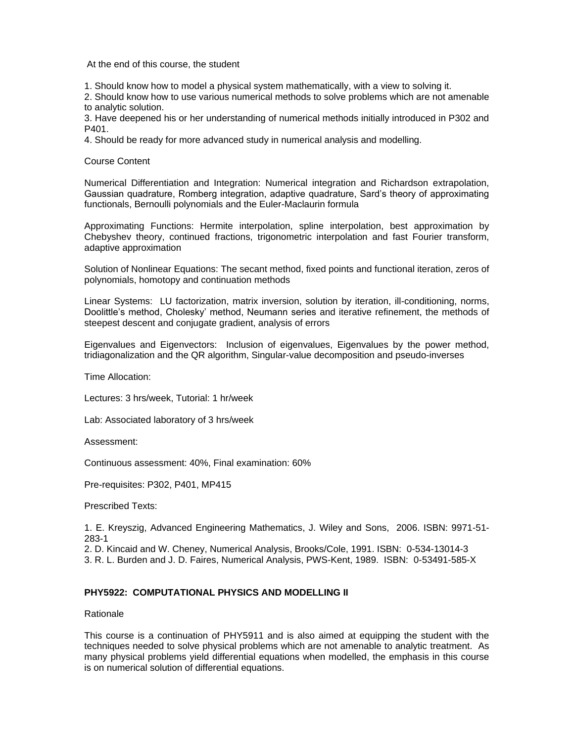At the end of this course, the student

1. Should know how to model a physical system mathematically, with a view to solving it.

2. Should know how to use various numerical methods to solve problems which are not amenable to analytic solution.

3. Have deepened his or her understanding of numerical methods initially introduced in P302 and P401.

4. Should be ready for more advanced study in numerical analysis and modelling.

Course Content

Numerical Differentiation and Integration: Numerical integration and Richardson extrapolation, Gaussian quadrature, Romberg integration, adaptive quadrature, Sard's theory of approximating functionals, Bernoulli polynomials and the Euler-Maclaurin formula

Approximating Functions: Hermite interpolation, spline interpolation, best approximation by Chebyshev theory, continued fractions, trigonometric interpolation and fast Fourier transform, adaptive approximation

Solution of Nonlinear Equations: The secant method, fixed points and functional iteration, zeros of polynomials, homotopy and continuation methods

Linear Systems: LU factorization, matrix inversion, solution by iteration, ill-conditioning, norms, Doolittle's method, Cholesky' method, Neumann series and iterative refinement, the methods of steepest descent and conjugate gradient, analysis of errors

Eigenvalues and Eigenvectors: Inclusion of eigenvalues, Eigenvalues by the power method, tridiagonalization and the QR algorithm, Singular-value decomposition and pseudo-inverses

Time Allocation:

Lectures: 3 hrs/week, Tutorial: 1 hr/week

Lab: Associated laboratory of 3 hrs/week

Assessment:

Continuous assessment: 40%, Final examination: 60%

Pre-requisites: P302, P401, MP415

Prescribed Texts:

1. E. Kreyszig, Advanced Engineering Mathematics, J. Wiley and Sons, 2006. ISBN: 9971-51- 283-1

2. D. Kincaid and W. Cheney, Numerical Analysis, Brooks/Cole, 1991. ISBN: 0-534-13014-3

3. R. L. Burden and J. D. Faires, Numerical Analysis, PWS-Kent, 1989. ISBN: 0-53491-585-X

# **PHY5922: COMPUTATIONAL PHYSICS AND MODELLING II**

Rationale

This course is a continuation of PHY5911 and is also aimed at equipping the student with the techniques needed to solve physical problems which are not amenable to analytic treatment. As many physical problems yield differential equations when modelled, the emphasis in this course is on numerical solution of differential equations.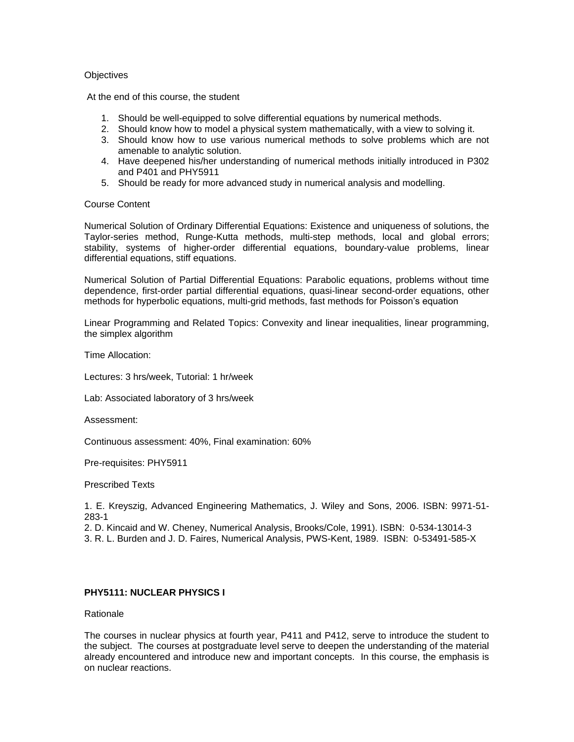## **Objectives**

At the end of this course, the student

- 1. Should be well-equipped to solve differential equations by numerical methods.
- 2. Should know how to model a physical system mathematically, with a view to solving it.
- 3. Should know how to use various numerical methods to solve problems which are not amenable to analytic solution.
- 4. Have deepened his/her understanding of numerical methods initially introduced in P302 and P401 and PHY5911
- 5. Should be ready for more advanced study in numerical analysis and modelling.

# Course Content

Numerical Solution of Ordinary Differential Equations: Existence and uniqueness of solutions, the Taylor-series method, Runge-Kutta methods, multi-step methods, local and global errors; stability, systems of higher-order differential equations, boundary-value problems, linear differential equations, stiff equations.

Numerical Solution of Partial Differential Equations: Parabolic equations, problems without time dependence, first-order partial differential equations, quasi-linear second-order equations, other methods for hyperbolic equations, multi-grid methods, fast methods for Poisson's equation

Linear Programming and Related Topics: Convexity and linear inequalities, linear programming, the simplex algorithm

Time Allocation:

Lectures: 3 hrs/week, Tutorial: 1 hr/week

Lab: Associated laboratory of 3 hrs/week

Assessment:

Continuous assessment: 40%, Final examination: 60%

Pre-requisites: PHY5911

Prescribed Texts

1. E. Kreyszig, Advanced Engineering Mathematics, J. Wiley and Sons, 2006. ISBN: 9971-51- 283-1

2. D. Kincaid and W. Cheney, Numerical Analysis, Brooks/Cole, 1991). ISBN: 0-534-13014-3 3. R. L. Burden and J. D. Faires, Numerical Analysis, PWS-Kent, 1989. ISBN: 0-53491-585-X

# **PHY5111: NUCLEAR PHYSICS I**

Rationale

The courses in nuclear physics at fourth year, P411 and P412, serve to introduce the student to the subject. The courses at postgraduate level serve to deepen the understanding of the material already encountered and introduce new and important concepts. In this course, the emphasis is on nuclear reactions.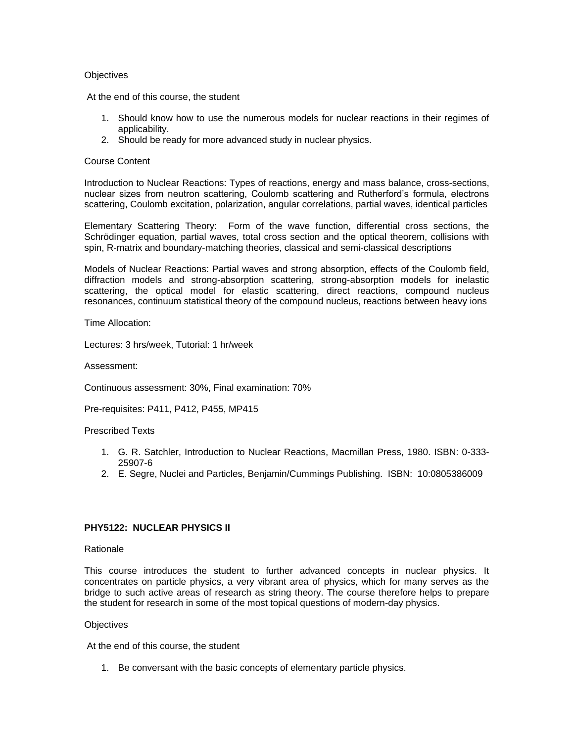## **Objectives**

At the end of this course, the student

- 1. Should know how to use the numerous models for nuclear reactions in their regimes of applicability.
- 2. Should be ready for more advanced study in nuclear physics.

## Course Content

Introduction to Nuclear Reactions: Types of reactions, energy and mass balance, cross-sections, nuclear sizes from neutron scattering, Coulomb scattering and Rutherford's formula, electrons scattering, Coulomb excitation, polarization, angular correlations, partial waves, identical particles

Elementary Scattering Theory:Form of the wave function, differential cross sections, the Schrödinger equation, partial waves, total cross section and the optical theorem, collisions with spin, R-matrix and boundary-matching theories, classical and semi-classical descriptions

Models of Nuclear Reactions: Partial waves and strong absorption, effects of the Coulomb field, diffraction models and strong-absorption scattering, strong-absorption models for inelastic scattering, the optical model for elastic scattering, direct reactions, compound nucleus resonances, continuum statistical theory of the compound nucleus, reactions between heavy ions

Time Allocation:

Lectures: 3 hrs/week, Tutorial: 1 hr/week

Assessment:

Continuous assessment: 30%, Final examination: 70%

Pre-requisites: P411, P412, P455, MP415

#### Prescribed Texts

- 1. G. R. Satchler, Introduction to Nuclear Reactions, Macmillan Press, 1980. ISBN: 0-333- 25907-6
- 2. E. Segre, Nuclei and Particles, Benjamin/Cummings Publishing. ISBN: 10:0805386009

# **PHY5122: NUCLEAR PHYSICS II**

#### Rationale

This course introduces the student to further advanced concepts in nuclear physics. It concentrates on particle physics, a very vibrant area of physics, which for many serves as the bridge to such active areas of research as string theory. The course therefore helps to prepare the student for research in some of the most topical questions of modern-day physics.

#### **Objectives**

At the end of this course, the student

1. Be conversant with the basic concepts of elementary particle physics.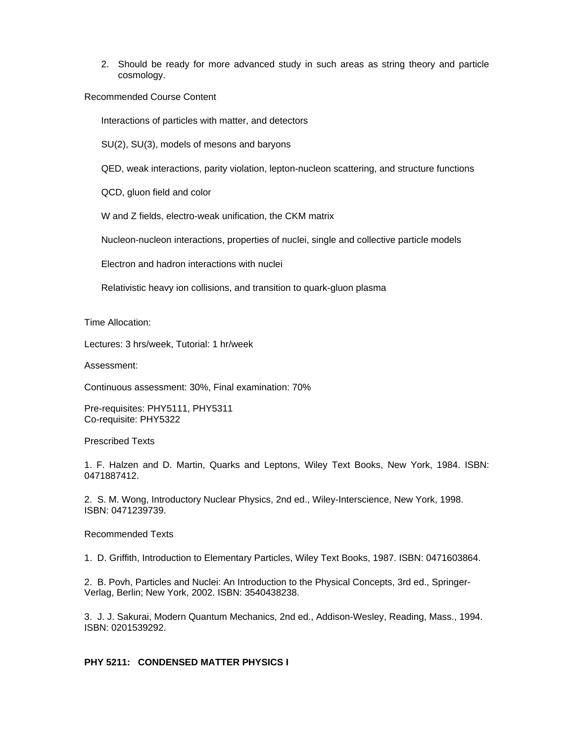2. Should be ready for more advanced study in such areas as string theory and particle cosmology.

Recommended Course Content

Interactions of particles with matter, and detectors

SU(2), SU(3), models of mesons and baryons

QED, weak interactions, parity violation, lepton-nucleon scattering, and structure functions

QCD, gluon field and color

W and Z fields, electro-weak unification, the CKM matrix

Nucleon-nucleon interactions, properties of nuclei, single and collective particle models

Electron and hadron interactions with nuclei

Relativistic heavy ion collisions, and transition to quark-gluon plasma

Time Allocation:

Lectures: 3 hrs/week, Tutorial: 1 hr/week

Assessment:

Continuous assessment: 30%, Final examination: 70%

Pre-requisites: PHY5111, PHY5311 Co-requisite: PHY5322

Prescribed Texts

1. F. Halzen and D. Martin, Quarks and Leptons, Wiley Text Books, New York, 1984. ISBN: 0471887412.

2. S. M. Wong, Introductory Nuclear Physics, 2nd ed., Wiley-Interscience, New York, 1998. ISBN: 0471239739.

Recommended Texts

1. D. Griffith, Introduction to Elementary Particles, Wiley Text Books, 1987. ISBN: 0471603864.

2. B. Povh, Particles and Nuclei: An Introduction to the Physical Concepts, 3rd ed., Springer-Verlag, Berlin; New York, 2002. ISBN: 3540438238.

3. J. J. Sakurai, Modern Quantum Mechanics, 2nd ed., Addison-Wesley, Reading, Mass., 1994. ISBN: 0201539292.

# **PHY 5211: CONDENSED MATTER PHYSICS I**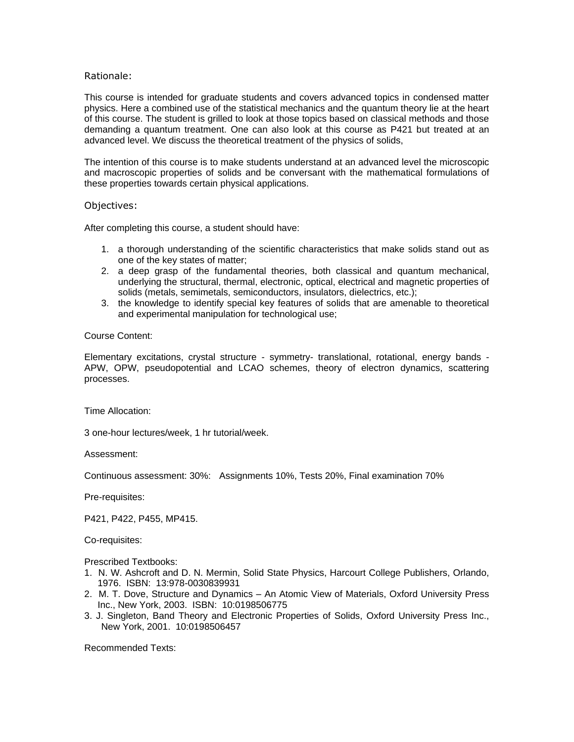## Rationale:

This course is intended for graduate students and covers advanced topics in condensed matter physics. Here a combined use of the statistical mechanics and the quantum theory lie at the heart of this course. The student is grilled to look at those topics based on classical methods and those demanding a quantum treatment. One can also look at this course as P421 but treated at an advanced level. We discuss the theoretical treatment of the physics of solids,

The intention of this course is to make students understand at an advanced level the microscopic and macroscopic properties of solids and be conversant with the mathematical formulations of these properties towards certain physical applications.

#### Objectives:

After completing this course, a student should have:

- 1. a thorough understanding of the scientific characteristics that make solids stand out as one of the key states of matter;
- 2. a deep grasp of the fundamental theories, both classical and quantum mechanical, underlying the structural, thermal, electronic, optical, electrical and magnetic properties of solids (metals, semimetals, semiconductors, insulators, dielectrics, etc.);
- 3. the knowledge to identify special key features of solids that are amenable to theoretical and experimental manipulation for technological use;

# Course Content:

Elementary excitations, crystal structure - symmetry- translational, rotational, energy bands - APW, OPW, pseudopotential and LCAO schemes, theory of electron dynamics, scattering processes.

Time Allocation:

3 one-hour lectures/week, 1 hr tutorial/week.

Assessment:

Continuous assessment: 30%: Assignments 10%, Tests 20%, Final examination 70%

Pre-requisites:

P421, P422, P455, MP415.

Co-requisites:

Prescribed Textbooks:

- 1. N. W. Ashcroft and D. N. Mermin, Solid State Physics, Harcourt College Publishers, Orlando, 1976. ISBN: 13:978-0030839931
- 2. M. T. Dove, Structure and Dynamics *–* An Atomic View of Materials, Oxford University Press Inc., New York, 2003. ISBN: 10:0198506775
- 3. J. Singleton, Band Theory and Electronic Properties of Solids, Oxford University Press Inc., New York, 2001. 10:0198506457

Recommended Texts: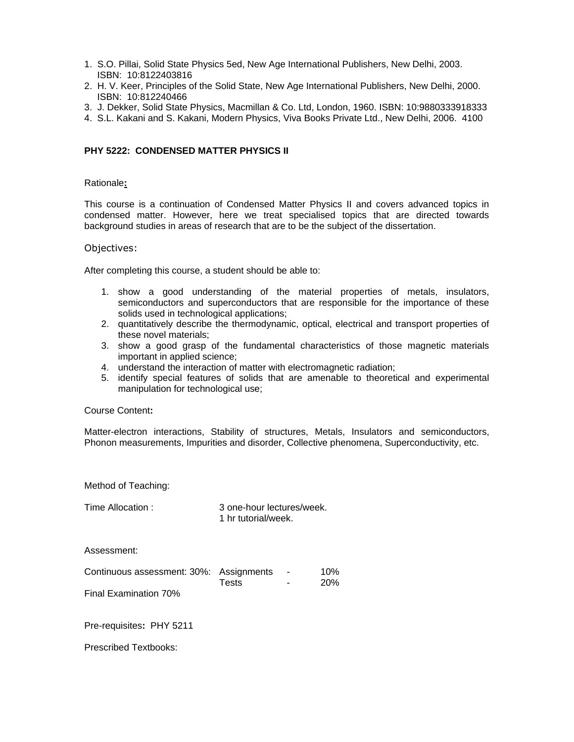- 1. S.O. Pillai, Solid State Physics 5ed, New Age International Publishers, New Delhi, 2003. ISBN: 10:8122403816
- 2. H. V. Keer, Principles of the Solid State, New Age International Publishers, New Delhi, 2000. ISBN: 10:812240466
- 3. J. Dekker, Solid State Physics, Macmillan & Co. Ltd, London, 1960. ISBN: 10:9880333918333
- 4. S.L. Kakani and S. Kakani, Modern Physics, Viva Books Private Ltd., New Delhi, 2006. 4100

## **PHY 5222: CONDENSED MATTER PHYSICS II**

#### Rationale**:**

This course is a continuation of Condensed Matter Physics II and covers advanced topics in condensed matter. However, here we treat specialised topics that are directed towards background studies in areas of research that are to be the subject of the dissertation.

#### Objectives:

After completing this course, a student should be able to:

- 1. show a good understanding of the material properties of metals, insulators, semiconductors and superconductors that are responsible for the importance of these solids used in technological applications;
- 2. quantitatively describe the thermodynamic, optical, electrical and transport properties of these novel materials;
- 3. show a good grasp of the fundamental characteristics of those magnetic materials important in applied science;
- 4. understand the interaction of matter with electromagnetic radiation;
- 5. identify special features of solids that are amenable to theoretical and experimental manipulation for technological use;

#### Course Content**:**

Matter-electron interactions, Stability of structures, Metals, Insulators and semiconductors, Phonon measurements, Impurities and disorder, Collective phenomena, Superconductivity, etc.

Method of Teaching:

Time Allocation : 3 one-hour lectures/week. 1 hr tutorial/week.

Assessment:

| Continuous assessment: 30%: Assignments |       |        | 10%        |
|-----------------------------------------|-------|--------|------------|
|                                         | Tests | $\sim$ | <b>20%</b> |
|                                         |       |        |            |

Final Examination 70%

Pre-requisites**:** PHY 5211

Prescribed Textbooks: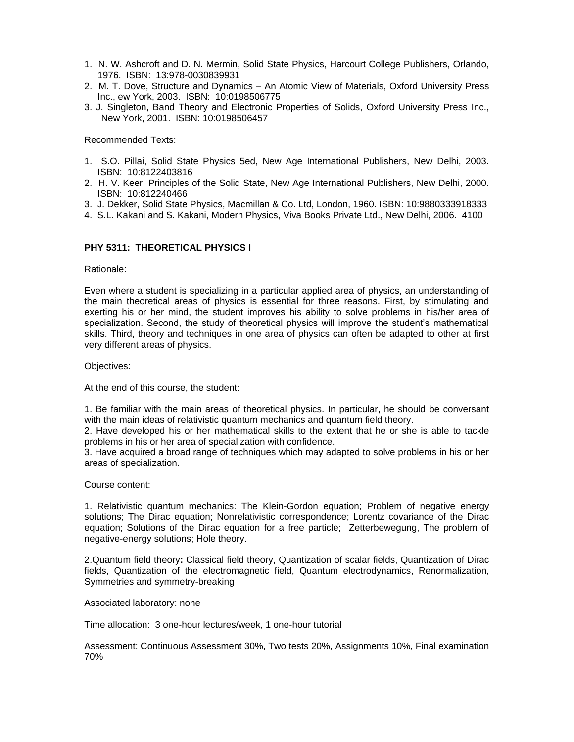- 1. N. W. Ashcroft and D. N. Mermin, Solid State Physics, Harcourt College Publishers, Orlando, 1976. ISBN: 13:978-0030839931
- 2. M. T. Dove, Structure and Dynamics *–* An Atomic View of Materials, Oxford University Press Inc., ew York, 2003. ISBN: 10:0198506775
- 3. J. Singleton, Band Theory and Electronic Properties of Solids, Oxford University Press Inc., New York, 2001. ISBN: 10:0198506457

Recommended Texts:

- 1. S.O. Pillai, Solid State Physics 5ed, New Age International Publishers, New Delhi, 2003. ISBN: 10:8122403816
- 2. H. V. Keer, Principles of the Solid State, New Age International Publishers, New Delhi, 2000. ISBN: 10:812240466
- 3. J. Dekker, Solid State Physics, Macmillan & Co. Ltd, London, 1960. ISBN: 10:9880333918333
- 4. S.L. Kakani and S. Kakani, Modern Physics, Viva Books Private Ltd., New Delhi, 2006. 4100

# **PHY 5311: THEORETICAL PHYSICS I**

Rationale:

Even where a student is specializing in a particular applied area of physics, an understanding of the main theoretical areas of physics is essential for three reasons. First, by stimulating and exerting his or her mind, the student improves his ability to solve problems in his/her area of specialization. Second, the study of theoretical physics will improve the student's mathematical skills. Third, theory and techniques in one area of physics can often be adapted to other at first very different areas of physics.

Objectives:

At the end of this course, the student:

1. Be familiar with the main areas of theoretical physics. In particular, he should be conversant with the main ideas of relativistic quantum mechanics and quantum field theory.

2. Have developed his or her mathematical skills to the extent that he or she is able to tackle problems in his or her area of specialization with confidence.

3. Have acquired a broad range of techniques which may adapted to solve problems in his or her areas of specialization.

Course content:

1. Relativistic quantum mechanics: The Klein-Gordon equation; Problem of negative energy solutions; The Dirac equation; Nonrelativistic correspondence; Lorentz covariance of the Dirac equation; Solutions of the Dirac equation for a free particle; Zetterbewegung, The problem of negative-energy solutions; Hole theory.

2.Quantum field theory**:** Classical field theory, Quantization of scalar fields, Quantization of Dirac fields, Quantization of the electromagnetic field, Quantum electrodynamics, Renormalization, Symmetries and symmetry-breaking

Associated laboratory: none

Time allocation: 3 one-hour lectures/week, 1 one-hour tutorial

Assessment: Continuous Assessment 30%, Two tests 20%, Assignments 10%, Final examination 70%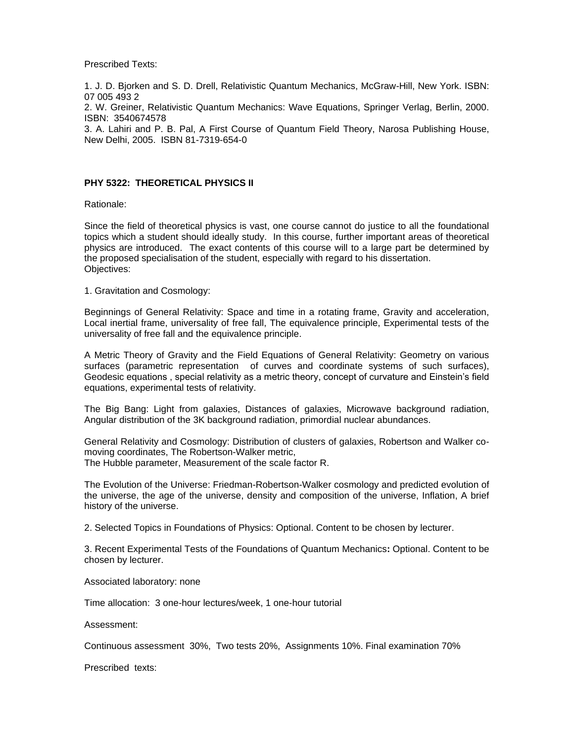Prescribed Texts:

1. J. D. Bjorken and S. D. Drell, Relativistic Quantum Mechanics, McGraw-Hill, New York. ISBN: 07 005 493 2

2. W. Greiner, Relativistic Quantum Mechanics: Wave Equations, Springer Verlag, Berlin, 2000. ISBN: 3540674578

3. A. Lahiri and P. B. Pal, A First Course of Quantum Field Theory, Narosa Publishing House, New Delhi, 2005. ISBN 81-7319-654-0

# **PHY 5322: THEORETICAL PHYSICS II**

Rationale:

Since the field of theoretical physics is vast, one course cannot do justice to all the foundational topics which a student should ideally study. In this course, further important areas of theoretical physics are introduced. The exact contents of this course will to a large part be determined by the proposed specialisation of the student, especially with regard to his dissertation. Objectives:

1. Gravitation and Cosmology:

Beginnings of General Relativity: Space and time in a rotating frame, Gravity and acceleration, Local inertial frame, universality of free fall, The equivalence principle, Experimental tests of the universality of free fall and the equivalence principle.

A Metric Theory of Gravity and the Field Equations of General Relativity: Geometry on various surfaces (parametric representation of curves and coordinate systems of such surfaces), Geodesic equations , special relativity as a metric theory, concept of curvature and Einstein's field equations, experimental tests of relativity.

The Big Bang: Light from galaxies, Distances of galaxies, Microwave background radiation, Angular distribution of the 3K background radiation, primordial nuclear abundances.

General Relativity and Cosmology: Distribution of clusters of galaxies, Robertson and Walker comoving coordinates, The Robertson-Walker metric, The Hubble parameter, Measurement of the scale factor R.

The Evolution of the Universe: Friedman-Robertson-Walker cosmology and predicted evolution of the universe, the age of the universe, density and composition of the universe, Inflation, A brief history of the universe.

2. Selected Topics in Foundations of Physics: Optional. Content to be chosen by lecturer.

3. Recent Experimental Tests of the Foundations of Quantum Mechanics**:** Optional. Content to be chosen by lecturer.

Associated laboratory: none

Time allocation: 3 one-hour lectures/week, 1 one-hour tutorial

Assessment:

Continuous assessment 30%, Two tests 20%, Assignments 10%. Final examination 70%

Prescribed texts: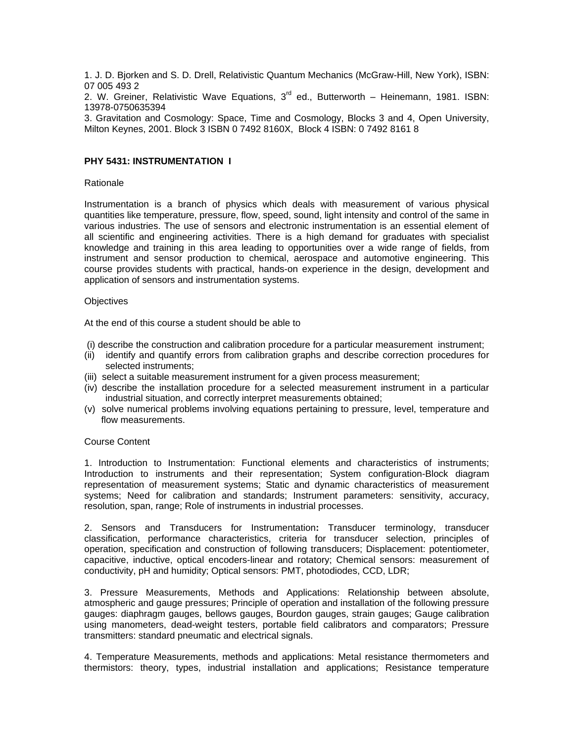1. J. D. Bjorken and S. D. Drell, Relativistic Quantum Mechanics (McGraw-Hill, New York), ISBN: 07 005 493 2

2. W. Greiner, Relativistic Wave Equations,  $3<sup>rd</sup>$  ed., Butterworth – Heinemann, 1981. ISBN: 13978-0750635394

3. Gravitation and Cosmology: Space, Time and Cosmology, Blocks 3 and 4, Open University, Milton Keynes, 2001. Block 3 ISBN 0 7492 8160X, Block 4 ISBN: 0 7492 8161 8

#### **PHY 5431: INSTRUMENTATION I**

#### Rationale

Instrumentation is a branch of physics which deals with measurement of various physical quantities like temperature, pressure, flow, speed, sound, light intensity and control of the same in various industries. The use of sensors and electronic instrumentation is an essential element of all scientific and engineering activities. There is a high demand for graduates with specialist knowledge and training in this area leading to opportunities over a wide range of fields, from instrument and sensor production to chemical, aerospace and automotive engineering. This course provides students with practical, hands-on experience in the design, development and application of sensors and instrumentation systems.

#### **Objectives**

At the end of this course a student should be able to

(i) describe the construction and calibration procedure for a particular measurement instrument;

- (ii) identify and quantify errors from calibration graphs and describe correction procedures for selected instruments;
- (iii) select a suitable measurement instrument for a given process measurement;
- (iv) describe the installation procedure for a selected measurement instrument in a particular industrial situation, and correctly interpret measurements obtained;
- (v) solve numerical problems involving equations pertaining to pressure, level, temperature and flow measurements.

#### Course Content

1. Introduction to Instrumentation: Functional elements and characteristics of instruments; Introduction to instruments and their representation; System configuration-Block diagram representation of measurement systems; Static and dynamic characteristics of measurement systems; Need for calibration and standards; Instrument parameters: sensitivity, accuracy, resolution, span, range; Role of instruments in industrial processes.

2. Sensors and Transducers for Instrumentation**:** Transducer terminology, transducer classification, performance characteristics, criteria for transducer selection, principles of operation, specification and construction of following transducers; Displacement: potentiometer, capacitive, inductive, optical encoders-linear and rotatory; Chemical sensors: measurement of conductivity, pH and humidity; Optical sensors: PMT, photodiodes, CCD, LDR;

3. Pressure Measurements, Methods and Applications: Relationship between absolute, atmospheric and gauge pressures; Principle of operation and installation of the following pressure gauges: diaphragm gauges, bellows gauges, Bourdon gauges, strain gauges; Gauge calibration using manometers, dead-weight testers, portable field calibrators and comparators; Pressure transmitters: standard pneumatic and electrical signals.

4. Temperature Measurements, methods and applications: Metal resistance thermometers and thermistors: theory, types, industrial installation and applications; Resistance temperature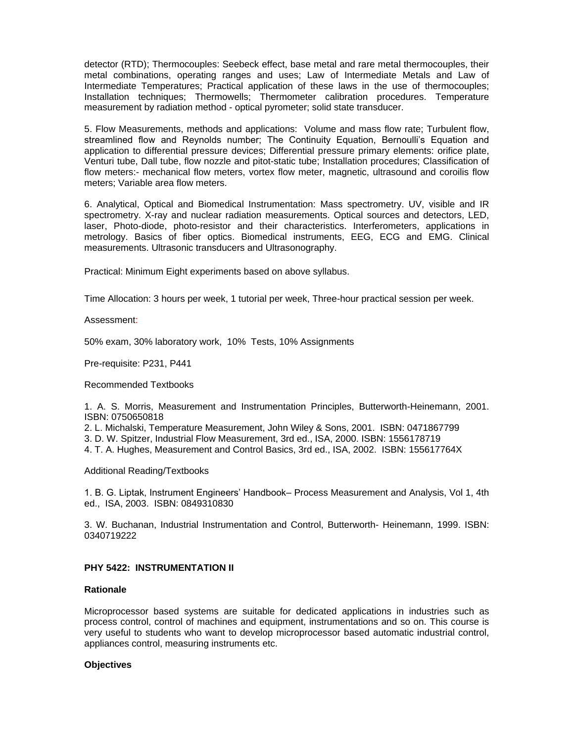detector (RTD); Thermocouples: Seebeck effect, base metal and rare metal thermocouples, their metal combinations, operating ranges and uses; Law of Intermediate Metals and Law of Intermediate Temperatures; Practical application of these laws in the use of thermocouples; Installation techniques; Thermowells; Thermometer calibration procedures. Temperature measurement by radiation method - optical pyrometer; solid state transducer.

5. Flow Measurements, methods and applications:Volume and mass flow rate; Turbulent flow, streamlined flow and Reynolds number; The Continuity Equation, Bernoulli's Equation and application to differential pressure devices; Differential pressure primary elements: orifice plate, Venturi tube, Dall tube, flow nozzle and pitot-static tube; Installation procedures; Classification of flow meters:- mechanical flow meters, vortex flow meter, magnetic, ultrasound and coroilis flow meters; Variable area flow meters.

6. Analytical, Optical and Biomedical Instrumentation: Mass spectrometry. UV, visible and IR spectrometry. X-ray and nuclear radiation measurements. Optical sources and detectors, LED, laser, Photo-diode, photo-resistor and their characteristics. Interferometers, applications in metrology. Basics of fiber optics. Biomedical instruments, EEG, ECG and EMG. Clinical measurements. Ultrasonic transducers and Ultrasonography.

Practical: Minimum Eight experiments based on above syllabus.

Time Allocation: 3 hours per week, 1 tutorial per week, Three-hour practical session per week.

Assessment:

50% exam, 30% laboratory work, 10% Tests, 10% Assignments

Pre-requisite: P231, P441

Recommended Textbooks

1. A. S. Morris, Measurement and Instrumentation Principles, Butterworth-Heinemann, 2001. ISBN: 0750650818

2. L. Michalski, Temperature Measurement, John Wiley & Sons, 2001. ISBN: 0471867799

3. D. W. Spitzer, Industrial Flow Measurement, 3rd ed., ISA, 2000. ISBN: 1556178719

4. T. A. Hughes, Measurement and Control Basics, 3rd ed., ISA, 2002. ISBN: 155617764X

Additional Reading/Textbooks

1. B. G. Liptak, Instrument Engineers' Handbook– Process Measurement and Analysis, Vol 1, 4th ed., ISA, 2003. ISBN: 0849310830

3. W. Buchanan, Industrial Instrumentation and Control, Butterworth- Heinemann, 1999. ISBN: 0340719222

# **PHY 5422: INSTRUMENTATION II**

# **Rationale**

Microprocessor based systems are suitable for dedicated applications in industries such as process control, control of machines and equipment, instrumentations and so on. This course is very useful to students who want to develop microprocessor based automatic industrial control, appliances control, measuring instruments etc.

#### **Objectives**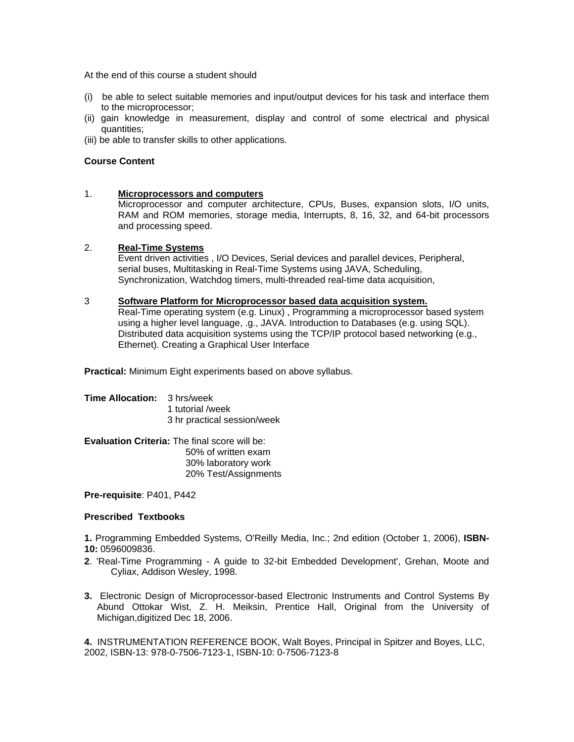At the end of this course a student should

- (i) be able to select suitable memories and input/output devices for his task and interface them to the microprocessor;
- (ii) gain knowledge in measurement, display and control of some electrical and physical quantities;

(iii) be able to transfer skills to other applications.

# **Course Content**

# 1. **Microprocessors and computers**

Microprocessor and computer architecture, CPUs, Buses, expansion slots, I/O units, RAM and ROM memories, storage media, Interrupts, 8, 16, 32, and 64-bit processors and processing speed.

# 2. **Real-Time Systems**

Event driven activities , I/O Devices, Serial devices and parallel devices, Peripheral, serial buses, Multitasking in Real-Time Systems using JAVA, Scheduling, Synchronization, Watchdog timers, multi-threaded real-time data acquisition,

#### 3 **Software Platform for Microprocessor based data acquisition system.**

Real-Time operating system (e.g. Linux) , Programming a microprocessor based system using a higher level language, .g., JAVA. Introduction to Databases (e.g. using SQL). Distributed data acquisition systems using the TCP/IP protocol based networking (e.g., Ethernet). Creating a Graphical User Interface

**Practical:** Minimum Eight experiments based on above syllabus.

## **Time Allocation:** 3 hrs/week 1 tutorial /week 3 hr practical session/week

**Evaluation Criteria:** The final score will be: 50% of written exam 30% laboratory work 20% Test/Assignments

**Pre-requisite**: P401, P442

# **Prescribed Textbooks**

**1.** Programming Embedded Systems, O'Reilly Media, Inc.; 2nd edition (October 1, 2006), **ISBN-10:** 0596009836.

- **2**. 'Real-Time Programming A guide to 32-bit Embedded Development', Grehan, Moote and Cyliax, Addison Wesley, 1998.
- **3.** Electronic Design of Microprocessor-based Electronic Instruments and Control Systems By Abund Ottokar Wist, Z. H. Meiksin, Prentice Hall, Original from the University of Michigan,digitized Dec 18, 2006.

**4.** INSTRUMENTATION REFERENCE BOOK, Walt Boyes, Principal in Spitzer and Boyes, LLC, 2002, ISBN-13: 978-0-7506-7123-1, ISBN-10: 0-7506-7123-8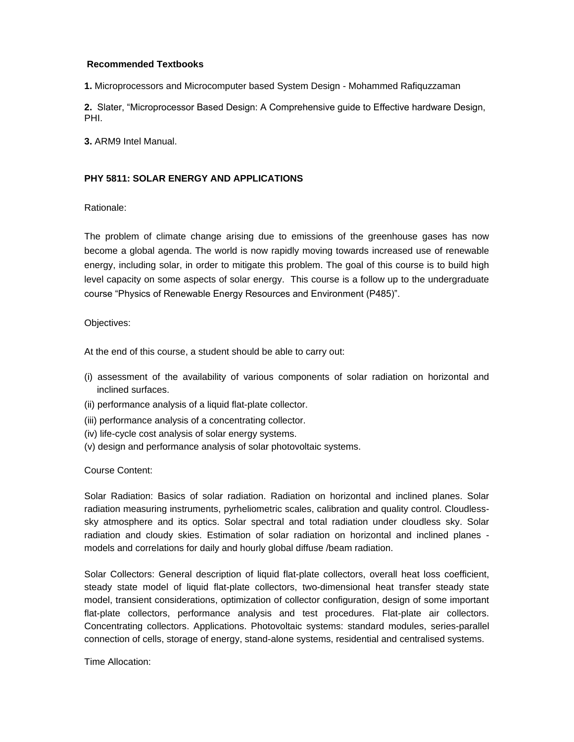# **Recommended Textbooks**

**1.** Microprocessors and Microcomputer based System Design - Mohammed Rafiquzzaman

**2.** Slater, "Microprocessor Based Design: A Comprehensive guide to Effective hardware Design, PHI.

**3.** ARM9 Intel Manual.

# **PHY 5811: SOLAR ENERGY AND APPLICATIONS**

Rationale:

The problem of climate change arising due to emissions of the greenhouse gases has now become a global agenda. The world is now rapidly moving towards increased use of renewable energy, including solar, in order to mitigate this problem. The goal of this course is to build high level capacity on some aspects of solar energy. This course is a follow up to the undergraduate course "Physics of Renewable Energy Resources and Environment (P485)".

# Objectives:

At the end of this course, a student should be able to carry out:

- (i) assessment of the availability of various components of solar radiation on horizontal and inclined surfaces.
- (ii) performance analysis of a liquid flat-plate collector.
- (iii) performance analysis of a concentrating collector.
- (iv) life-cycle cost analysis of solar energy systems.
- (v) design and performance analysis of solar photovoltaic systems.

Course Content:

Solar Radiation: Basics of solar radiation. Radiation on horizontal and inclined planes. Solar radiation measuring instruments, pyrheliometric scales, calibration and quality control. Cloudlesssky atmosphere and its optics. Solar spectral and total radiation under cloudless sky. Solar radiation and cloudy skies. Estimation of solar radiation on horizontal and inclined planes models and correlations for daily and hourly global diffuse /beam radiation.

Solar Collectors: General description of liquid flat-plate collectors, overall heat loss coefficient, steady state model of liquid flat-plate collectors, two-dimensional heat transfer steady state model, transient considerations, optimization of collector configuration, design of some important flat-plate collectors, performance analysis and test procedures. Flat-plate air collectors. Concentrating collectors. Applications. Photovoltaic systems: standard modules, series-parallel connection of cells, storage of energy, stand-alone systems, residential and centralised systems.

Time Allocation: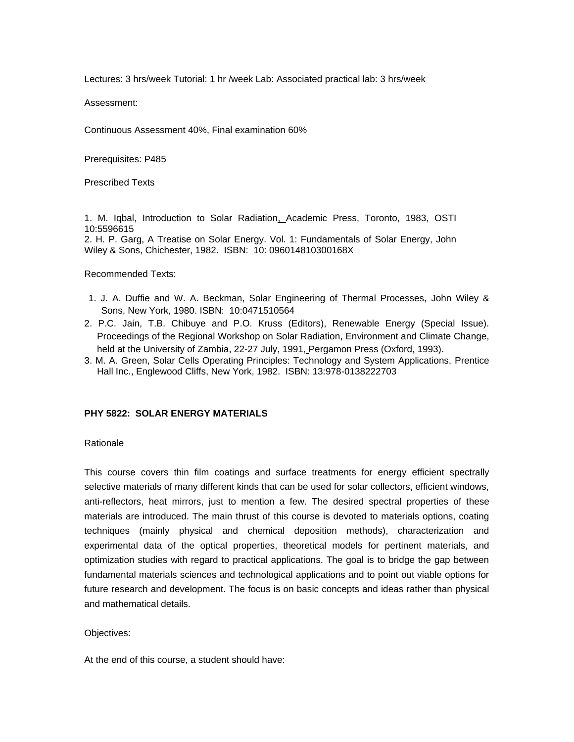Lectures: 3 hrs/week Tutorial: 1 hr /week Lab: Associated practical lab: 3 hrs/week

Assessment:

Continuous Assessment 40%, Final examination 60%

Prerequisites: P485

Prescribed Texts

1. M. Iqbal, Introduction to Solar Radiation, Academic Press, Toronto, 1983, OSTI 10:5596615

2. H. P. Garg, A Treatise on Solar Energy. Vol. 1: Fundamentals of Solar Energy, John Wiley & Sons, Chichester, 1982. ISBN: 10: 096014810300168X

Recommended Texts:

- 1. J. A. Duffie and W. A. Beckman, Solar Engineering of Thermal Processes, John Wiley & Sons, New York, 1980. ISBN: 10:0471510564
- 2. P.C. Jain, T.B. Chibuye and P.O. Kruss (Editors), Renewable Energy (Special Issue). Proceedings of the Regional Workshop on Solar Radiation, Environment and Climate Change, held at the University of Zambia, 22-27 July, 1991, Pergamon Press (Oxford, 1993).
- 3. M. A. Green, Solar Cells Operating Principles: Technology and System Applications, Prentice Hall Inc., Englewood Cliffs, New York, 1982. ISBN: 13:978-0138222703

# **PHY 5822: SOLAR ENERGY MATERIALS**

#### Rationale

This course covers thin film coatings and surface treatments for energy efficient spectrally selective materials of many different kinds that can be used for solar collectors, efficient windows, anti-reflectors, heat mirrors, just to mention a few. The desired spectral properties of these materials are introduced. The main thrust of this course is devoted to materials options, coating techniques (mainly physical and chemical deposition methods), characterization and experimental data of the optical properties, theoretical models for pertinent materials, and optimization studies with regard to practical applications. The goal is to bridge the gap between fundamental materials sciences and technological applications and to point out viable options for future research and development. The focus is on basic concepts and ideas rather than physical and mathematical details.

#### Objectives:

At the end of this course, a student should have: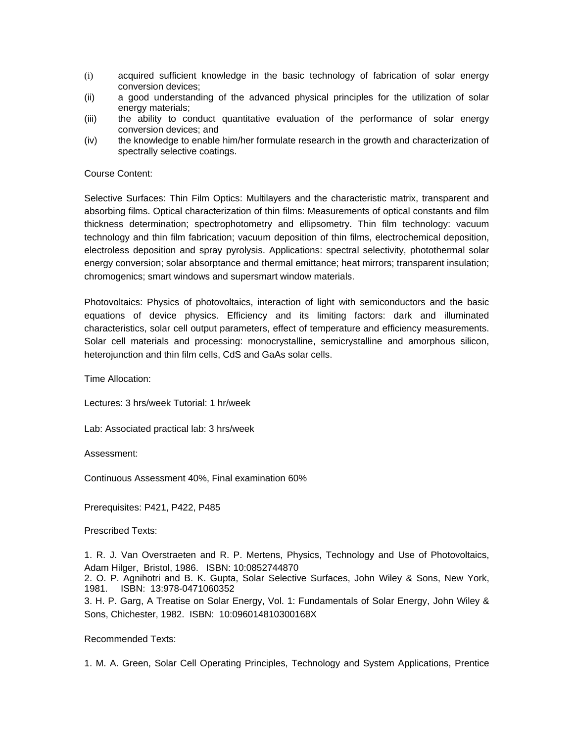- (i) acquired sufficient knowledge in the basic technology of fabrication of solar energy conversion devices;
- (ii) a good understanding of the advanced physical principles for the utilization of solar energy materials;
- (iii) the ability to conduct quantitative evaluation of the performance of solar energy conversion devices; and
- (iv) the knowledge to enable him/her formulate research in the growth and characterization of spectrally selective coatings.

#### Course Content:

Selective Surfaces: Thin Film Optics: Multilayers and the characteristic matrix, transparent and absorbing films. Optical characterization of thin films: Measurements of optical constants and film thickness determination; spectrophotometry and ellipsometry. Thin film technology: vacuum technology and thin film fabrication; vacuum deposition of thin films, electrochemical deposition, electroless deposition and spray pyrolysis. Applications: spectral selectivity, photothermal solar energy conversion; solar absorptance and thermal emittance; heat mirrors; transparent insulation; chromogenics; smart windows and supersmart window materials.

Photovoltaics: Physics of photovoltaics, interaction of light with semiconductors and the basic equations of device physics. Efficiency and its limiting factors: dark and illuminated characteristics, solar cell output parameters, effect of temperature and efficiency measurements. Solar cell materials and processing: monocrystalline, semicrystalline and amorphous silicon, heterojunction and thin film cells, CdS and GaAs solar cells.

Time Allocation:

Lectures: 3 hrs/week Tutorial: 1 hr/week

Lab: Associated practical lab: 3 hrs/week

Assessment:

Continuous Assessment 40%, Final examination 60%

Prerequisites: P421, P422, P485

Prescribed Texts:

1. R. J. Van Overstraeten and R. P. Mertens, Physics, Technology and Use of Photovoltaics, Adam Hilger, Bristol, 1986. ISBN: 10:0852744870

2. O. P. Agnihotri and B. K. Gupta, Solar Selective Surfaces, John Wiley & Sons, New York, 1981. ISBN: 13:978-0471060352

3. H. P. Garg, A Treatise on Solar Energy, Vol. 1: Fundamentals of Solar Energy, John Wiley & Sons, Chichester, 1982. ISBN: 10:096014810300168X

# Recommended Texts:

1. M. A. Green, Solar Cell Operating Principles, Technology and System Applications, Prentice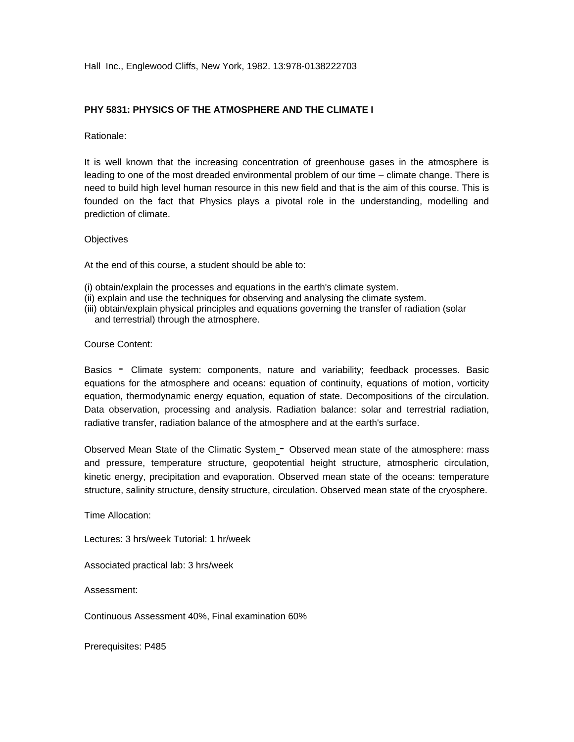Hall Inc., Englewood Cliffs, New York, 1982. 13:978-0138222703

# **PHY 5831: PHYSICS OF THE ATMOSPHERE AND THE CLIMATE I**

Rationale:

It is well known that the increasing concentration of greenhouse gases in the atmosphere is leading to one of the most dreaded environmental problem of our time – climate change. There is need to build high level human resource in this new field and that is the aim of this course. This is founded on the fact that Physics plays a pivotal role in the understanding, modelling and prediction of climate.

#### **Objectives**

At the end of this course, a student should be able to:

- (i) obtain/explain the processes and equations in the earth's climate system.
- (ii) explain and use the techniques for observing and analysing the climate system.
- (iii) obtain/explain physical principles and equations governing the transfer of radiation (solar and terrestrial) through the atmosphere.

#### Course Content:

Basics - Climate system: components, nature and variability; feedback processes. Basic equations for the atmosphere and oceans: equation of continuity, equations of motion, vorticity equation, thermodynamic energy equation, equation of state. Decompositions of the circulation. Data observation, processing and analysis. Radiation balance: solar and terrestrial radiation, radiative transfer, radiation balance of the atmosphere and at the earth's surface.

Observed Mean State of the Climatic System - Observed mean state of the atmosphere: mass and pressure, temperature structure, geopotential height structure, atmospheric circulation, kinetic energy, precipitation and evaporation. Observed mean state of the oceans: temperature structure, salinity structure, density structure, circulation. Observed mean state of the cryosphere.

Time Allocation:

Lectures: 3 hrs/week Tutorial: 1 hr/week

Associated practical lab: 3 hrs/week

Assessment:

Continuous Assessment 40%, Final examination 60%

Prerequisites: P485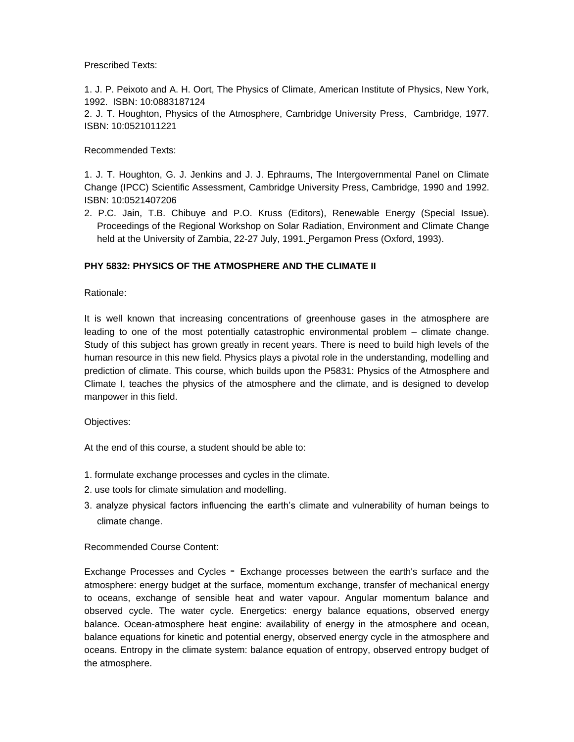# Prescribed Texts:

1. J. P. Peixoto and A. H. Oort, The Physics of Climate, American Institute of Physics, New York, 1992. ISBN: 10:0883187124

2. J. T. Houghton, Physics of the Atmosphere, Cambridge University Press, Cambridge, 1977. ISBN: 10:0521011221

# Recommended Texts:

1. J. T. Houghton, G. J. Jenkins and J. J. Ephraums, The Intergovernmental Panel on Climate Change (IPCC) Scientific Assessment, Cambridge University Press, Cambridge, 1990 and 1992. ISBN: 10:0521407206

2. P.C. Jain, T.B. Chibuye and P.O. Kruss (Editors), Renewable Energy (Special Issue). Proceedings of the Regional Workshop on Solar Radiation, Environment and Climate Change held at the University of Zambia, 22-27 July, 1991. Pergamon Press (Oxford, 1993).

# **PHY 5832: PHYSICS OF THE ATMOSPHERE AND THE CLIMATE II**

# Rationale:

It is well known that increasing concentrations of greenhouse gases in the atmosphere are leading to one of the most potentially catastrophic environmental problem – climate change. Study of this subject has grown greatly in recent years. There is need to build high levels of the human resource in this new field. Physics plays a pivotal role in the understanding, modelling and prediction of climate. This course, which builds upon the P5831: Physics of the Atmosphere and Climate I, teaches the physics of the atmosphere and the climate, and is designed to develop manpower in this field.

# Objectives:

At the end of this course, a student should be able to:

- 1. formulate exchange processes and cycles in the climate.
- 2. use tools for climate simulation and modelling.
- 3. analyze physical factors influencing the earth's climate and vulnerability of human beings to climate change.

# Recommended Course Content:

Exchange Processes and Cycles - Exchange processes between the earth's surface and the atmosphere: energy budget at the surface, momentum exchange, transfer of mechanical energy to oceans, exchange of sensible heat and water vapour. Angular momentum balance and observed cycle. The water cycle. Energetics: energy balance equations, observed energy balance. Ocean-atmosphere heat engine: availability of energy in the atmosphere and ocean, balance equations for kinetic and potential energy, observed energy cycle in the atmosphere and oceans. Entropy in the climate system: balance equation of entropy, observed entropy budget of the atmosphere.